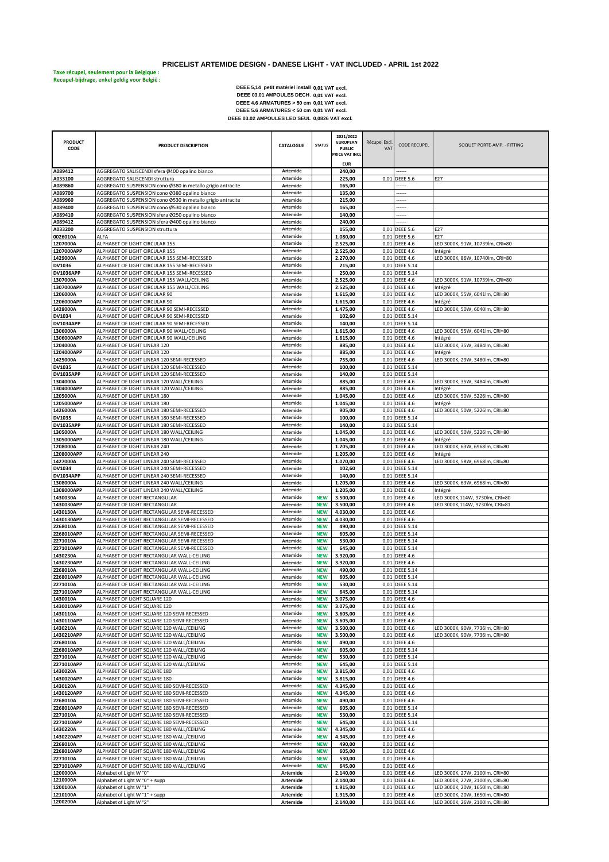## **PRICELIST ARTEMIDE DESIGN - DANESE LIGHT - VAT INCLUDED - APRIL 1st 2022**

**Taxe récupel, seulement pour la Belgique : Recupel-bijdrage, enkel geldig voor België :** 

DEEE 03.01 AMPOULES DECH. 0,01 VAT excl.<br>
DEEE 4.6 ARMATURES > 50 cm 0,01 VAT excl.<br>
DEEE 4.6 ARMATURES < 50 cm 0,01 VAT excl.<br>
DEEE 5.6 ARMATURES < 50 cm 0,01 VAT excl.<br>
DEEE 03.02 AMPOULES LED SEUL 0,0826 VAT excl. **0,01 VAT excl. 0,01 VAT excl. 0,01 VAT excl. 0,01 VAT excl.**

| <b>PRODUCT</b>             |                                                                                              |                             |                          | 2021/2022<br><b>EUROPEAN</b> | Récupel Excl. |                                  |                                                                  |
|----------------------------|----------------------------------------------------------------------------------------------|-----------------------------|--------------------------|------------------------------|---------------|----------------------------------|------------------------------------------------------------------|
| CODE                       | PRODUCT DESCRIPTION                                                                          | CATALOGUE                   | <b>STATUS</b>            | <b>PUBLIC</b>                | <b>VAT</b>    | <b>CODE RECUPEL</b>              | SOQUET PORTE-AMP. - FITTING                                      |
|                            |                                                                                              |                             |                          | PRICE VAT INCL               |               |                                  |                                                                  |
|                            |                                                                                              |                             |                          | <b>EUR</b>                   |               |                                  |                                                                  |
| A089412                    | AGGREGATO SALISCENDI sfera Ø400 opalino bianco                                               | Artemide                    |                          | 240,00                       |               |                                  |                                                                  |
| A033100<br>A089860         | AGGREGATO SALISCENDI struttura<br>AGGREGATO SUSPENSION cono Ø380 in metallo grigio antracite | Artemide<br>Artemide        |                          | 225,00<br>165,00             |               | 0,01 DEEE 5.6                    | E27                                                              |
| A089700                    | AGGREGATO SUSPENSION cono Ø380 opalino bianco                                                | Artemide                    |                          | 135,00                       |               | .                                |                                                                  |
| A089960                    | AGGREGATO SUSPENSION cono Ø530 in metallo grigio antracite                                   | Artemide                    |                          | 215,00                       |               |                                  |                                                                  |
| A089400                    | AGGREGATO SUSPENSION cono Ø530 opalino bianco                                                | Artemide                    |                          | 165,00                       |               |                                  |                                                                  |
| A089410                    | AGGREGATO SUSPENSION sfera Ø250 opalino bianco                                               | Artemide                    |                          | 140,00                       |               |                                  |                                                                  |
| A089412<br>A033200         | AGGREGATO SUSPENSION sfera Ø400 opalino bianco<br>AGGREGATO SUSPENSION struttura             | Artemide<br>Artemide        |                          | 240,00<br>155,00             |               | <br>0,01 DEEE 5.6                | E27                                                              |
| 0026010A                   | ALFA                                                                                         | Artemide                    |                          | 1.080,00                     |               | 0,01 DEEE 5.6                    | E27                                                              |
| 1207000A                   | ALPHABET OF LIGHT CIRCULAR 155                                                               | Artemide                    |                          | 2.525,00                     |               | 0,01 DEEE 4.6                    | LED 3000K, 91W, 10739lm, CRI=80                                  |
| 1207000APP                 | ALPHABET OF LIGHT CIRCULAR 155                                                               | Artemide                    |                          | 2.525,00                     |               | 0,01 DEEE 4.6                    | Intégré                                                          |
| 1429000A                   | ALPHABET OF LIGHT CIRCULAR 155 SEMI-RECESSED                                                 | Artemide                    |                          | 2.270,00                     |               | 0,01 DEEE 4.6                    | LED 3000K, 86W, 10740lm, CRI=80                                  |
| DV1036<br><b>DV1036APP</b> | ALPHABET OF LIGHT CIRCULAR 155 SEMI-RECESSED<br>ALPHABET OF LIGHT CIRCULAR 155 SEMI-RECESSED | Artemide<br>Artemide        |                          | 215,00<br>250,00             |               | 0,01 DEEE 5.14<br>0,01 DEEE 5.14 |                                                                  |
| 1307000A                   | ALPHABET OF LIGHT CIRCULAR 155 WALL/CEILING                                                  | Artemide                    |                          | 2.525,00                     |               | 0,01 DEEE 4.6                    | LED 3000K, 91W, 10739lm, CRI=80                                  |
| 1307000APP                 | ALPHABET OF LIGHT CIRCULAR 155 WALL/CEILING                                                  | Artemide                    |                          | 2.525,00                     |               | 0,01 DEEE 4.6                    | Intégré                                                          |
| 1206000A                   | ALPHABET OF LIGHT CIRCULAR 90                                                                | Artemide                    |                          | 1.615,00                     |               | 0,01 DEEE 4.6                    | LED 3000K, 55W, 6041lm, CRI=80                                   |
| 1206000APP                 | ALPHABET OF LIGHT CIRCULAR 90                                                                | Artemide                    |                          | 1.615,00                     |               | 0,01 DEEE 4.6                    | Intégré                                                          |
| 1428000A<br><b>DV1034</b>  | ALPHABET OF LIGHT CIRCULAR 90 SEMI-RECESSED<br>ALPHABET OF LIGHT CIRCULAR 90 SEMI-RECESSED   | Artemide<br>Artemide        |                          | 1.475,00<br>102,60           |               | 0,01 DEEE 4.6<br>0,01 DEEE 5.14  | LED 3000K, 50W, 6040lm, CRI=80                                   |
| <b>DV1034APP</b>           | ALPHABET OF LIGHT CIRCULAR 90 SEMI-RECESSED                                                  | Artemide                    |                          | 140,00                       |               | 0,01 DEEE 5.14                   |                                                                  |
| 1306000A                   | ALPHABET OF LIGHT CIRCULAR 90 WALL/CEILING                                                   | Artemide                    |                          | 1.615,00                     |               | 0,01 DEEE 4.6                    | LED 3000K, 55W, 6041lm, CRI=80                                   |
| 1306000APP                 | ALPHABET OF LIGHT CIRCULAR 90 WALL/CEILING                                                   | Artemide                    |                          | 1.615,00                     |               | 0,01 DEEE 4.6                    | Intégré                                                          |
| 1204000A                   | ALPHABET OF LIGHT LINEAR 120                                                                 | Artemide                    |                          | 885,00                       |               | 0,01 DEEE 4.6                    | LED 3000K, 35W, 3484lm, CRI=80                                   |
| 1204000APP                 | ALPHABET OF LIGHT LINEAR 120                                                                 | Artemide                    |                          | 885,00                       |               | 0,01 DEEE 4.6                    | Intégré                                                          |
| 1425000A<br>DV1035         | ALPHABET OF LIGHT LINEAR 120 SEMI-RECESSED<br>ALPHABET OF LIGHT LINEAR 120 SEMI-RECESSED     | Artemide<br>Artemide        |                          | 755,00<br>100,00             |               | 0,01 DEEE 4.6<br>0,01 DEEE 5.14  | LED 3000K, 29W, 3480lm, CRI=80                                   |
| <b>DV1035APP</b>           | ALPHABET OF LIGHT LINEAR 120 SEMI-RECESSED                                                   | Artemide                    |                          | 140,00                       |               | 0,01 DEEE 5.14                   |                                                                  |
| 1304000A                   | ALPHABET OF LIGHT LINEAR 120 WALL/CEILING                                                    | Artemide                    |                          | 885,00                       |               | 0,01 DEEE 4.6                    | LED 3000K, 35W, 3484lm, CRI=80                                   |
| 1304000APP                 | ALPHABET OF LIGHT LINEAR 120 WALL/CEILING                                                    | Artemide                    |                          | 885,00                       |               | 0,01 DEEE 4.6                    | Intégré                                                          |
| 1205000A                   | ALPHABET OF LIGHT LINEAR 180                                                                 | Artemide                    |                          | 1.045,00                     |               | 0,01 DEEE 4.6                    | LED 3000K, 50W, 5226lm, CRI=80                                   |
| 1205000APP                 | ALPHABET OF LIGHT LINEAR 180                                                                 | Artemide                    |                          | 1.045,00                     |               | 0,01 DEEE 4.6                    | Intégré                                                          |
| 1426000A<br>DV1035         | ALPHABET OF LIGHT LINEAR 180 SEMI-RECESSED<br>ALPHABET OF LIGHT LINEAR 180 SEMI-RECESSED     | Artemide<br>Artemide        |                          | 905,00<br>100,00             |               | 0,01 DEEE 4.6<br>0,01 DEEE 5.14  | LED 3000K, 50W, 5226lm, CRI=80                                   |
| <b>DV1035APP</b>           | ALPHABET OF LIGHT LINEAR 180 SEMI-RECESSED                                                   | Artemide                    |                          | 140,00                       |               | 0,01 DEEE 5.14                   |                                                                  |
| 1305000A                   | ALPHABET OF LIGHT LINEAR 180 WALL/CEILING                                                    | Artemide                    |                          | 1.045,00                     |               | 0,01 DEEE 4.6                    | LED 3000K, 50W, 5226lm, CRI=80                                   |
| 1305000APP                 | ALPHABET OF LIGHT LINEAR 180 WALL/CEILING                                                    | Artemide                    |                          | 1.045,00                     |               | 0,01 DEEE 4.6                    | Intégré                                                          |
| 1208000A                   | ALPHABET OF LIGHT LINEAR 240                                                                 | Artemide                    |                          | 1.205,00                     |               | 0,01 DEEE 4.6                    | LED 3000K, 63W, 6968lm, CRI=80                                   |
| 1208000APP<br>1427000A     | ALPHABET OF LIGHT LINEAR 240<br>ALPHABET OF LIGHT LINEAR 240 SEMI-RECESSED                   | Artemide<br>Artemide        |                          | 1.205,00<br>1.070,00         |               | 0,01 DEEE 4.6<br>0,01 DEEE 4.6   | Intégré<br>LED 3000K, 58W, 6968lm, CRI=80                        |
| DV1034                     | ALPHABET OF LIGHT LINEAR 240 SEMI-RECESSED                                                   | Artemide                    |                          | 102,60                       |               | 0,01 DEEE 5.14                   |                                                                  |
| <b>DV1034APP</b>           | ALPHABET OF LIGHT LINEAR 240 SEMI-RECESSED                                                   | Artemide                    |                          | 140,00                       |               | 0,01 DEEE 5.14                   |                                                                  |
| 1308000A                   | ALPHABET OF LIGHT LINEAR 240 WALL/CEILING                                                    | Artemide                    |                          | 1.205,00                     |               | 0,01 DEEE 4.6                    | LED 3000K, 63W, 6968lm, CRI=80                                   |
| 1308000APP                 | ALPHABET OF LIGHT LINEAR 240 WALL/CEILING                                                    | Artemide                    |                          | 1.205,00                     |               | 0,01 DEEE 4.6                    | Intégré                                                          |
| 1430030A                   | ALPHABET OF LIGHT RECTANGULAR                                                                | Artemide                    | <b>NEW</b>               | 3.500,00                     |               | 0,01 DEEE 4.6                    | LED 3000K,114W, 9730lm, CRI=80                                   |
| 1430030APP<br>1430130A     | ALPHABET OF LIGHT RECTANGULAR<br>ALPHABET OF LIGHT RECTANGULAR SEMI-RECESSED                 | Artemide<br>Artemide        | <b>NEW</b><br><b>NEW</b> | 3.500,00<br>4.030,00         |               | 0,01 DEEE 4.6<br>0,01 DEEE 4.6   | LED 3000K,114W, 9730lm, CRI=81                                   |
| 1430130APP                 | ALPHABET OF LIGHT RECTANGULAR SEMI-RECESSED                                                  | Artemide                    | <b>NEW</b>               | 4.030,00                     |               | 0,01 DEEE 4.6                    |                                                                  |
| 2268010A                   | ALPHABET OF LIGHT RECTANGULAR SEMI-RECESSED                                                  | Artemide                    | <b>NEW</b>               | 490,00                       |               | 0,01 DEEE 5.14                   |                                                                  |
| 2268010APP                 | ALPHABET OF LIGHT RECTANGULAR SEMI-RECESSED                                                  | Artemide                    | <b>NEW</b>               | 605,00                       |               | 0,01 DEEE 5.14                   |                                                                  |
| 2271010A                   | ALPHABET OF LIGHT RECTANGULAR SEMI-RECESSED                                                  | Artemide                    | <b>NEW</b>               | 530,00                       |               | 0,01 DEEE 5.14                   |                                                                  |
| 2271010APP<br>1430230A     | ALPHABET OF LIGHT RECTANGULAR SEMI-RECESSED<br>ALPHABET OF LIGHT RECTANGULAR WALL-CEILING    | Artemide<br>Artemide        | <b>NEW</b><br><b>NEW</b> | 645,00<br>3.920,00           |               | 0,01 DEEE 5.14<br>0,01 DEEE 4.6  |                                                                  |
| 1430230APP                 | ALPHABET OF LIGHT RECTANGULAR WALL-CEILING                                                   | Artemide                    | <b>NEW</b>               | 3.920,00                     |               | 0,01 DEEE 4.6                    |                                                                  |
| 2268010A                   | ALPHABET OF LIGHT RECTANGULAR WALL-CEILING                                                   | Artemide                    | <b>NEW</b>               | 490,00                       |               | 0,01 DEEE 5.14                   |                                                                  |
| 2268010APP                 | ALPHABET OF LIGHT RECTANGULAR WALL-CEILING                                                   | Artemide                    | <b>NEW</b>               | 605,00                       |               | 0,01 DEEE 5.14                   |                                                                  |
| 2271010A                   | ALPHABET OF LIGHT RECTANGULAR WALL-CEILING                                                   | Artemide                    | <b>NEW</b>               | 530,00                       |               | 0,01 DEEE 5.14                   |                                                                  |
| 2271010APP<br>1430010A     | ALPHARET OF LIGHT RECTANGULAR WALL-CELUNG<br>ALPHABET OF LIGHT SQUARE 120                    | <b>Artemide</b><br>Artemide | <b>NFW</b><br><b>NEW</b> | 645.00<br>3.075,00           |               | 0.01 DFFF 5.14<br>0,01 DEEE 4.6  |                                                                  |
| 1430010APP                 | ALPHABET OF LIGHT SQUARE 120                                                                 | Artemide                    | <b>NEW</b>               | 3.075,00                     |               | 0,01 DEEE 4.6                    |                                                                  |
| 1430110A                   | ALPHABET OF LIGHT SQUARE 120 SEMI-RECESSED                                                   | Artemide                    | <b>NEW</b>               | 3.605,00                     |               | 0,01 DEEE 4.6                    |                                                                  |
| 1430110APP                 | ALPHABET OF LIGHT SQUARE 120 SEMI-RECESSED                                                   | Artemide                    | <b>NEW</b>               | 3.605,00                     |               | 0,01 DEEE 4.6                    |                                                                  |
| 1430210A                   | ALPHABET OF LIGHT SQUARE 120 WALL/CEILING                                                    | Artemide                    | <b>NEW</b>               | 3.500,00                     |               | 0,01 DEEE 4.6                    | LED 3000K, 90W, 7736lm, CRI=80                                   |
| 1430210APP<br>2268010A     | ALPHABET OF LIGHT SQUARE 120 WALL/CEILING                                                    | Artemide<br>Artemide        | <b>NEW</b>               | 3.500,00                     |               | 0,01 DEEE 4.6                    | LED 3000K, 90W, 7736lm, CRI=80                                   |
| 2268010APP                 | ALPHABET OF LIGHT SQUARE 120 WALL/CEILING<br>ALPHABET OF LIGHT SQUARE 120 WALL/CEILING       | Artemide                    | <b>NEW</b><br><b>NEW</b> | 490,00<br>605,00             |               | 0,01 DEEE 4.6<br>0,01 DEEE 5.14  |                                                                  |
| 2271010A                   | ALPHABET OF LIGHT SQUARE 120 WALL/CEILING                                                    | Artemide                    | <b>NEW</b>               | 530,00                       |               | 0,01 DEEE 5.14                   |                                                                  |
| 2271010APP                 | ALPHABET OF LIGHT SQUARE 120 WALL/CEILING                                                    | Artemide                    | <b>NEW</b>               | 645,00                       |               | 0,01 DEEE 5.14                   |                                                                  |
| 1430020A                   | ALPHABET OF LIGHT SQUARE 180                                                                 | Artemide                    | <b>NEW</b>               | 3.815,00                     |               | 0,01 DEEE 4.6                    |                                                                  |
| 1430020APP                 | ALPHABET OF LIGHT SQUARE 180                                                                 | Artemide                    | <b>NEW</b>               | 3.815,00                     |               | 0,01 DEEE 4.6                    |                                                                  |
| 1430120A                   | ALPHABET OF LIGHT SQUARE 180 SEMI-RECESSED                                                   | Artemide<br><b>Artemide</b> | <b>NEW</b>               | 4.345,00                     |               | 0,01 DEEE 4.6                    |                                                                  |
| 1430120APP<br>2268010A     | ALPHABET OF LIGHT SQUARE 180 SEMI-RECESSED<br>ALPHABET OF LIGHT SQUARE 180 SEMI-RECESSED     | Artemide                    | <b>NEW</b><br><b>NEW</b> | 4.345,00<br>490,00           |               | 0,01 DEEE 4.6<br>0,01 DEEE 4.6   |                                                                  |
| 2268010APP                 | ALPHABET OF LIGHT SQUARE 180 SEMI-RECESSED                                                   | Artemide                    | <b>NEW</b>               | 605,00                       |               | 0,01 DEEE 5.14                   |                                                                  |
| 2271010A                   | ALPHABET OF LIGHT SQUARE 180 SEMI-RECESSED                                                   | Artemide                    | <b>NEW</b>               | 530,00                       |               | 0,01 DEEE 5.14                   |                                                                  |
| 2271010APP                 | ALPHABET OF LIGHT SQUARE 180 SEMI-RECESSED                                                   | Artemide                    | <b>NEW</b>               | 645,00                       |               | 0,01 DEEE 5.14                   |                                                                  |
| 1430220A                   | ALPHABET OF LIGHT SQUARE 180 WALL/CEILING                                                    | Artemide                    | <b>NEW</b>               | 4.345,00                     |               | 0,01 DEEE 4.6                    |                                                                  |
| 1430220APP<br>2268010A     | ALPHABET OF LIGHT SQUARE 180 WALL/CEILING<br>ALPHABET OF LIGHT SQUARE 180 WALL/CEILING       | Artemide<br>Artemide        | <b>NEW</b><br><b>NEW</b> | 4.345,00<br>490,00           |               | 0,01 DEEE 4.6<br>0,01 DEEE 4.6   |                                                                  |
| 2268010APP                 | ALPHABET OF LIGHT SQUARE 180 WALL/CEILING                                                    | Artemide                    | <b>NEW</b>               | 605,00                       |               | 0,01 DEEE 4.6                    |                                                                  |
| 2271010A                   | ALPHABET OF LIGHT SQUARE 180 WALL/CEILING                                                    | Artemide                    | <b>NEW</b>               | 530,00                       |               | 0,01 DEEE 4.6                    |                                                                  |
| 2271010APP                 | ALPHABET OF LIGHT SQUARE 180 WALL/CEILING                                                    | Artemide                    | <b>NEW</b>               | 645,00                       |               | 0,01 DEEE 4.6                    |                                                                  |
| 1200000A                   | Alphabet of Light W "0"                                                                      | Artemide                    |                          | 2.140,00                     |               | 0,01 DEEE 4.6                    | LED 3000K, 27W, 2100lm, CRI=80                                   |
| 1210000A<br>1200100A       | Alphabet of Light W "0" + supp                                                               | Artemide                    |                          | 2.140,00                     |               | 0,01 DEEE 4.6                    | LED 3000K, 27W, 2100lm, CRI=80                                   |
| 1210100A                   | Alphabet of Light W "1"<br>Alphabet of Light W "1" + supp                                    | Artemide<br><b>Artemide</b> |                          | 1.915,00<br>1.915,00         |               | 0,01 DEEE 4.6<br>0,01 DEEE 4.6   | LED 3000K, 20W, 1650lm, CRI=80<br>LED 3000K, 20W, 1650lm, CRI=80 |
| 1200200A                   | Alphabet of Light W "2"                                                                      | Artemide                    |                          | 2.140,00                     |               | 0,01 DEEE 4.6                    | LED 3000K, 26W, 2100lm, CRI=80                                   |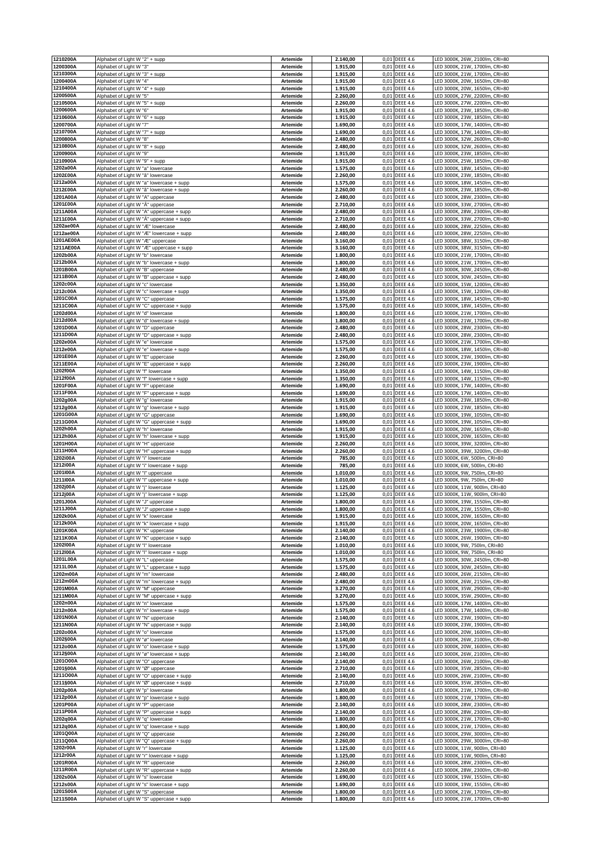| 1210200A               | Alphabet of Light W "2" + supp                                                | Artemide                           | 2.140,00             |              | 0,01 DEEE 4.6                      | LED 3000K, 26W, 2100lm, CRI=80                                   |
|------------------------|-------------------------------------------------------------------------------|------------------------------------|----------------------|--------------|------------------------------------|------------------------------------------------------------------|
| 1200300A<br>1210300A   | Alphabet of Light W "3"<br>Alphabet of Light W "3" + supp                     | <b>Artemide</b><br>Artemide        | 1.915,00<br>1.915,00 | 0,01<br>0,01 | <b>DEEE 4.6</b><br><b>DEEE 4.6</b> | LED 3000K, 21W, 1700lm, CRI=80<br>LED 3000K, 21W, 1700lm, CRI=80 |
| 1200400A               | Alphabet of Light W "4"                                                       | Artemide                           | 1.915,00             | 0,01         | <b>DEEE 4.6</b>                    | LED 3000K, 20W, 1650lm, CRI=80                                   |
| 1210400A               | Alphabet of Light W "4" + supp                                                | <b>Artemide</b>                    | 1.915,00             | 0,01         | <b>DEEE 4.6</b>                    | LED 3000K, 20W, 1650lm, CRI=80                                   |
| 1200500A               | Alphabet of Light W "5"                                                       | <b>Artemide</b>                    | 2.260,00             |              | 0,01 DEEE 4.6                      | LED 3000K, 27W, 2200lm, CRI=80                                   |
| 1210500A<br>1200600A   | Alphabet of Light W "5" + supp<br>Alphabet of Light W "6"                     | Artemide<br>Artemide               | 2.260,00<br>1.915,00 | 0,01         | 0,01 DEEE 4.6<br><b>DEEE 4.6</b>   | LED 3000K, 27W, 2200lm, CRI=80<br>LED 3000K, 23W, 1850lm, CRI=80 |
| 1210600A               | Alphabet of Light W "6" + supp                                                | <b>Artemide</b>                    | 1.915,00             | 0,01         | <b>DEEE 4.6</b>                    | LED 3000K, 23W, 1850lm, CRI=80                                   |
| 1200700A               | Alphabet of Light W "7"                                                       | <b>Artemide</b>                    | 1.690,00             | 0,01         | <b>DEEE 4.6</b>                    | LED 3000K, 17W, 1400lm, CRI=80                                   |
| 1210700A<br>1200800A   | Alphabet of Light W "7" + supp                                                | Artemide                           | 1.690,00             | 0,01         | <b>DEEE 4.6</b>                    | LED 3000K, 17W, 1400lm, CRI=80                                   |
| 1210800A               | Alphabet of Light W "8"<br>Alphabet of Light W "8" + supp                     | <b>Artemide</b><br><b>Artemide</b> | 2.480,00<br>2.480,00 | 0,01<br>0,01 | <b>DEEE 4.6</b><br><b>DEEE 4.6</b> | LED 3000K, 32W, 2600lm, CRI=80<br>LED 3000K, 32W, 2600lm, CRI=80 |
| 1200900A               | Alphabet of Light W "9"                                                       | <b>Artemide</b>                    | 1.915,00             | 0,01         | <b>DEEE 4.6</b>                    | LED 3000K, 23W, 1850lm, CRI=80                                   |
| 1210900A               | Alphabet of Light W "9" + supp                                                | Artemide                           | 1.915,00             | 0,01         | <b>DEEE 4.6</b>                    | LED 3000K, 25W, 1850lm, CRI=80                                   |
| 1202a00A<br>1202£00A   | Alphabet of Light W "a" lowercase<br>Alphabet of Light W "a" lowercase        | <b>Artemide</b><br><b>Artemide</b> | 1.575,00<br>2.260,00 | 0,01<br>0,01 | <b>DEEE 4.6</b><br><b>DEEE 4.6</b> | LED 3000K, 18W, 1450lm, CRI=80<br>LED 3000K, 23W, 1850lm, CRI=80 |
| 1212a00A               | Alphabet of Light W "a" lowercase + supp                                      | Artemide                           | 1.575,00             | 0,01         | <b>DEEE 4.6</b>                    | LED 3000K, 18W, 1450lm, CRI=80                                   |
| 1212£00A               | Alphabet of Light W "â" lowercase + supp                                      | <b>Artemide</b>                    | 2.260,00             | 0,01         | <b>DEEE 4.6</b>                    | LED 3000K, 23W, 1850lm, CRI=80                                   |
| 1201A00A<br>1201£00A   | Alphabet of Light W "A" uppercase<br>Alphabet of Light W "Â" uppercase        | <b>Artemide</b><br>Artemide        | 2.480,00<br>2.710,00 | 0,01         | 0,01 DEEE 4.6<br><b>DEEE 4.6</b>   | LED 3000K, 28W, 2300lm, CRI=80<br>LED 3000K, 33W, 2700lm, CRI=80 |
| 1211A00A               | Alphabet of Light W "A" uppercase + supp                                      | Artemide                           | 2.480,00             | 0,01         | <b>DEEE 4.6</b>                    | LED 3000K, 28W, 2300lm, CRI=80                                   |
| 1211£00A               | Alphabet of Light W "A" uppercase + supp                                      | <b>Artemide</b>                    | 2.710,00             | 0,01         | <b>DEEE 4.6</b>                    | LED 3000K, 33W, 2700lm, CRI=80                                   |
| 1202ae00A              | Alphabet of Light W "Æ" lowercase                                             | <b>Artemide</b>                    | 2.480,00             | 0,01         | <b>DEEE 4.6</b>                    | LED 3000K, 28W, 2250lm, CRI=80                                   |
| 1212ae00A<br>1201AE00A | Alphabet of Light W "Æ" lowercase + supp<br>Alphabet of Light W "Æ" uppercase | Artemide<br><b>Artemide</b>        | 2.480,00<br>3.160,00 | 0,01         | 0,01 DEEE 4.6<br><b>DEEE 4.6</b>   | LED 3000K, 28W, 2250lm, CRI=80<br>LED 3000K, 38W, 3150lm, CRI=80 |
| 1211AE00A              | Alphabet of Light W "Æ" uppercase + supp                                      | <b>Artemide</b>                    | 3.160,00             | 0,01         | <b>DEEE 4.6</b>                    | LED 3000K, 38W, 3150lm, CRI=80                                   |
| 1202b00A               | Alphabet of Light W "b" lowercase                                             | Artemide                           | 1.800,00             | 0,01         | <b>DEEE 4.6</b>                    | LED 3000K, 21W, 1700lm, CRI=80                                   |
| 1212b00A<br>1201B00A   | Alphabet of Light W "b" lowercase + supp<br>Alphabet of Light W "B" uppercase | Artemide<br>Artemide               | 1.800,00<br>2.480,00 | 0,01<br>0,01 | <b>DEEE 4.6</b><br><b>DEEE 4.6</b> | LED 3000K, 21W, 1700lm, CRI=80<br>LED 3000K, 30W, 2450lm, CRI=80 |
| 1211B00A               | Alphabet of Light W "B" uppercase + supp                                      | <b>Artemide</b>                    | 2.480,00             |              | 0,01 DEEE 4.6                      | LED 3000K, 30W, 2450lm, CRI=80                                   |
| 1202c00A               | Alphabet of Light W "c" lowercase                                             | Artemide                           | 1.350,00             | 0,01         | <b>DEEE 4.6</b>                    | LED 3000K, 15W, 1200lm, CRI=80                                   |
| 1212c00A               | Alphabet of Light W "c" lowercase + supp                                      | Artemide                           | 1.350,00             | 0,01         | <b>DEEE 4.6</b>                    | LED 3000K, 15W, 1200lm, CRI=80                                   |
| 1201C00A<br>1211C00A   | Alphabet of Light W "C" uppercase<br>Alphabet of Light W "C" uppercase + supp | <b>Artemide</b><br>Artemide        | 1.575,00<br>1.575,00 | 0,01         | 0,01 DEEE 4.6<br><b>DEEE 4.6</b>   | LED 3000K, 18W, 1450lm, CRI=80<br>LED 3000K, 18W, 1450lm, CRI=80 |
| 1202d00A               | Alphabet of Light W "d" lowercase                                             | Artemide                           | 1.800,00             | 0,01         | <b>DEEE 4.6</b>                    | LED 3000K, 21W, 1700lm, CRI=80                                   |
| 1212d00A               | Alphabet of Light W "d" lowercase + supp                                      | Artemide                           | 1.800,00             | 0,01         | <b>DEEE 4.6</b>                    | LED 3000K, 21W, 1700lm, CRI=80                                   |
| 1201D00A<br>1211D00A   | Alphabet of Light W "D" uppercase<br>Alphabet of Light W "D" uppercase + supp | Artemide<br>Artemide               | 2.480,00<br>2.480,00 | 0,01<br>0,01 | <b>DEEE 4.6</b><br><b>DEEE 4.6</b> | LED 3000K, 28W, 2300lm, CRI=80<br>LED 3000K, 28W, 2300lm, CRI=80 |
| 1202e00A               | Alphabet of Light W "e" lowercase                                             | Artemide                           | 1.575,00             | 0,01         | <b>DEEE 4.6</b>                    | LED 3000K, 21W, 1700lm, CRI=80                                   |
| 1212e00A               | Alphabet of Light W "e" lowercase + supp                                      | <b>Artemide</b>                    | 1.575,00             | 0,01         | <b>DEEE 4.6</b>                    | LED 3000K, 18W, 1450lm, CRI=80                                   |
| 1201E00A               | Alphabet of Light W "E" uppercase                                             | <b>Artemide</b>                    | 2.260,00             | 0,01         | <b>DEEE 4.6</b>                    | LED 3000K, 23W, 1900lm, CRI=80                                   |
| 1211E00A<br>1202f00A   | Alphabet of Light W "E" uppercase + supp<br>Alphabet of Light W "f" lowercase | Artemide<br><b>Artemide</b>        | 2.260,00<br>1.350,00 | 0,01         | 0,01 DEEE 4.6<br><b>DEEE 4.6</b>   | LED 3000K, 23W, 1900lm, CRI=80<br>LED 3000K, 14W, 1150lm, CRI=80 |
| 1212f00A               | Alphabet of Light W "f" lowercase + supp                                      | <b>Artemide</b>                    | 1.350,00             |              | 0,01 DEEE 4.6                      | LED 3000K, 14W, 1150lm, CRI=80                                   |
| 1201F00A               | Alphabet of Light W "F" uppercase                                             | Artemide                           | 1.690,00             | 0,01         | <b>DEEE 4.6</b>                    | LED 3000K, 17W, 1400lm, CRI=80                                   |
| 1211F00A<br>1202g00A   | Alphabet of Light W "F" uppercase + supp<br>Alphabet of Light W "g" lowercase | Artemide<br><b>Artemide</b>        | 1.690,00<br>1.915,00 | 0,01<br>0,01 | <b>DEEE 4.6</b><br><b>DEEE 4.6</b> | LED 3000K, 17W, 1400lm, CRI=80<br>LED 3000K, 23W, 1850lm, CRI=80 |
| 1212g00A               | Alphabet of Light W "g" lowercase + supp                                      | <b>Artemide</b>                    | 1.915,00             | 0,01         | <b>DEEE 4.6</b>                    | LED 3000K, 23W, 1850lm, CRI=80                                   |
| 1201G00A               | Alphabet of Light W "G" uppercase                                             | Artemide                           | 1.690,00             | 0,01         | <b>DEEE 4.6</b>                    | LED 3000K, 19W, 1050lm, CRI=80                                   |
| 1211G00A<br>1202h00A   | Alphabet of Light W "G" uppercase + supp<br>Alphabet of Light W "h" lowercase | Artemide<br>Artemide               | 1.690,00<br>1.915,00 | 0,01<br>0,01 | <b>DEEE 4.6</b><br><b>DEEE 4.6</b> | LED 3000K, 19W, 1050lm, CRI=80<br>LED 3000K, 20W, 1650lm, CRI=80 |
| 1212h00A               | Alphabet of Light W "h" lowercase + supp                                      | Artemide                           | 1.915,00             | 0,01         | <b>DEEE 4.6</b>                    | LED 3000K, 20W, 1650lm, CRI=80                                   |
| 1201H00A               | Alphabet of Light W "H" uppercase                                             | <b>Artemide</b>                    | 2.260,00<br>2.260,00 | 0,01<br>0,01 | <b>DEEE 4.6</b><br><b>DEEE 4.6</b> | LED 3000K, 39W, 3200lm, CRI=80<br>LED 3000K, 39W, 3200lm, CRI=80 |
| 1211H00A<br>1202i00A   | Alphabet of Light W "H" uppercase + supp<br>Alphabet of Light W "i" lowercase | <b>Artemide</b><br><b>Artemide</b> | 785,00               |              | 0,01 DEEE 4.6                      | LED 3000K, 6W, 500lm, CRI=80                                     |
| 1212i00A               | Alphabet of Light W "i" lowercase + supp                                      | Artemide                           | 785,00               | 0,01         | <b>DEEE 4.6</b>                    | LED 3000K, 6W, 500lm, CRI=80                                     |
| 1201I00A<br>1211I00A   | Alphabet of Light W "I" uppercase<br>Alphabet of Light W "I" uppercase + supp | Artemide<br><b>Artemide</b>        | 1.010,00<br>1.010,00 | 0,01<br>0,01 | <b>DEEE 4.6</b><br><b>DEEE 4.6</b> | LED 3000K, 9W, 750lm, CRI=80<br>LED 3000K, 9W, 750lm, CRI=80     |
| 1202j00A               | Alphabet of Light W "j" lowercase                                             | <b>Artemide</b>                    | 1.125,00             | 0,01         | <b>DEEE 4.6</b>                    | LED 3000K, 11W, 900lm, CRI=80                                    |
| 1212j00A               | Alphabet of Light W "j" lowercase + supp                                      | Artemide                           | 1.125,00             | 0,01         | <b>DEEE 4.6</b>                    | LED 3000K, 11W, 900lm, CRI=80                                    |
| 1201J00A<br>1211J00A   | Alphabet of Light W "J" uppercase<br>Alphabet of Light W "J" uppercase + supp | Artemide<br><b>Artemide</b>        | 1.800,00<br>1.800,00 | 0,01         | <b>DEEE 4.6</b><br>0,01 DEEE 4.6   | LED 3000K, 19W, 1550lm, CRI=80<br>LED 3000K, 21W, 1550lm, CRI=80 |
| 1202k00A               | Alphabet of Light W "k" lowercase                                             | Artemide                           | 1.915,00             |              | 0,01 DEEE 4.6                      | LED 3000K, 20W, 1650lm, CRI=80                                   |
| 1212k00A               | Alphabet of Light W "k" lowercase + supp                                      | <b>Artemide</b>                    | 1.915,00             |              | 0,01 DEEE 4.6                      | LED 3000K, 20W, 1650lm, CRI=80                                   |
| 1201K00A<br>1211K00A   | Alphabet of Light W "K" uppercase<br>Alphabet of Light W "K" uppercase + supp | Artemide<br>Artemide               | 2.140,00<br>2.140,00 | 0,01         | <b>DEEE 4.6</b><br>0,01 DEEE 4.6   | LED 3000K, 23W, 1900lm, CRI=80<br>LED 3000K, 26W, 1900lm, CRI=80 |
| 1202100A               | Alphabet of Light W "I" lowercase                                             | Artemide                           | 1.010,00             |              | 0,01 DEEE 4.6                      | LED 3000K, 9W, 750lm, CRI=80                                     |
| 1212I00A               | Alphabet of Light W "I" lowercase + supp                                      | Artemide                           | 1.010,00             |              | 0,01 DEEE 4.6                      | LED 3000K, 9W, 750lm, CRI=80                                     |
| 1201L00A<br>1211L00A   | Alphabet of Light W "L" uppercase<br>Alphabet of Light W "L" uppercase + supp | Artemide<br>Artemide               | 1.575,00<br>1.575,00 |              | 0,01 DEEE 4.6<br>0,01 DEEE 4.6     | LED 3000K, 30W, 2450lm, CRI=80<br>LED 3000K, 30W, 2450lm, CRI=80 |
| 1202m00A               | Alphabet of Light W "m" lowercase                                             | Artemide                           | 2.480,00             |              | 0,01 DEEE 4.6                      | LED 3000K, 26W, 2150lm, CRI=80                                   |
| 1212m00A               | Alphabet of Light W "m" lowercase + supp                                      | Artemide                           | 2.480,00             | 0,01         | <b>DEEE 4.6</b>                    | LED 3000K, 26W, 2150lm, CRI=80                                   |
| 1201M00A<br>1211M00A   | Alphabet of Light W "M" uppercase<br>Alphabet of Light W "M" uppercase + supp | Artemide<br>Artemide               | 3.270,00<br>3.270,00 |              | 0,01 DEEE 4.6<br>0,01 DEEE 4.6     | LED 3000K, 35W, 2900lm, CRI=80<br>LED 3000K, 35W, 2900lm, CRI=80 |
| 1202n00A               | Alphabet of Light W "n" lowercase                                             | Artemide                           | 1.575,00             |              | 0,01 DEEE 4.6                      | LED 3000K, 17W, 1400lm, CRI=80                                   |
| 1212n00A               | Alphabet of Light W "n" lowercase + supp                                      | Artemide                           | 1.575,00             | 0,01         | <b>DEEE 4.6</b>                    | LED 3000K, 17W, 1400lm, CRI=80                                   |
| 1201N00A<br>1211N00A   | Alphabet of Light W "N" uppercase<br>Alphabet of Light W "N" uppercase + supp | <b>Artemide</b><br>Artemide        | 2.140,00             |              | 0,01 DEEE 4.6<br><b>DEEE 4.6</b>   | LED 3000K, 23W, 1900lm, CRI=80<br>LED 3000K, 23W, 1900lm, CRI=80 |
| 1202o00A               | Alphabet of Light W "o" lowercase                                             | Artemide                           | 2.140,00<br>1.575,00 | 0,01         | 0,01 DEEE 4.6                      | LED 3000K, 20W, 1600lm, CRI=80                                   |
| 1202§00A               | Alphabet of Light W "ø" lowercase                                             | Artemide                           | 2.140,00             |              | 0,01 DEEE 4.6                      | LED 3000K, 26W, 2100lm, CRI=80                                   |
| 1212o00A<br>1212§00A   | Alphabet of Light W "o" lowercase + supp                                      | Artemide                           | 1.575,00             |              | 0,01 DEEE 4.6                      | LED 3000K, 20W, 1600lm, CRI=80                                   |
| 1201O00A               | Alphabet of Light W "ø" lowercase + supp<br>Alphabet of Light W "O" uppercase | Artemide<br>Artemide               | 2.140,00<br>2.140,00 |              | 0,01 DEEE 4.6<br>0,01 DEEE 4.6     | LED 3000K, 26W, 2100lm, CRI=80<br>LED 3000K, 26W, 2100lm, CRI=80 |
| 1201§00A               | Alphabet of Light W "Ø" uppercase                                             | Artemide                           | 2.710,00             | 0,01         | <b>DEEE 4.6</b>                    | LED 3000K, 35W, 2850lm, CRI=80                                   |
| 1211O00A               | Alphabet of Light W "O" uppercase + supp                                      | Artemide                           | 2.140,00             |              | 0,01 DEEE 4.6                      | LED 3000K, 26W, 2100lm, CRI=80                                   |
| 1211§00A<br>1202p00A   | Alphabet of Light W "Ø" uppercase + supp<br>Alphabet of Light W "p" lowercase | Artemide<br>Artemide               | 2.710,00<br>1.800,00 | 0,01<br>0,01 | <b>DEEE 4.6</b><br><b>DEEE 4.6</b> | LED 3000K, 35W, 2850lm, CRI=80<br>LED 3000K, 21W, 1700lm, CRI=80 |
| 1212p00A               | Alphabet of Light W "p" lowercase + supp                                      | Artemide                           | 1.800,00             |              | 0,01 DEEE 4.6                      | LED 3000K, 21W, 1700lm, CRI=80                                   |
| 1201P00A               | Alphabet of Light W "P" uppercase                                             | Artemide                           | 2.140,00             |              | 0,01 DEEE 4.6                      | LED 3000K, 28W, 2300lm, CRI=80                                   |
| 1211P00A<br>1202q00A   | Alphabet of Light W "P" uppercase + supp<br>Alphabet of Light W "q" lowercase | Artemide<br>Artemide               | 2.140,00<br>1.800,00 | 0,01         | <b>DEEE 4.6</b><br>0,01 DEEE 4.6   | LED 3000K, 28W, 2300lm, CRI=80<br>LED 3000K, 21W, 1700lm, CRI=80 |
| 1212q00A               | Alphabet of Light W "q" lowercase + supp                                      | Artemide                           | 1.800,00             |              | 0,01 DEEE 4.6                      | LED 3000K, 21W, 1700lm, CRI=80                                   |
| 1201Q00A               | Alphabet of Light W "Q" uppercase                                             | Artemide                           | 2.260,00             |              | 0,01 DEEE 4.6                      | LED 3000K, 29W, 3000lm, CRI=80                                   |
| 1211Q00A<br>1202r00A   | Alphabet of Light W "Q" uppercase + supp<br>Alphabet of Light W "r" lowercase | Artemide<br><b>Artemide</b>        | 2.260,00<br>1.125,00 | 0,01         | <b>DEEE 4.6</b><br>0,01 DEEE 4.6   | LED 3000K, 29W, 3000lm, CRI=80<br>LED 3000K, 11W, 900lm, CRI=80  |
| 1212r00A               | Alphabet of Light W "r" lowercase + supp                                      | Artemide                           | 1.125,00             | 0,01         | <b>DEEE 4.6</b>                    | LED 3000K, 11W, 900lm, CRI=80                                    |
| 1201R00A               | Alphabet of Light W "R" uppercase                                             | <b>Artemide</b>                    | 2.260,00             |              | 0,01 DEEE 4.6                      | LED 3000K, 28W, 2300lm, CRI=80                                   |
| 1211R00A<br>1202s00A   | Alphabet of Light W "R" uppercase + supp<br>Alphabet of Light W "s" lowercase | <b>Artemide</b><br><b>Artemide</b> | 2.260,00<br>1.690,00 |              | 0,01 DEEE 4.6<br>0,01 DEEE 4.6     | LED 3000K, 28W, 2300lm, CRI=80<br>LED 3000K, 19W, 1550lm, CRI=80 |
| 1212s00A               | Alphabet of Light W "s" lowercase + supp                                      | Artemide                           | 1.690,00             |              | 0,01 DEEE 4.6                      | LED 3000K, 19W, 1550lm, CRI=80                                   |
| 1201S00A               | Alphabet of Light W "S" uppercase                                             | <b>Artemide</b>                    | 1.800,00             | 0,01         | <b>DEEE 4.6</b>                    | LED 3000K, 21W, 1700lm, CRI=80                                   |
| 1211S00A               | Alphabet of Light W "S" uppercase + supp                                      | Artemide                           | 1.800,00             |              | 0,01 DEEE 4.6                      | LED 3000K, 21W, 1700lm, CRI=80                                   |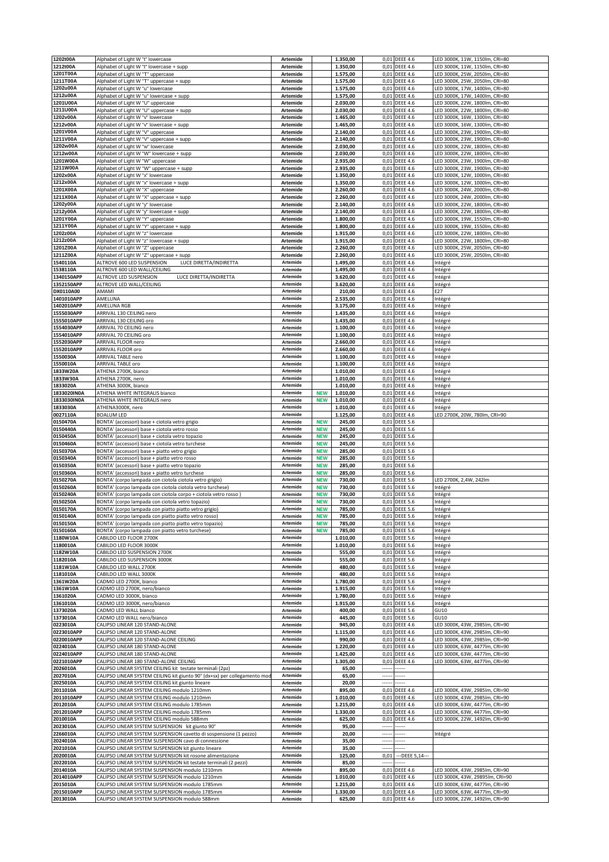| 1202t00A                 | Alphabet of Light W "t" lowercase                                                                                             | <b>Artemide</b>             |                          | 1.350,00             |                          | 0,01 DEEE 4.6                      | LED 3000K, 11W, 1150lm, CRI=80                                   |
|--------------------------|-------------------------------------------------------------------------------------------------------------------------------|-----------------------------|--------------------------|----------------------|--------------------------|------------------------------------|------------------------------------------------------------------|
| 1212t00A<br>1201T00A     | Alphabet of Light W "t" lowercase + supp                                                                                      | <b>Artemide</b>             |                          | 1.350,00             | 0,01                     | <b>DEEE 4.6</b>                    | LED 3000K, 11W, 1150lm, CRI=80                                   |
| 1211T00A                 | Alphabet of Light W "T" uppercase<br>Alphabet of Light W "T" uppercase + supp                                                 | Artemide<br>Artemide        |                          | 1.575,00<br>1.575,00 | 0,01<br>0,01             | <b>DEEE 4.6</b><br><b>DEEE 4.6</b> | LED 3000K, 25W, 2050lm, CRI=80<br>LED 3000K, 25W, 2050lm, CRI=80 |
| 1202u00A                 | Alphabet of Light W "u" lowercase                                                                                             | Artemide                    |                          | 1.575,00             | 0,01                     | <b>DEEE 4.6</b>                    | LED 3000K, 17W, 1400lm, CRI=80                                   |
| 1212u00A                 | Alphabet of Light W "u" lowercase + supp                                                                                      | <b>Artemide</b>             |                          | 1.575,00             |                          | 0,01 DEEE 4.6                      | LED 3000K, 17W, 1400lm, CRI=80                                   |
| 1201U00A                 | Alphabet of Light W "U" uppercase                                                                                             | Artemide                    |                          | 2.030,00             |                          | 0,01 DEEE 4.6                      | LED 3000K, 22W, 1800lm, CRI=80                                   |
| 1211U00A                 | Alphabet of Light W "U" uppercase + supp                                                                                      | <b>Artemide</b>             |                          | 2.030,00             | 0,01                     | <b>DEEE 4.6</b>                    | LED 3000K, 22W, 1800lm, CRI=80                                   |
| 1202v00A<br>1212v00A     | Alphabet of Light W "v" lowercase<br>Alphabet of Light W "v" lowercase + supp                                                 | Artemide<br><b>Artemide</b> |                          | 1.465,00<br>1.465,00 | 0,01                     | 0,01 DEEE 4.6<br><b>DEEE 4.6</b>   | LED 3000K, 16W, 1300lm, CRI=80<br>LED 3000K, 16W, 1300lm, CRI=80 |
| 1201V00A                 | Alphabet of Light W "V" uppercase                                                                                             | Artemide                    |                          | 2.140,00             | 0,01                     | <b>DEEE 4.6</b>                    | LED 3000K, 23W, 1900lm, CRI=80                                   |
| 1211V00A                 | Alphabet of Light W "V" uppercase + supp                                                                                      | <b>Artemide</b>             |                          | 2.140,00             | 0,01                     | <b>DEEE 4.6</b>                    | LED 3000K, 23W, 1900lm, CRI=80                                   |
| 1202w00A                 | Alphabet of Light W "w" lowercase                                                                                             | <b>Artemide</b>             |                          | 2.030,00             | 0,01                     | <b>DEEE 4.6</b>                    | LED 3000K, 22W, 1800lm, CRI=80                                   |
| 1212w00A                 | Alphabet of Light W "W" lowercase + supp                                                                                      | Artemide                    |                          | 2.030,00             | 0,01                     | <b>DEEE 4.6</b>                    | LED 3000K, 22W, 1800lm, CRI=80                                   |
| 1201W00A<br>1211W00A     | Alphabet of Light W "W" uppercase<br>Alphabet of Light W "W" uppercase + supp                                                 | Artemide<br>Artemide        |                          | 2.935,00<br>2.935,00 | 0,01<br>0,01             | <b>DEEE 4.6</b><br><b>DEEE 4.6</b> | LED 3000K, 23W, 1900lm, CRI=80<br>LED 3000K, 23W, 1900lm, CRI=80 |
| 1202x00A                 | Alphabet of Light W "x" lowercase                                                                                             | Artemide                    |                          | 1.350,00             | 0,01                     | <b>DEEE 4.6</b>                    | LED 3000K, 12W, 1000lm, CRI=80                                   |
| 1212x00A                 | Alphabet of Light W "x" lowercase + supp                                                                                      | Artemide                    |                          | 1.350,00             | 0,01                     | <b>DEEE 4.6</b>                    | LED 3000K, 12W, 1000lm, CRI=80                                   |
| 1201X00A                 | Alphabet of Light W "X" uppercase                                                                                             | <b>Artemide</b>             |                          | 2.260,00             | 0,01                     | <b>DEEE 4.6</b>                    | ED 3000K, 24W, 2000lm, CRI=80                                    |
| 1211X00A<br>1202y00A     | Alphabet of Light W "X" uppercase + supp                                                                                      | <b>Artemide</b>             |                          | 2.260,00             |                          | 0,01 DEEE 4.6                      | ED 3000K, 24W, 2000lm, CRI=80                                    |
| 1212y00A                 | Alphabet of Light W "y" lowercase<br>Alphabet of Light W "y" lowercase + supp                                                 | Artemide<br>Artemide        |                          | 2.140,00<br>2.140,00 | 0,01<br>0,01             | <b>DEEE 4.6</b><br><b>DEEE 4.6</b> | LED 3000K, 22W, 1800lm, CRI=80<br>LED 3000K, 22W, 1800lm, CRI=80 |
| 1201Y00A                 | Alphabet of Light W "Y" uppercase                                                                                             | <b>Artemide</b>             |                          | 1.800,00             | 0,01                     | <b>DEEE 4.6</b>                    | LED 3000K, 19W, 1550lm, CRI=80                                   |
| 1211Y00A                 | Alphabet of Light W "Y" uppercase + supp                                                                                      | <b>Artemide</b>             |                          | 1.800,00             | 0,01                     | <b>DEEE 4.6</b>                    | LED 3000K, 19W, 1550lm, CRI=80                                   |
| 1202z00A                 | Alphabet of Light W "z" lowercase                                                                                             | Artemide                    |                          | 1.915,00             | 0,01                     | <b>DEEE 4.6</b>                    | LED 3000K, 22W, 1800lm, CRI=80                                   |
| 1212z00A<br>1201Z00A     | Alphabet of Light W "z" lowercase + supp                                                                                      | <b>Artemide</b>             |                          | 1.915,00<br>2.260,00 | 0,01                     | <b>DEEE 4.6</b><br>0,01 DEEE 4.6   | LED 3000K, 22W, 1800lm, CRI=80<br>LED 3000K, 25W, 2050lm, CRI=80 |
| 1211Z00A                 | Alphabet of Light W "Z" uppercase<br>Alphabet of Light W "Z" uppercase + supp                                                 | <b>Artemide</b><br>Artemide |                          | 2.260,00             |                          | 0,01 DEEE 4.6                      | LED 3000K, 25W, 2050lm, CRI=80                                   |
| 1540110A                 | ALTROVE 600 LED SUSPENSION<br>LUCE DIRETTA/INDIRETTA                                                                          | Artemide                    |                          | 1.495,00             | 0,01                     | <b>DEEE 4.6</b>                    | Intégré                                                          |
| 1538110A                 | ALTROVE 600 LED WALL/CEILING                                                                                                  | Artemide                    |                          | 1.495,00             | 0,01                     | <b>DEEE 4.6</b>                    | Intégré                                                          |
| 1340150APP               | ALTROVE LED SUSPENSION<br>LUCE DIRETTA/INDIRETTA                                                                              | Artemide                    |                          | 3.620,00             |                          | 0,01 DEEE 4.6                      | Intégré                                                          |
| 1352150APP<br>DX0110A00  | ALTROVE LED WALL/CEILING<br>AMAMI                                                                                             | Artemide<br>Artemide        |                          | 3.620,00<br>210,00   | 0,01                     | <b>DEEE 4.6</b><br>0,01 DEEE 4.6   | Intégré<br>E27                                                   |
| 1401010APP               | AMELUNA                                                                                                                       | Artemide                    |                          | 2.535,00             |                          | 0,01 DEEE 4.6                      | Intégré                                                          |
| 1402010APP               | AMELUNA RGB                                                                                                                   | Artemide                    |                          | 3.175,00             | 0,01                     | <b>DEEE 4.6</b>                    | Intégré                                                          |
| 1555030APP               | ARRIVAL 130 CEILING nero                                                                                                      | Artemide                    |                          | 1.435,00             | 0,01                     | <b>DEEE 4.6</b>                    | Intégré                                                          |
| 1555010APP<br>1554030APP | ARRIVAL 130 CEILING oro<br>ARRIVAL 70 CEILING nero                                                                            | Artemide<br>Artemide        |                          | 1.435,00<br>1.100,00 | 0,01<br>0,01             | <b>DEEE 4.6</b><br><b>DEEE 4.6</b> | Intégré<br>Intégré                                               |
| 1554010APP               | ARRIVAL 70 CEILING oro                                                                                                        | Artemide                    |                          | 1.100,00             | 0,01                     | <b>DEEE 4.6</b>                    | Intégré                                                          |
| 1552030APP               | ARRIVAL FLOOR nero                                                                                                            | Artemide                    |                          | 2.660,00             | 0,01                     | <b>DEEE 4.6</b>                    | Intégré                                                          |
| 1552010APP               | ARRIVAL FLOOR oro                                                                                                             | Artemide                    |                          | 2.660,00             | 0,01                     | <b>DEEE 4.6</b>                    | Intégré                                                          |
| 1550030A                 | ARRIVAL TABLE nero                                                                                                            | Artemide                    |                          | 1.100,00             |                          | 0,01 DEEE 4.6                      | Intégré                                                          |
| 1550010A<br>1833W20A     | ARRIVAL TABLE oro<br>ATHENA 2700K, bianco                                                                                     | Artemide<br>Artemide        |                          | 1.100,00<br>1.010,00 |                          | 0,01 DEEE 4.6<br>0,01 DEEE 4.6     | Intégré<br>Intégré                                               |
| 1833W30A                 | ATHENA 2700K, nero                                                                                                            | Artemide                    |                          | 1.010,00             |                          | 0,01 DEEE 4.6                      | Intégré                                                          |
| 1833020A                 | ATHENA 3000K, bianco                                                                                                          | Artemide                    |                          | 1.010,00             | 0,01                     | <b>DEEE 4.6</b>                    | Intégré                                                          |
| 1833020IN0A              | ATHENA WHITE INTEGRALIS bianco                                                                                                | Artemide                    | <b>NEW</b>               | 1.010,00             | 0,01                     | <b>DEEE 4.6</b>                    | Intégré                                                          |
| 1833030IN0A<br>1833030A  | ATHENA WHITE INTEGRALIS nero<br>ATHENA3000K, nero                                                                             | Artemide<br>Artemide        | <b>NEW</b>               | 1.010,00<br>1.010,00 | 0,01<br>0,01             | <b>DEEE 4.6</b><br><b>DEEE 4.6</b> | Intégré                                                          |
| 0027110A                 | <b>BOALUM LED</b>                                                                                                             | Artemide                    |                          | 1.125,00             | 0,01                     | <b>DEEE 4.6</b>                    | Intégré<br>LED 2700K, 20W, 780lm, CRI=90                         |
| 0150470A                 | BONTA' (accessori) base + ciotola vetro grigio                                                                                | Artemide                    | <b>NEW</b>               | 245,00               | 0,01                     | <b>DEEE 5.6</b>                    |                                                                  |
| 0150440A                 | BONTA' (accessori) base + ciotola vetro rosso                                                                                 | Artemide                    | <b>NEW</b>               | 245,00               | 0,01                     | <b>DEEE 5.6</b>                    |                                                                  |
| 0150450A                 | BONTA' (accessori) base + ciotola vetro topazio                                                                               | Artemide                    | <b>NEW</b>               | 245,00               |                          | 0,01 DEEE 5.6                      |                                                                  |
| 0150460A<br>0150370A     | BONTA' (accessori) base + ciotola vetro turchese<br>BONTA' (accessori) base + piatto vetro grigio                             | Artemide<br>Artemide        | <b>NEW</b><br><b>NEW</b> | 245,00<br>285,00     | 0,01<br>0,01             | <b>DEEE 5.6</b><br><b>DEEE 5.6</b> |                                                                  |
| 0150340A                 | BONTA' (accessori) base + piatto vetro rosso                                                                                  | Artemide                    | <b>NEW</b>               | 285,00               |                          | 0,01 DEEE 5.6                      |                                                                  |
| 0150350A                 | BONTA' (accessori) base + piatto vetro topazio                                                                                | Artemide                    | <b>NEW</b>               | 285,00               | 0,01                     | <b>DEEE 5.6</b>                    |                                                                  |
| 0150360A                 | BONTA' (accessori) base + piatto vetro turchese                                                                               | Artemide                    | <b>NEW</b>               | 285,00               | 0,01                     | <b>DEEE 5.6</b>                    |                                                                  |
| 0150270A<br>0150260A     | BONTA' (corpo lampada con ciotola ciotola vetro grigio)<br>BONTA' (corpo lampada con ciotola ciotola vetro turchese)          | Artemide<br>Artemide        | <b>NEW</b><br><b>NEW</b> | 730,00<br>730,00     | 0,01<br>0,01             | <b>DEEE 5.6</b><br><b>DEEE 5.6</b> | LED 2700K, 2,4W, 242lm<br>Intégré                                |
| 0150240A                 | BONTA' (corpo lampada con ciotola corpo + ciotola vetro rosso)                                                                | Artemide                    | <b>NEW</b>               | 730,00               | 0,01                     | <b>DEEE 5.6</b>                    | Intégré                                                          |
| 0150250A                 | BONTA' (corpo lampada con ciotola vetro topazio)                                                                              | Artemide                    | <b>NEW</b>               | 730,00               | 0,01                     | <b>DEEE 5.6</b>                    | Intégré                                                          |
| 0150170A                 | BONTA' (corpo lampada con piatto piatto vetro grigio)                                                                         | Artemide                    | <b>NEW</b>               | 785,00               |                          | 0,01 DEEE 5.6                      | Intégré                                                          |
| 0150140A<br>0150150A     | BONTA' (corpo lampada con piatto piatto vetro rosso)<br>BONTA' (corpo lampada con piatto piatto vetro topazio)                | Artemide<br>Artemide        | <b>NEW</b><br><b>NEW</b> | 785,00<br>785,00     |                          | 0,01 DEEE 5.6<br>0,01 DEEE 5.6     | Integre<br>Intégré                                               |
| 0150160A                 | BONTA' (corpo lampada con piatto vetro turchese)                                                                              | Artemide                    | <b>NEW</b>               | 785,00               |                          | 0,01 DEEE 5.6                      | Intégré                                                          |
| 1180W10A                 | CABILDO LED FLOOR 2700K                                                                                                       | Artemide                    |                          | 1.010,00             |                          | 0,01 DEEE 5.6                      | Intégré                                                          |
| 1180010A                 | CABILDO LED FLOOR 3000K                                                                                                       | Artemide                    |                          | 1.010,00             |                          | 0,01 DEEE 5.6                      | Intégré                                                          |
| 1182W10A                 | CABILDO LED SUSPENSION 2700K                                                                                                  | Artemide                    |                          | 555,00               |                          | 0,01 DEEE 5.6                      | Intégré                                                          |
| 1182010A<br>1181W10A     | CABILDO LED SUSPENSION 3000K<br>CABILDO LED WALL 2700K                                                                        | Artemide<br>Artemide        |                          | 555,00<br>480,00     |                          | 0,01 DEEE 5.6<br>0,01 DEEE 5.6     | Intégré<br>Intégré                                               |
| 1181010A                 | CABILDO LED WALL 3000K                                                                                                        | Artemide                    |                          | 480,00               |                          | 0,01 DEEE 5.6                      | Intégré                                                          |
| 1361W20A                 | CADMO LED 2700K, bianco                                                                                                       | Artemide                    |                          | 1.780,00             | 0,01                     | <b>DEEE 5.6</b>                    | Intégré                                                          |
| 1361W10A                 | CADMO LED 2700K, nero/bianco                                                                                                  | Artemide                    |                          | 1.915,00             |                          | 0,01 DEEE 5.6                      | Intégré                                                          |
| 1361020A<br>1361010A     | CADMO LED 3000K, bianco<br>CADMO LED 3000K, nero/bianco                                                                       | Artemide<br>Artemide        |                          | 1.780,00<br>1.915,00 |                          | 0,01 DEEE 5.6<br>0,01 DEEE 5.6     | Intégré<br>Intégré                                               |
| 1373020A                 | CADMO LED WALL bianco                                                                                                         | Artemide                    |                          | 400,00               | 0,01                     | <b>DEEE 5.6</b>                    | GU10                                                             |
| 1373010A                 | CADMO LED WALL nero/bianco                                                                                                    | Artemide                    |                          | 445,00               |                          | 0,01 DEEE 5.6                      | GU10                                                             |
| 0223010A                 | CALIPSO LINEAR 120 STAND-ALONE                                                                                                | Artemide                    |                          | 945,00               |                          | 0,01 DEEE 4.6                      | LED 3000K, 43W, 2985lm, CRI=90                                   |
| 0223010APP<br>0220010APP | CALIPSO LINEAR 120 STAND-ALONE<br>CALIPSO LINEAR 120 STAND-ALONE CEILING                                                      | Artemide<br>Artemide        |                          | 1.115,00<br>990,00   |                          | 0,01 DEEE 4.6<br>0,01 DEEE 4.6     | LED 3000K, 43W, 2985lm, CRI=90<br>LED 3000K, 43W, 2985lm, CRI=90 |
| 0224010A                 | CALIPSO LINEAR 180 STAND-ALONE                                                                                                | Artemide                    |                          | 1.220,00             |                          | 0,01 DEEE 4.6                      | LED 3000K, 63W, 4477lm, CRI=90                                   |
| 0224010APP               | CALIPSO LINEAR 180 STAND-ALONE                                                                                                | Artemide                    |                          | 1.425,00             |                          | 0,01 DEEE 4.6                      | LED 3000K, 63W, 4477lm, CRI=90                                   |
| 0221010APP               | CALIPSO LINEAR 180 STAND-ALONE CEILING                                                                                        | Artemide                    |                          | 1.305,00             | 0,01                     | <b>DEEE 4.6</b>                    | LED 3000K, 63W, 4477lm, CRI=90                                   |
| 2026010A                 | CALIPSO LINEAR SYSTEM CEILING kit testate terminali (2pz)                                                                     | Artemide<br>Artemide        |                          | 65,00                |                          |                                    |                                                                  |
| 2027010A<br>2025010A     | CALIPSO LINEAR SYSTEM CEILING kit giunto 90° (dx+sx) per collegamento mod<br>CALIPSO LINEAR SYSTEM CEILING kit giunto lineare | Artemide                    |                          | 65,00<br>20,00       | $\cdots$<br>----         |                                    |                                                                  |
| 2011010A                 | CALIPSO LINEAR SYSTEM CEILING modulo 1210mm                                                                                   | Artemide                    |                          | 895,00               | 0,01                     | <b>DEEE 4.6</b>                    | LED 3000K, 43W, 2985lm, CRI=90                                   |
| 2011010APP               | CALIPSO LINEAR SYSTEM CEILING modulo 1210mm                                                                                   | Artemide                    |                          | 1.010,00             |                          | 0,01 DEEE 4.6                      | LED 3000K, 43W, 2985lm, CRI=90                                   |
| 2012010A                 | CALIPSO LINEAR SYSTEM CEILING modulo 1785mm                                                                                   | Artemide                    |                          | 1.215,00             |                          | 0,01 DEEE 4.6                      | LED 3000K, 63W, 4477lm, CRI=90                                   |
| 2012010APP<br>2010010A   | CALIPSO LINEAR SYSTEM CEILING modulo 1785mm<br>CALIPSO LINEAR SYSTEM CEILING modulo 588mm                                     | Artemide<br>Artemide        |                          | 1.330,00<br>625,00   | 0,01                     | <b>DEEE 4.6</b><br>0,01 DEEE 4.6   | LED 3000K, 63W, 4477lm, CRI=90<br>LED 3000K, 22W, 1492lm, CRI=90 |
| 2023010A                 | CALIPSO LINEAR SYSTEM SUSPENSION kit giunto 90°                                                                               | Artemide                    |                          | 95,00                | $\overline{\phantom{a}}$ |                                    |                                                                  |
| 2266010A                 | CALIPSO LINEAR SYSTEM SUSPENSION cavetto di sospensione (1 pezzo)                                                             | Artemide                    |                          | 20,00                | -----                    |                                    | Intégré                                                          |
| 2024010A                 | CALIPSO LINEAR SYSTEM SUSPENSION cavo di connessione                                                                          | Artemide                    |                          | 35,00                | $\cdots$                 | -----                              |                                                                  |
| 2021010A<br>2020010A     | CALIPSO LINEAR SYSTEM SUSPENSION kit giunto lineare<br>CALIPSO LINEAR SYSTEM SUSPENSION kit rosone alimentazione              | Artemide<br>Artemide        |                          | 35,00                | 0,01                     |                                    |                                                                  |
| 2022010A                 | CALIPSO LINEAR SYSTEM SUSPENSION kit testate terminali (2 pezzi)                                                              | Artemide                    |                          | 125,00<br>85,00      | $\overline{\phantom{a}}$ | --- DEEE 5,14 ---                  |                                                                  |
| 2014010A                 | CALIPSO LINEAR SYSTEM SUSPENSION modulo 1210mm                                                                                | Artemide                    |                          | 895,00               |                          | 0,01 DEEE 4.6                      | LED 3000K, 43W, 2985lm, CRI=90                                   |
| 2014010APP               | CALIPSO LINEAR SYSTEM SUSPENSION modulo 1210mm                                                                                | Artemide                    |                          | 1.010,00             |                          | 0,01 DEEE 4.6                      | LED 3000K, 43W, 29895lm, CRI=90                                  |
| 2015010A                 | CALIPSO LINEAR SYSTEM SUSPENSION modulo 1785mm                                                                                | Artemide<br>Artemide        |                          | 1.215,00             |                          | 0,01 DEEE 4.6                      | LED 3000K, 63W, 4477lm, CRI=90                                   |
| 2015010APP<br>2013010A   | CALIPSO LINEAR SYSTEM SUSPENSION modulo 1785mm<br>CALIPSO LINEAR SYSTEM SUSPENSION modulo 588mm                               | Artemide                    |                          | 1.330,00<br>625,00   |                          | 0,01 DEEE 4.6<br>0,01 DEEE 4.6     | ED 3000K, 63W, 4477lm, CRI=90<br>LED 3000K, 22W, 1492lm, CRI=90  |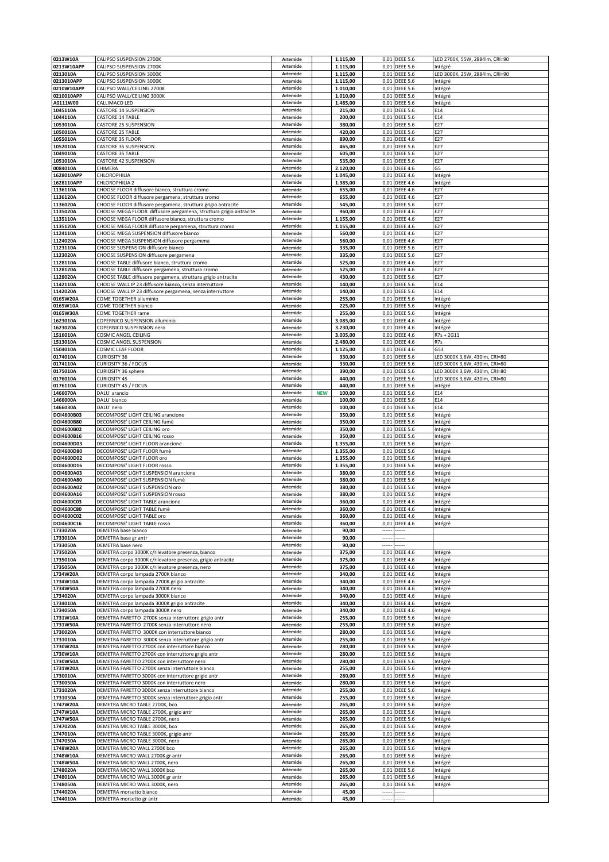| 0213W10A                 | CALIPSO SUSPENSION 2700K                                                                                                 | Artemide                    |            | 1.115,00             |                          | 0,01 DEEE 5.6                      | LED 2700K, 55W, 2884lm, CRI=90                                 |
|--------------------------|--------------------------------------------------------------------------------------------------------------------------|-----------------------------|------------|----------------------|--------------------------|------------------------------------|----------------------------------------------------------------|
| 0213W10APP<br>0213010A   | CALIPSO SUSPENSION 2700K<br>CALIPSO SUSPENSION 3000K                                                                     | Artemide<br>Artemide        |            | 1.115,00<br>1.115,00 | 0,01                     | <b>DEEE 5.6</b><br>0,01 DEEE 5.6   | Intégré<br>LED 3000K, 25W, 2884lm, CRI=90                      |
| 0213010APP               | CALIPSO SUSPENSION 3000K                                                                                                 | Artemide                    |            | 1.115,00             | 0,01                     | <b>DEEE 5.6</b>                    | Intégré                                                        |
| 0210W10APP               | CALIPSO WALL/CEILING 2700K                                                                                               | Artemide                    |            | 1.010,00             | 0,01                     | <b>DEEE 5.6</b>                    | Intégré                                                        |
| 0210010APP               | CALIPSO WALL/CEILING 3000K                                                                                               | Artemide                    |            | 1.010,00             | 0,01                     | <b>DEEE 5.6</b>                    | Intégré                                                        |
| A0111W00<br>1045110A     | CALLIMACO LED<br>CASTORE 14 SUSPENSION                                                                                   | Artemide<br>Artemide        |            | 1.485,00<br>215,00   | 0,01                     | 0,01 DEEE 5.6<br><b>DEEE 5.6</b>   | Intégré<br>E14                                                 |
| 1044110A                 | CASTORE 14 TABLE                                                                                                         | Artemide                    |            | 200,00               |                          | 0,01 DEEE 5.6                      | E14                                                            |
| 1053010A                 | <b>CASTORE 25 SUSPENSION</b>                                                                                             | Artemide                    |            | 380,00               |                          | 0,01 DEEE 5.6                      | E27                                                            |
| 1050010A                 | <b>CASTORE 25 TABLE</b>                                                                                                  | Artemide                    |            | 420,00               | 0,01                     | <b>DEEE 5.6</b>                    | E27                                                            |
| 1055010A<br>1052010A     | CASTORE 35 FLOOR<br><b>CASTORE 35 SUSPENSION</b>                                                                         | Artemide<br>Artemide        |            | 890,00<br>465,00     | 0,01<br>0,01             | <b>DEEE 4.6</b><br><b>DEEE 5.6</b> | E27<br>E27                                                     |
| 1049010A                 | CASTORE 35 TABLE                                                                                                         | Artemide                    |            | 605,00               | 0,01                     | <b>DEEE 5.6</b>                    | E27                                                            |
| 1051010A                 | <b>CASTORE 42 SUSPENSION</b>                                                                                             | Artemide                    |            | 535,00               | 0,01                     | <b>DEEE 5.6</b>                    | E27                                                            |
| 0084010A                 | CHIMERA                                                                                                                  | Artemide                    |            | 2.120,00             | 0,01                     | <b>DEEE 4.6</b>                    | G5                                                             |
| 1628010APP<br>1628110APP | CHLOROPHILIA<br>CHLOROPHILIA 2                                                                                           | Artemide<br>Artemide        |            | 1.045,00<br>1.385,00 | 0,01<br>0,01             | <b>DEEE 4.6</b><br><b>DEEE 4.6</b> | Intégré<br>Intégré                                             |
| 1136110A                 | CHOOSE FLOOR diffusore bianco, struttura cromo                                                                           | Artemide                    |            | 655,00               | 0,01                     | <b>DEEE 4.6</b>                    | E27                                                            |
| 1136120A                 | CHOOSE FLOOR diffusore pergamena, struttura cromo                                                                        | <b>Artemide</b>             |            | 655,00               |                          | 0,01 DEEE 4.6                      | E27                                                            |
| 1136020A                 | CHOOSE FLOOR diffusore pergamena, struttura grigio antracite                                                             | Artemide                    |            | 545,00               |                          | 0,01 DEEE 5.6                      | E27                                                            |
| 1135020A<br>1135110A     | CHOOSE MEGA FLOOR diffusore pergamena, struttura grigio antracite<br>CHOOSE MEGA FLOOR diffusore bianco, struttura cromo | Artemide<br>Artemide        |            | 960,00<br>1.155,00   | 0,01<br>0,01             | <b>DEEE 4.6</b><br><b>DEEE 4.6</b> | E27<br>E27                                                     |
| 1135120A                 | CHOOSE MEGA FLOOR diffusore pergamena, struttura cromo                                                                   | Artemide                    |            | 1.155,00             | 0,01                     | <b>DEEE 4.6</b>                    | E27                                                            |
| 1124110A                 | CHOOSE MEGA SUSPENSION diffusore bianco                                                                                  | Artemide                    |            | 560,00               |                          | 0,01 DEEE 4.6                      | E27                                                            |
| 1124020A                 | CHOOSE MEGA SUSPENSION diffusore pergamena                                                                               | Artemide                    |            | 560,00               | 0,01                     | <b>DEEE 4.6</b>                    | E27                                                            |
| 1123110A<br>1123020A     | CHOOSE SUSPENSION diffusore bianco<br>CHOOSE SUSPENSION diffusore pergamena                                              | Artemide<br>Artemide        |            | 335,00<br>335,00     | 0,01<br>0,01             | <b>DEEE 5.6</b><br><b>DEEE 5.6</b> | E27<br>E27                                                     |
| 1128110A                 | CHOOSE TABLE diffusore bianco, struttura cromo                                                                           | Artemide                    |            | 525,00               | 0,01                     | <b>DEEE 4.6</b>                    | E27                                                            |
| 1128120A                 | CHOOSE TABLE diffusore pergamena, struttura cromo                                                                        | Artemide                    |            | 525,00               | 0,01                     | <b>DEEE 4.6</b>                    | E27                                                            |
| 1128020A                 | CHOOSE TABLE diffusore pergamena, struttura grigio antracite                                                             | Artemide                    |            | 430,00               |                          | 0,01 DEEE 5.6                      | E27                                                            |
| 1142110A<br>1142020A     | CHOOSE WALL IP 23 diffusore bianco, senza interruttore<br>CHOOSE WALL IP 23 diffusore pergamena, senza interruttore      | Artemide<br>Artemide        |            | 140,00<br>140,00     | 0,01                     | 0,01 DEEE 5.6<br><b>DEEE 5.6</b>   | E14<br>E14                                                     |
| 0165W20A                 | COME TOGETHER alluminio                                                                                                  | Artemide                    |            | 255,00               | 0,01                     | <b>DEEE 5.6</b>                    | Intégré                                                        |
| 0165W10A                 | COME TOGETHER bianco                                                                                                     | Artemide                    |            | 225,00               | 0,01                     | <b>DEEE 5.6</b>                    | Intégré                                                        |
| 0165W30A                 | COME TOGETHER rame                                                                                                       | Artemide                    |            | 255,00               |                          | 0,01 DEEE 5.6                      | Intégré                                                        |
| 1623010A<br>1623020A     | COPERNICO SUSPENSION alluminio<br>COPERNICO SUSPENSION nero                                                              | Artemide<br>Artemide        |            | 3.085,00<br>3.230,00 | 0,01<br>0,01             | <b>DEEE 4.6</b><br><b>DEEE 4.6</b> | Intégré<br>Intégré                                             |
| 1516010A                 | COSMIC ANGEL CEILING                                                                                                     | Artemide                    |            | 3.005,00             | 0,01                     | <b>DEEE 4.6</b>                    | R7s + 2G11                                                     |
| 1513010A                 | COSMIC ANGEL SUSPENSION                                                                                                  | Artemide                    |            | 2.480,00             | 0,01                     | <b>DEEE 4.6</b>                    | R7s                                                            |
| 1504010A                 | COSMIC LEAF FLOOR                                                                                                        | Artemide                    |            | 1.125,00             | 0,01                     | <b>DEEE 4.6</b>                    | G53                                                            |
| 0174010A<br>0174110A     | <b>CURIOSITY 36</b><br>CURIOSITY 36 / FOCUS                                                                              | Artemide<br>Artemide        |            | 330,00<br>330,00     |                          | 0,01 DEEE 5.6<br>0,01 DEEE 5.6     | LED 3000K 3,6W, 430lm, CRI=80<br>LED 3000K 3,6W, 430lm, CRI=80 |
| 0175010A                 | CURIOSITY 36 sphere                                                                                                      | Artemide                    |            | 390,00               | 0,01                     | <b>DEEE 5.6</b>                    | LED 3000K 3,6W, 430lm, CRI=80                                  |
| 0176010A                 | <b>CURIOSITY 45</b>                                                                                                      | Artemide                    |            | 440,00               |                          | 0,01 DEEE 5.6                      | LED 3000K 3,6W, 430lm, CRI=80                                  |
| 0176110A                 | CURIOSITY 45 / FOCUS                                                                                                     | Artemide                    |            | 440,00               | 0,01                     | <b>DEEE 5.6</b>                    | intégré                                                        |
| 1466070A                 | DALU' arancio                                                                                                            | Artemide<br>Artemide        | <b>NEW</b> | 100,00               | 0,01                     | <b>DEEE 5.6</b>                    | E14<br>E14                                                     |
| 1466000A<br>1466030A     | DALU' bianco<br>DALU' nero                                                                                               | Artemide                    |            | 100,00<br>100,00     | 0,01<br>0,01             | <b>DEEE 5.6</b><br><b>DEEE 5.6</b> | E14                                                            |
| DOI4600B03               | DECOMPOSE' LIGHT CEILING arancione                                                                                       | Artemide                    |            | 350,00               | 0,01                     | <b>DEEE 5.6</b>                    | Intégré                                                        |
| DOI4600B80               | DECOMPOSE' LIGHT CEILING fumè                                                                                            | Artemide                    |            | 350,00               | 0,01                     | <b>DEEE 5.6</b>                    | Intégré                                                        |
| DOI4600B02<br>DOI4600B16 | DECOMPOSE' LIGHT CEILING oro<br>DECOMPOSE' LIGHT CEILING rosso                                                           | Artemide<br>Artemide        |            | 350,00<br>350,00     | 0,01                     | <b>DEEE 5.6</b><br>0,01 DEEE 5.6   | Intégré                                                        |
| DOI4600D03               | DECOMPOSE' LIGHT FLOOR arancione                                                                                         | Artemide                    |            | 1.355,00             | 0,01                     | <b>DEEE 5.6</b>                    | Intégré<br>Intégré                                             |
| DOI4600D80               | DECOMPOSE' LIGHT FLOOR fumè                                                                                              | Artemide                    |            | 1.355,00             | 0,01                     | <b>DEEE 5.6</b>                    | Intégré                                                        |
| DOI4600D02               | DECOMPOSE' LIGHT FLOOR oro                                                                                               | Artemide                    |            | 1.355,00             |                          | 0,01 DEEE 5.6                      | Intégré                                                        |
| DOI4600D16<br>DOI4600A03 | DECOMPOSE' LIGHT FLOOR rosso                                                                                             | Artemide<br>Artemide        |            | 1.355,00<br>380,00   | 0,01<br>0,01             | <b>DEEE 5.6</b><br><b>DEEE 5.6</b> | Intégré                                                        |
| DOI4600A80               | DECOMPOSE' LIGHT SUSPENSION arancione<br>DECOMPOSE' LIGHT SUSPENSION fumè                                                | Artemide                    |            | 380,00               | 0,01                     | <b>DEEE 5.6</b>                    | Intégré<br>Intégré                                             |
| DOI4600A02               | DECOMPOSE' LIGHT SUSPENSION oro                                                                                          | Artemide                    |            | 380,00               | 0,01                     | <b>DEEE 5.6</b>                    | Intégré                                                        |
| DOI4600A16               | DECOMPOSE' LIGHT SUSPENSION rosso                                                                                        | Artemide                    |            | 380,00               | 0,01                     | <b>DEEE 5.6</b>                    | Intégré                                                        |
| DOI4600C03<br>DOI4600C80 | DECOMPOSE' LIGHT TABLE arancione<br>DECOMPOSE' LIGHT TABLE fumè                                                          | Artemide<br>Artemide        |            | 360,00<br>360,00     | 0,01                     | <b>DEEE 4.6</b><br>0,01 DEEE 4.6   | Intégré<br>Intégré                                             |
| DOI4600C02               | DECOMPOSE' LIGHT TABLE oro                                                                                               | Artemide                    |            | 360,00               |                          | 0,01 DEEE 4.6                      | Integre                                                        |
| DOI4600C16               | DECOMPOSE' LIGHT TABLE rosso                                                                                             | Artemide                    |            | 360,00               |                          | 0,01 DEEE 4.6                      | Intégré                                                        |
| 1733020A                 | DEMETRA base bianco                                                                                                      | Artemide                    |            | 90,00                | $\overline{\phantom{a}}$ |                                    |                                                                |
| 1733010A                 | DEMETRA base gr antr                                                                                                     | <b>Artemide</b><br>Artemide |            | 90,00                |                          |                                    |                                                                |
| 1733050A<br>1735020A     | DEMETRA base nero<br>DEMETRA corpo 3000K c/rilevatore presenza, bianco                                                   | Artemide                    |            | 90,00<br>375,00      | 0,01                     | <b>DEEE 4.6</b>                    | Intégré                                                        |
| 1735010A                 | DEMETRA corpo 3000K c/rilevatore presenza, grigio antracite                                                              | Artemide                    |            | 375,00               |                          | 0,01 DEEE 4.6                      | Intégré                                                        |
| 1735050A                 | DEMETRA corpo 3000K c/rilevatore presenza, nero                                                                          | Artemide                    |            | 375,00               |                          | 0,01 DEEE 4.6                      | Intégré                                                        |
| 1734W20A<br>1734W10A     | DEMETRA corpo lampada 2700K bianco<br>DEMETRA corpo lampada 2700K grigio antracite                                       | Artemide<br>Artemide        |            | 340,00<br>340,00     | 0,01                     | 0,01 DEEE 4.6<br><b>DEEE 4.6</b>   | Intégré<br>Intégré                                             |
| 1734W50A                 | DEMETRA corpo lampada 2700K nero                                                                                         | Artemide                    |            | 340,00               |                          | 0,01 DEEE 4.6                      | Intégré                                                        |
| 1734020A                 | DEMETRA corpo lampada 3000K bianco                                                                                       | Artemide                    |            | 340,00               |                          | 0,01 DEEE 4.6                      | Intégré                                                        |
| 1734010A                 | DEMETRA corpo lampada 3000K grigio antracite                                                                             | Artemide                    |            | 340,00               |                          | 0,01 DEEE 4.6                      | Intégré                                                        |
| 1734050A<br>1731W10A     | DEMETRA corpo lampada 3000K nero<br>DEMETRA FARETTO 2700K senza interruttore grigio antr                                 | Artemide<br><b>Artemide</b> |            | 340,00<br>255,00     |                          | 0,01 DEEE 4.6<br>0,01 DEEE 5.6     | Intégré<br>Intégré                                             |
| 1731W50A                 | DEMETRA FARETTO 2700K senza interruttore nero                                                                            | Artemide                    |            | 255,00               |                          | 0,01 DEEE 5.6                      | Intégré                                                        |
| 1730020A                 | DEMETRA FARETTO 3000K con interruttore bianco                                                                            | Artemide                    |            | 280,00               |                          | 0,01 DEEE 5.6                      | Intégré                                                        |
| 1731010A                 | DEMETRA FARETTO 3000K senza interruttore grigio antr                                                                     | Artemide                    |            | 255,00               |                          | 0,01 DEEE 5.6                      | Intégré                                                        |
| 1730W20A<br>1730W10A     | DEMETRA FARETTO 2700K con interruttore bianco<br>DEMETRA FARETTO 2700K con interruttore grigio antr                      | Artemide<br>Artemide        |            | 280,00<br>280,00     |                          | 0,01 DEEE 5.6<br>0,01 DEEE 5.6     | Intégré<br>Intégré                                             |
| 1730W50A                 | DEMETRA FARETTO 2700K con interruttore nero                                                                              | Artemide                    |            | 280,00               |                          | 0,01 DEEE 5.6                      | Intégré                                                        |
| 1731W20A                 | DEMETRA FARETTO 2700K senza interruttore bianco                                                                          | Artemide                    |            | 255,00               |                          | 0,01 DEEE 5.6                      | Intégré                                                        |
| 1730010A                 | DEMETRA FARETTO 3000K con interruttore grigio antr                                                                       | Artemide                    |            | 280,00               |                          | 0,01 DEEE 5.6                      | Intégré                                                        |
| 1730050A<br>1731020A     | DEMETRA FARETTO 3000K con interruttore nero<br>DEMETRA FARETTO 3000K senza interruttore bianco                           | Artemide<br>Artemide        |            | 280,00<br>255,00     |                          | 0,01 DEEE 5.6<br>0,01 DEEE 5.6     | Intégré<br>Intégré                                             |
| 1731050A                 | DEMETRA FARETTO 3000K senza interruttore grigio antr                                                                     | Artemide                    |            | 255,00               |                          | 0,01 DEEE 5.6                      | Intégré                                                        |
| 1747W20A                 | DEMETRA MICRO TABLE 2700K, bco                                                                                           | Artemide                    |            | 265,00               |                          | 0,01 DEEE 5.6                      | Intégré                                                        |
| 1747W10A                 | DEMETRA MICRO TABLE 2700K, grigio antr                                                                                   | Artemide                    |            | 265,00               |                          | 0,01 DEEE 5.6                      | Intégré                                                        |
| 1747W50A<br>1747020A     | DEMETRA MICRO TABLE 2700K, nero<br>DEMETRA MICRO TABLE 3000K, bco                                                        | Artemide<br>Artemide        |            | 265,00<br>265,00     |                          | 0,01 DEEE 5.6<br>0,01 DEEE 5.6     | Intégré<br>Intégré                                             |
| 1747010A                 | DEMETRA MICRO TABLE 3000K, grigio antr                                                                                   | Artemide                    |            | 265,00               |                          | 0,01 DEEE 5.6                      | Intégré                                                        |
| 1747050A                 | DEMETRA MICRO TABLE 3000K, nero                                                                                          | Artemide                    |            | 265,00               |                          | 0,01 DEEE 5.6                      | Intégré                                                        |
| 1748W20A                 | DEMETRA MICRO WALL 2700K bco                                                                                             | Artemide                    |            | 265,00               |                          | 0,01 DEEE 5.6                      | Intégré                                                        |
| 1748W10A<br>1748W50A     | DEMETRA MICRO WALL 2700K gr antr<br>DEMETRA MICRO WALL 2700K, nero                                                       | Artemide<br>Artemide        |            | 265,00<br>265,00     | 0,01                     | 0,01 DEEE 5.6<br><b>DEEE 5.6</b>   | Intégré<br>Intégré                                             |
| 1748020A                 | DEMETRA MICRO WALL 3000K bco                                                                                             | Artemide                    |            | 265,00               |                          | 0,01 DEEE 5.6                      | Intégré                                                        |
| 1748010A                 | DEMETRA MICRO WALL 3000K gr antr                                                                                         | Artemide                    |            | 265,00               |                          | 0,01 DEEE 5.6                      | Intégré                                                        |
| 1748050A                 | DEMETRA MICRO WALL 3000K, nero                                                                                           | Artemide                    |            | 265,00               | 0,01                     | <b>DEEE 5.6</b>                    | Intégré                                                        |
| 1744020A<br>1744010A     | DEMETRA morsetto bianco<br>DEMETRA morsetto gr antr                                                                      | Artemide<br>Artemide        |            | 45,00<br>45,00       | -----                    |                                    |                                                                |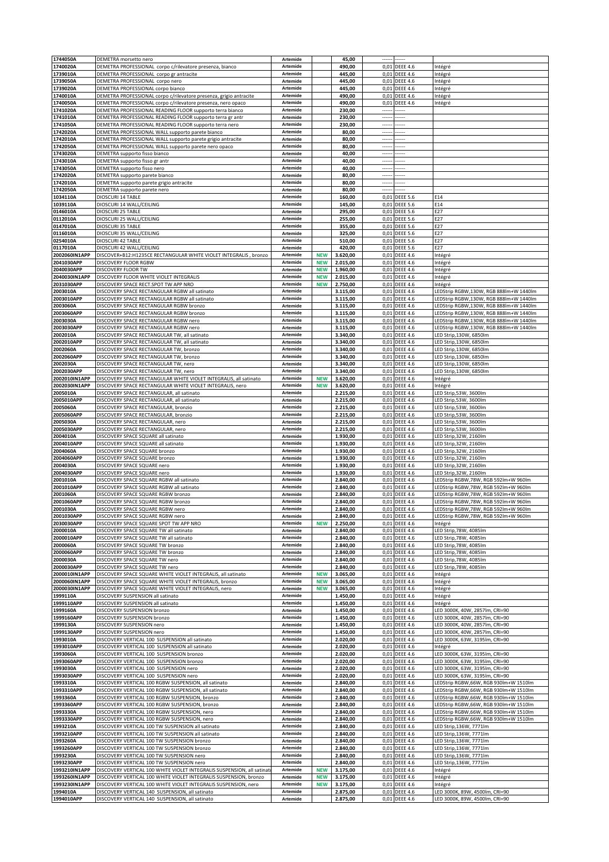| 1744050A                    | DEMETRA morsetto nero                                                                                                              | Artemide             |                          | 45,00                |                          |                                    |                                                                                  |
|-----------------------------|------------------------------------------------------------------------------------------------------------------------------------|----------------------|--------------------------|----------------------|--------------------------|------------------------------------|----------------------------------------------------------------------------------|
| 1740020A<br>1739010A        | DEMETRA PROFESSIONAL corpo c/rilevatore presenza, bianco<br>DEMETRA PROFESSIONAL corpo gr antracite                                | Artemide<br>Artemide |                          | 490,00<br>445,00     | 0,01<br>0,01             | <b>DEEE 4.6</b><br><b>DEEE 4.6</b> | Intégré<br>Intégré                                                               |
| 1739050A                    | DEMETRA PROFESSIONAL corpo nero                                                                                                    | Artemide             |                          | 445,00               | 0,01                     | <b>DEEE 4.6</b>                    | Intégré                                                                          |
| 1739020A                    | DEMETRA PROFESSIONAL corpo bianco                                                                                                  | Artemide             |                          | 445,00               | 0,01                     | <b>DEEE 4.6</b>                    | Intégré                                                                          |
| 1740010A<br>1740050A        | DEMETRA PROFESSIONAL corpo c/rilevatore presenza, grigio antracite<br>DEMETRA PROFESSIONAL corpo c/rilevatore presenza, nero opaco | Artemide<br>Artemide |                          | 490,00<br>490,00     | 0,01<br>0,01             | <b>DEEE 4.6</b><br><b>DEEE 4.6</b> | Intégré<br>Intégré                                                               |
| 1741020A                    | DEMETRA PROFESSIONAL READING FLOOR supporto terra bianco                                                                           | Artemide             |                          | 230,00               |                          |                                    |                                                                                  |
| 1741010A                    | DEMETRA PROFESSIONAL READING FLOOR supporto terra gr antr                                                                          | Artemide             |                          | 230,00               | $\overline{\phantom{a}}$ |                                    |                                                                                  |
| 1741050A                    | DEMETRA PROFESSIONAL READING FLOOR supporto terra nero                                                                             | Artemide<br>Artemide |                          | 230,00               | $\overline{\phantom{a}}$ |                                    |                                                                                  |
| 1742020A<br>1742010A        | DEMETRA PROFESSIONAL WALL supporto parete bianco<br>DEMETRA PROFESSIONAL WALL supporto parete grigio antracite                     | Artemide             |                          | 80,00<br>80,00       | $\overline{\phantom{a}}$ |                                    |                                                                                  |
| L742050A                    | DEMETRA PROFESSIONAL WALL supporto parete nero opaco                                                                               | Artemide             |                          | 80,00                | $\sim$                   |                                    |                                                                                  |
| 1743020A                    | DEMETRA supporto fisso bianco                                                                                                      | Artemide             |                          | 40,00                | $\cdots$                 | ----                               |                                                                                  |
| 1743010A<br>1743050A        | DEMETRA supporto fisso gr antr<br>DEMETRA supporto fisso nero                                                                      | Artemide<br>Artemide |                          | 40,00<br>40,00       | $\sim$<br>-----          |                                    |                                                                                  |
| 1742020A                    | DEMETRA supporto parete bianco                                                                                                     | Artemide             |                          | 80,00                | $\overline{\phantom{a}}$ |                                    |                                                                                  |
| 1742010A                    | DEMETRA supporto parete grigio antracite                                                                                           | Artemide             |                          | 80,00                | $\sim$                   |                                    |                                                                                  |
| 1742050A<br>1034110A        | DEMETRA supporto parete nero<br>DIOSCURI 14 TABLE                                                                                  | Artemide<br>Artemide |                          | 80,00<br>160,00      | <br>0,01                 | <b>DEEE 5.6</b>                    | E14                                                                              |
| 1039110A                    | DIOSCURI 14 WALL/CEILING                                                                                                           | Artemide             |                          | 145,00               | 0,01                     | <b>DEEE 5.6</b>                    | E14                                                                              |
| 0146010A                    | DIOSCURI 25 TABLE                                                                                                                  | Artemide             |                          | 295,00               | 0,01                     | <b>DEEE 5.6</b>                    | E27                                                                              |
| 0112010A                    | DIOSCURI 25 WALL/CEILING<br>DIOSCURI 35 TABLE                                                                                      | Artemide             |                          | 255,00               | 0,01                     | <b>DEEE 5.6</b>                    | E27<br>E27                                                                       |
| 0147010A<br>0116010A        | DIOSCURI 35 WALL/CEILING                                                                                                           | Artemide<br>Artemide |                          | 355,00<br>325,00     | 0,01<br>0,01             | <b>DEEE 5.6</b><br><b>DEEE 5.6</b> | E27                                                                              |
| 0254010A                    | DIOSCURI 42 TABLE                                                                                                                  | Artemide             |                          | 510,00               | 0,01                     | <b>DEEE 5.6</b>                    | E27                                                                              |
| 0117010A                    | DIOSCURI 42 WALL/CEILING                                                                                                           | Artemide             |                          | 420,00               | 0,01                     | <b>DEEE 5.6</b>                    | E27                                                                              |
| 2002060IN1APP<br>2041030APP | DISCOVER+B12:H1235CE RECTANGULAR WHITE VIOLET INTEGRALIS, bronzo<br>DISCOVERY FLOOR RGBW                                           | Artemide<br>Artemide | <b>NEW</b><br><b>NEW</b> | 3.620,00<br>2.015,00 | 0,01<br>0,01             | <b>DEEE 4.6</b><br><b>DEEE 4.6</b> | Intégré<br>Intégré                                                               |
| 2040030APP                  | DISCOVERY FLOOR TW                                                                                                                 | Artemide             | <b>NEW</b>               | 1.960,00             | 0,01                     | <b>DEEE 4.6</b>                    | Intégré                                                                          |
| 2040030IN1APP               | DISCOVERY FLOOR WHITE VIOLET INTEGRALIS                                                                                            | Artemide             | <b>NEW</b>               | 2.015,00             | 0,01                     | <b>DEEE 4.6</b>                    | Intégré                                                                          |
| 2031030APP<br>2003010A      | DISCOVERY SPACE RECT.SPOT TW APP NRO<br>DISCOVERY SPACE RECTANGULAR RGBW all satinato                                              | Artemide<br>Artemide | <b>NEW</b>               | 2.750,00<br>3.115,00 | 0,01<br>0,01             | <b>DEEE 4.6</b><br><b>DEEE 4.6</b> | Intégré<br>LEDStrip RGBW,130W, RGB 888lm+W 1440lm                                |
| 2003010APP                  | DISCOVERY SPACE RECTANGULAR RGBW all satinato                                                                                      | Artemide             |                          | 3.115,00             | 0,01                     | <b>DEEE 4.6</b>                    | LEDStrip RGBW,130W, RGB 888lm+W 1440lm                                           |
| 2003060A                    | DISCOVERY SPACE RECTANGULAR RGBW bronzo                                                                                            | Artemide             |                          | 3.115,00             | 0,01                     | <b>DEEE 4.6</b>                    | LEDStrip RGBW,130W, RGB 888lm+W 1440lm                                           |
| 2003060APP<br>2003030A      | DISCOVERY SPACE RECTANGULAR RGBW bronzo<br>DISCOVERY SPACE RECTANGULAR RGBW nero                                                   | Artemide<br>Artemide |                          | 3.115,00<br>3.115,00 | 0,01<br>0,01             | <b>DEEE 4.6</b><br><b>DEEE 4.6</b> | LEDStrip RGBW,130W, RGB 888lm+W 1440lm<br>LEDStrip RGBW.130W, RGB 888lm+W 1440lm |
| 2003030APP                  | DISCOVERY SPACE RECTANGULAR RGBW nero                                                                                              | Artemide             |                          | 3.115,00             | 0,01                     | <b>DEEE 4.6</b>                    | LEDStrip RGBW,130W, RGB 888lm+W 1440lm                                           |
| 2002010A                    | DISCOVERY SPACE RECTANGULAR TW, all satinato                                                                                       | Artemide             |                          | 3.340,00             | 0,01                     | <b>DEEE 4.6</b>                    | LED Strip,130W, 6850lm                                                           |
| 2002010APP<br>2002060A      | DISCOVERY SPACE RECTANGULAR TW, all satinato<br>DISCOVERY SPACE RECTANGULAR TW, bronzo                                             | Artemide<br>Artemide |                          | 3.340,00<br>3.340,00 | 0,01<br>0,01             | <b>DEEE 4.6</b><br><b>DEEE 4.6</b> | LED Strip,130W, 6850lm<br>LED Strip,130W, 6850lm                                 |
| 2002060APP                  | DISCOVERY SPACE RECTANGULAR TW, bronzo                                                                                             | Artemide             |                          | 3.340,00             | 0,01                     | <b>DEEE 4.6</b>                    | LED Strip,130W, 6850lm                                                           |
| 2002030A                    | DISCOVERY SPACE RECTANGULAR TW, nero                                                                                               | Artemide             |                          | 3.340,00             | 0,01                     | <b>DEEE 4.6</b>                    | LED Strip,130W, 6850lm                                                           |
| 2002030APP<br>2002010IN1APP | DISCOVERY SPACE RECTANGULAR TW, nero<br>DISCOVERY SPACE RECTANGULAR WHITE VIOLET INTEGRALIS, all satinato                          | Artemide<br>Artemide | <b>NEW</b>               | 3.340,00<br>3.620,00 | 0,01<br>0,01             | <b>DEEE 4.6</b><br><b>DEEE 4.6</b> | LED Strip,130W, 6850lm<br>Intégré                                                |
| 2002030IN1APP               | DISCOVERY SPACE RECTANGULAR WHITE VIOLET INTEGRALIS, nero                                                                          | Artemide             | <b>NEW</b>               | 3.620,00             | 0,01                     | <b>DEEE 4.6</b>                    | Intégré                                                                          |
| 2005010A                    | DISCOVERY SPACE RECTANGULAR, all satinato                                                                                          | Artemide             |                          | 2.215,00             | 0,01                     | <b>DEEE 4.6</b>                    | LED Strip,53W, 3600lm                                                            |
| 2005010APP<br>2005060A      | DISCOVERY SPACE RECTANGULAR, all satinato<br>DISCOVERY SPACE RECTANGULAR, bronzio                                                  | Artemide<br>Artemide |                          | 2.215,00<br>2.215,00 | 0,01<br>0,01             | <b>DEEE 4.6</b><br><b>DEEE 4.6</b> | LED Strip,53W, 3600lm<br>LED Strip,53W, 3600lm                                   |
| 2005060APP                  | DISCOVERY SPACE RECTANGULAR, bronzio                                                                                               | Artemide             |                          | 2.215,00             | 0,01                     | <b>DEEE 4.6</b>                    | LED Strip,53W, 3600lm                                                            |
| 2005030A                    | DISCOVERY SPACE RECTANGULAR, nero                                                                                                  | Artemide             |                          | 2.215,00             | 0,01                     | <b>DEEE 4.6</b>                    | LED Strip,53W, 3600lm                                                            |
| 2005030APP<br>2004010A      | DISCOVERY SPACE RECTANGULAR, nero<br>DISCOVERY SPACE SQUARE all satinato                                                           | Artemide<br>Artemide |                          | 2.215,00<br>1.930,00 | 0,01<br>0,01             | <b>DEEE 4.6</b><br><b>DEEE 4.6</b> | LED Strip,53W, 3600lm<br>LED Strip, 32W, 2160lm                                  |
| 2004010APP                  | DISCOVERY SPACE SQUARE all satinato                                                                                                | Artemide             |                          | 1.930,00             | 0,01                     | <b>DEEE 4.6</b>                    | LED Strip,32W, 2160lm                                                            |
| 2004060A                    | DISCOVERY SPACE SQUARE bronzo                                                                                                      | Artemide<br>Artemide |                          | 1.930,00             | 0,01<br>0,01             | <b>DEEE 4.6</b>                    | LED Strip, 32W, 2160lm<br>LED Strip, 32W, 2160lm                                 |
| 2004060APP<br>2004030A      | DISCOVERY SPACE SQUARE bronzo<br>DISCOVERY SPACE SQUARE nero                                                                       | Artemide             |                          | 1.930,00<br>1.930,00 | 0,01                     | <b>DEEE 4.6</b><br><b>DEEE 4.6</b> | LED Strip, 32W, 2160lm                                                           |
| 2004030APP                  | DISCOVERY SPACE SQUARE nero                                                                                                        | Artemide             |                          | 1.930,00             | 0,01                     | <b>DEEE 4.6</b>                    | LED Strip,32W, 2160lm                                                            |
| 2001010A<br>2001010APP      | DISCOVERY SPACE SQUARE RGBW all satinato<br>DISCOVERY SPACE SQUARE RGBW all satinato                                               | Artemide<br>Artemide |                          | 2.840,00<br>2.840,00 | 0,01<br>0,01             | <b>DEEE 4.6</b><br><b>DEEE 4.6</b> | LEDStrip RGBW,78W, RGB 592lm+W 960lm<br>EDStrip RGBW,78W, RGB 592lm+W 960lm      |
| 2001060A                    | DISCOVERY SPACE SQUARE RGBW bronzo                                                                                                 | Artemide             |                          | 2.840,00             | 0,01                     | <b>DEEE 4.6</b>                    | LEDStrip RGBW,78W, RGB 592lm+W 960lm                                             |
| 2001060APP                  | DISCOVERY SPACE SQUARE RGBW bronzo                                                                                                 | Artemide             |                          | 2.840,00             | 0,01                     | <b>DEEE 4.6</b>                    | LEDStrip RGBW,78W, RGB 592lm+W 960lm                                             |
| 2001030A<br>2001030APP      | DISCOVERY SPACE SQUARE RGBW nero<br>DISCOVERY SPACE SQUARE RGBW nero                                                               | Artemide<br>Artemide |                          | 2.840.00<br>2.840,00 | 0,01                     | <b>DEEE 4.6</b><br>0,01 DEEE 4.6   | LEDStrip RGBW,78W, RGB 592lm+W 960lm<br>LEDStrip RGBW,78W, RGB 592Im+W 960Im     |
| 2030030APP                  | DISCOVERY SPACE SQUARE SPOT TW APP NRO                                                                                             | Artemide             | <b>NEW</b>               | 2.250,00             |                          | 0,01 DEEE 4.6                      | Intégré                                                                          |
| 2000010A                    | DISCOVERY SPACE SQUARE TW all satinato                                                                                             | Artemide             |                          | 2.840,00             |                          | 0,01 DEEE 4.6                      | LED Strip,78W, 4085lm                                                            |
| 2000010APP<br>2000060A      | DISCOVERY SPACE SQUARE TW all satinato<br>DISCOVERY SPACE SQUARE TW bronzo                                                         | Artemide<br>Artemide |                          | 2.840,00<br>2.840,00 |                          | 0,01 DEEE 4.6<br>0,01 DEEE 4.6     | LED Strip, 78W, 4085lm<br>LED Strip,78W, 4085lm                                  |
| 2000060APP                  | DISCOVERY SPACE SQUARE TW bronzo                                                                                                   | Artemide             |                          | 2.840,00             | 0,01                     | <b>DEEE 4.6</b>                    | LED Strip,78W, 4085lm                                                            |
| 2000030A                    | DISCOVERY SPACE SQUARE TW nero                                                                                                     | Artemide             |                          | 2.840,00             | 0,01                     | <b>DEEE 4.6</b>                    | LED Strip, 78W, 4085lm                                                           |
| 2000030APP<br>2000010IN1APP | DISCOVERY SPACE SQUARE TW nero<br>DISCOVERY SPACE SQUARE WHITE VIOLET INTEGRALIS, all satinato                                     | Artemide<br>Artemide | <b>NEW</b>               | 2.840,00<br>3.065,00 | 0,01                     | 0,01 DEEE 4.6<br><b>DEEE 4.6</b>   | LED Strip, 78W, 4085lm<br>Intégré                                                |
| 2000060IN1APP               | DISCOVERY SPACE SQUARE WHITE VIOLET INTEGRALIS, bronzo                                                                             | Artemide             | <b>NEW</b>               | 3.065,00             |                          | 0,01 DEEE 4.6                      | Intégré                                                                          |
| 2000030IN1APP               | DISCOVERY SPACE SQUARE WHITE VIOLET INTEGRALIS, nero                                                                               | Artemide             | <b>NEW</b>               | 3.065,00             | 0,01                     | <b>DEEE 4.6</b>                    | Intégré                                                                          |
| 1999110A<br>1999110APP      | DISCOVERY SUSPENSION all satinato<br>DISCOVERY SUSPENSION all satinato                                                             | Artemide<br>Artemide |                          | 1.450,00<br>1.450,00 |                          | 0,01 DEEE 4.6<br>0,01 DEEE 4.6     | Intégré<br>Intégré                                                               |
| 1999160A                    | DISCOVERY SUSPENSION bronzo                                                                                                        | Artemide             |                          | 1.450,00             |                          | 0,01 DEEE 4.6                      | LED 3000K, 40W, 2857lm, CRI=90                                                   |
| 1999160APP                  | DISCOVERY SUSPENSION bronzo                                                                                                        | Artemide             |                          | 1.450,00             | 0,01                     | <b>DEEE 4.6</b>                    | LED 3000K, 40W, 2857lm, CRI=90                                                   |
| 1999130A<br>1999130APP      | DISCOVERY SUSPENSION nero<br>DISCOVERY SUSPENSION nero                                                                             | Artemide<br>Artemide |                          | 1.450,00<br>1.450.00 |                          | 0,01 DEEE 4.6<br>0,01 DEEE 4.6     | LED 3000K, 40W, 2857lm, CRI=90<br>LED 3000K, 40W, 2857lm, CRI=90                 |
| 1993010A                    | DISCOVERY VERTICAL 100 SUSPENSION all satinato                                                                                     | Artemide             |                          | 2.020,00             | 0,01                     | <b>DEEE 4.6</b>                    | LED 3000K, 63W, 3195lm, CRI=90                                                   |
| 1993010APP<br>1993060A      | DISCOVERY VERTICAL 100 SUSPENSION all satinato<br>DISCOVERY VERTICAL 100 SUSPENSION bronzo                                         | Artemide<br>Artemide |                          | 2.020,00<br>2.020,00 | 0,01                     | 0,01 DEEE 4.6<br><b>DEEE 4.6</b>   | Intégré<br>LED 3000K, 63W, 3195lm, CRI=90                                        |
| 1993060APP                  | DISCOVERY VERTICAL 100 SUSPENSION bronzo                                                                                           | Artemide             |                          | 2.020,00             | 0,01                     | <b>DEEE 4.6</b>                    | LED 3000K, 63W, 3195lm, CRI=90                                                   |
| 1993030A                    | DISCOVERY VERTICAL 100 SUSPENSION nero                                                                                             | Artemide             |                          | 2.020,00             | 0,01                     | <b>DEEE 4.6</b>                    | ED 3000K, 63W, 3195lm, CRI=90                                                    |
| 1993030APP<br>1993310A      | DISCOVERY VERTICAL 100 SUSPENSION nero<br>DISCOVERY VERTICAL 100 RGBW SUSPENSION, all satinato                                     | Artemide<br>Artemide |                          | 2.020,00<br>2.840,00 |                          | 0,01 DEEE 4.6<br>0,01 DEEE 4.6     | LED 3000K, 63W, 3195lm, CRI=90<br>LEDStrip RGBW,66W, RGB 930lm+W 1510lm          |
| 1993310APP                  | DISCOVERY VERTICAL 100 RGBW SUSPENSION, all satinato                                                                               | Artemide             |                          | 2.840,00             |                          | 0,01 DEEE 4.6                      | LEDStrip RGBW,66W, RGB 930lm+W 1510lm                                            |
| 1993360A                    | DISCOVERY VERTICAL 100 RGBW SUSPENSION, bronzo<br>DISCOVERY VERTICAL 100 RGBW SUSPENSION, bronzo                                   | Artemide<br>Artemide |                          | 2.840,00             |                          | 0,01 DEEE 4.6                      | LEDStrip RGBW,66W, RGB 930lm+W 1510lm                                            |
| 1993360APP<br>1993330A      | DISCOVERY VERTICAL 100 RGBW SUSPENSION, nero                                                                                       | Artemide             |                          | 2.840,00<br>2.840,00 | 0,01                     | <b>DEEE 4.6</b><br>0,01 DEEE 4.6   | LEDStrip RGBW,66W, RGB 930lm+W 1510lm<br>LEDStrip RGBW,66W, RGB 930lm+W 1510lm   |
| 1993330APP                  | DISCOVERY VERTICAL 100 RGBW SUSPENSION, nero                                                                                       | Artemide             |                          | 2.840,00             |                          | 0,01 DEEE 4.6                      | LEDStrip RGBW,66W, RGB 930lm+W 1510lm                                            |
| 1993210A                    | DISCOVERY VERTICAL 100 TW SUSPENSION all satinato                                                                                  | Artemide<br>Artemide |                          | 2.840,00             |                          | 0,01 DEEE 4.6                      | LED Strip,136W, 7771lm                                                           |
| 1993210APP<br>1993260A      | DISCOVERY VERTICAL 100 TW SUSPENSION all satinato<br>DISCOVERY VERTICAL 100 TW SUSPENSION bronzo                                   | Artemide             |                          | 2.840,00<br>2.840,00 | 0,01<br>0,01             | <b>DEEE 4.6</b><br><b>DEEE 4.6</b> | LED Strip,136W, 7771lm<br>LED Strip,136W, 7771lm                                 |
| 1993260APP                  | DISCOVERY VERTICAL 100 TW SUSPENSION bronzo                                                                                        | Artemide             |                          | 2.840,00             |                          | 0,01 DEEE 4.6                      | LED Strip,136W, 7771lm                                                           |
| 1993230A<br>1993230APP      | DISCOVERY VERTICAL 100 TW SUSPENSION nero<br>DISCOVERY VERTICAL 100 TW SUSPENSION nero                                             | Artemide<br>Artemide |                          | 2.840,00<br>2.840,00 |                          | 0,01 DEEE 4.6<br>0,01 DEEE 4.6     | LED Strip,136W, 7771lm<br>LED Strip,136W, 7771lm                                 |
| 1993210IN1APP               | DISCOVERY VERTICAL 100 WHITE VIOLET INTEGRALIS SUSPENSION, all satinat                                                             | Artemide             | <b>NEW</b>               | 3.175,00             | 0,01                     | <b>DEEE 4.6</b>                    | Intégré                                                                          |
| 1993260IN1APP               | DISCOVERY VERTICAL 100 WHITE VIOLET INTEGRALIS SUSPENSION, bronzo                                                                  | Artemide             | <b>NEW</b>               | 3.175,00             |                          | 0,01 DEEE 4.6                      | Intégré                                                                          |
| 1993230IN1APP<br>1994010A   | DISCOVERY VERTICAL 100 WHITE VIOLET INTEGRALIS SUSPENSION, nero<br>DISCOVERY VERTICAL 140 SUSPENSION, all satinato                 | Artemide<br>Artemide | <b>NEW</b>               | 3.175,00<br>2.875,00 |                          | 0,01 DEEE 4.6<br>0,01 DEEE 4.6     | Intégré<br>LED 3000K, 89W, 4500lm, CRI=90                                        |
| 1994010APP                  | DISCOVERY VERTICAL 140 SUSPENSION, all satinato                                                                                    | Artemide             |                          | 2.875,00             |                          | 0,01 DEEE 4.6                      | LED 3000K, 89W, 4500lm, CRI=90                                                   |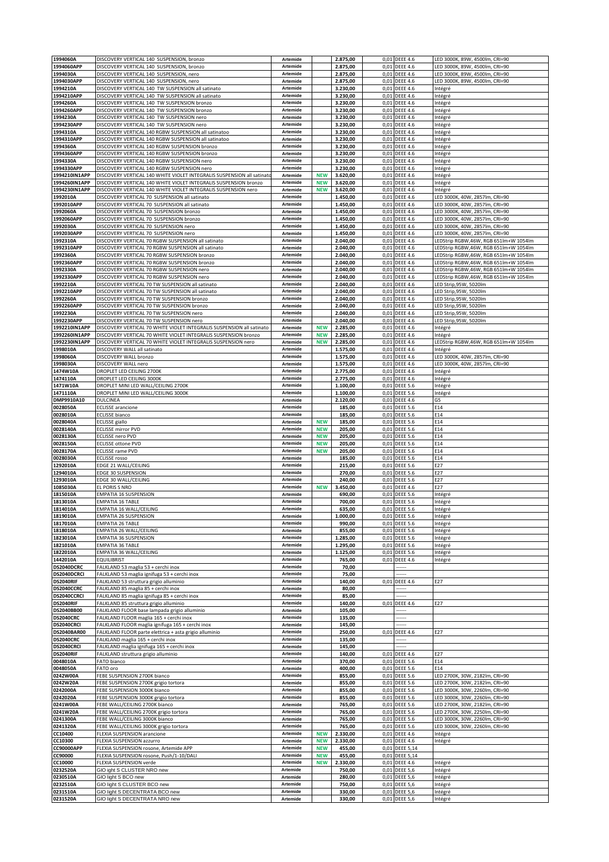| 1994060A                    | DISCOVERY VERTICAL 140 SUSPENSION, bronzo                                                                             | Artemide             |                          | 2.875,00             |              | 0,01 DEEE 4.6                      | LED 3000K, 89W, 4500lm, CRI=90                                                 |
|-----------------------------|-----------------------------------------------------------------------------------------------------------------------|----------------------|--------------------------|----------------------|--------------|------------------------------------|--------------------------------------------------------------------------------|
| 1994060APP<br>1994030A      | DISCOVERY VERTICAL 140 SUSPENSION, bronzo<br>DISCOVERY VERTICAL 140 SUSPENSION, nero                                  | Artemide<br>Artemide |                          | 2.875,00<br>2.875,00 | 0,01         | <b>DEEE 4.6</b><br>0,01 DEEE 4.6   | LED 3000K, 89W, 4500lm, CRI=90<br>LED 3000K, 89W, 4500lm, CRI=90               |
| 1994030APP                  | DISCOVERY VERTICAL 140 SUSPENSION, nero                                                                               | Artemide             |                          | 2.875,00             |              | 0,01 DEEE 4.6                      | LED 3000K, 89W, 4500lm, CRI=90                                                 |
| 1994210A                    | DISCOVERY VERTICAL 140 TW SUSPENSION all satinato                                                                     | Artemide             |                          | 3.230,00             |              | 0,01 DEEE 4.6                      | Intégré                                                                        |
| 1994210APP                  | DISCOVERY VERTICAL 140 TW SUSPENSION all satinato                                                                     | Artemide             |                          | 3.230,00             | 0,01         | <b>DEEE 4.6</b>                    | Intégré                                                                        |
| 1994260A<br>1994260APP      | DISCOVERY VERTICAL 140 TW SUSPENSION bronzo<br>DISCOVERY VERTICAL 140 TW SUSPENSION bronzo                            | Artemide<br>Artemide |                          | 3.230,00<br>3.230,00 | 0,01         | <b>DEEE 4.6</b><br>0,01 DEEE 4.6   | Intégré<br>Intégré                                                             |
| 1994230A                    | DISCOVERY VERTICAL 140 TW SUSPENSION nero                                                                             | Artemide             |                          | 3.230,00             | 0,01         | <b>DEEE 4.6</b>                    | Intégré                                                                        |
| 1994230APP                  | DISCOVERY VERTICAL 140 TW SUSPENSION nero                                                                             | Artemide             |                          | 3.230,00             |              | 0,01 DEEE 4.6                      | Intégré                                                                        |
| 1994310A                    | DISCOVERY VERTICAL 140 RGBW SUSPENSION all satinatoo                                                                  | Artemide             |                          | 3.230,00             | 0,01         | <b>DEEE 4.6</b>                    | Intégré                                                                        |
| 1994310APP<br>994360A       | DISCOVERY VERTICAL 140 RGBW SUSPENSION all satinatoo<br>DISCOVERY VERTICAL 140 RGBW SUSPENSION bronzo                 | Artemide<br>Artemide |                          | 3.230,00<br>3.230,00 | 0,01<br>0,01 | <b>DEEE 4.6</b><br><b>DEEE 4.6</b> | Intégré<br>Intégré                                                             |
| 1994360APP                  | DISCOVERY VERTICAL 140 RGBW SUSPENSION bronzo                                                                         | Artemide             |                          | 3.230,00             |              | 0,01 DEEE 4.6                      | Intégré                                                                        |
| 1994330A                    | DISCOVERY VERTICAL 140 RGBW SUSPENSION nero                                                                           | Artemide             |                          | 3.230,00             | 0,01         | <b>DEEE 4.6</b>                    | Intégré                                                                        |
| 1994330APP<br>1994210IN1APP | DISCOVERY VERTICAL 140 RGBW SUSPENSION nero<br>DISCOVERY VERTICAL 140 WHITE VIOLET INTEGRALIS SUSPENSION all satinato | Artemide<br>Artemide |                          | 3.230,00             |              | 0,01 DEEE 4.6                      | Intégré                                                                        |
| 1994260IN1APP               | DISCOVERY VERTICAL 140 WHITE VIOLET INTEGRALIS SUSPENSION bronzo                                                      | Artemide             | <b>NEW</b><br><b>NEW</b> | 3.620,00<br>3.620,00 |              | 0,01 DEEE 4.6<br>0,01 DEEE 4.6     | Intégré<br>Intégré                                                             |
| 1994230IN1APP               | DISCOVERY VERTICAL 140 WHITE VIOLET INTEGRALIS SUSPENSION nero                                                        | Artemide             | <b>NEW</b>               | 3.620,00             | 0,01         | <b>DEEE 4.6</b>                    | Intégré                                                                        |
| 1992010A                    | DISCOVERY VERTICAL 70 SUSPENSION all satinato                                                                         | Artemide             |                          | 1.450,00             | 0,01         | <b>DEEE 4.6</b>                    | LED 3000K, 40W, 2857lm, CRI=90                                                 |
| 1992010APP<br>1992060A      | DISCOVERY VERTICAL 70 SUSPENSION all satinato<br>DISCOVERY VERTICAL 70 SUSPENSION bronzo                              | Artemide<br>Artemide |                          | 1.450,00<br>1.450,00 | 0,01         | 0,01 DEEE 4.6<br><b>DEEE 4.6</b>   | LED 3000K, 40W, 2857lm, CRI=90<br>LED 3000K, 40W, 2857lm, CRI=90               |
| 1992060APP                  | DISCOVERY VERTICAL 70 SUSPENSION bronzo                                                                               | Artemide             |                          | 1.450,00             | 0,01         | <b>DEEE 4.6</b>                    | LED 3000K, 40W, 2857lm, CRI=90                                                 |
| 1992030A                    | DISCOVERY VERTICAL 70 SUSPENSION nero                                                                                 | Artemide             |                          | 1.450,00             | 0,01         | <b>DEEE 4.6</b>                    | LED 3000K, 40W, 2857lm, CRI=90                                                 |
| 1992030APP                  | DISCOVERY VERTICAL 70 SUSPENSION nero                                                                                 | Artemide             |                          | 1.450,00             |              | 0,01 DEEE 4.6                      | LED 3000K, 40W, 2857lm, CRI=90                                                 |
| 1992310A<br>1992310APP      | DISCOVERY VERTICAL 70 RGBW SUSPENSION all satinato<br>DISCOVERY VERTICAL 70 RGBW SUSPENSION all satinato              | Artemide<br>Artemide |                          | 2.040,00<br>2.040,00 | 0,01         | 0,01 DEEE 4.6<br><b>DEEE 4.6</b>   | LEDStrip RGBW,46W, RGB 651lm+W 1054lm<br>LEDStrip RGBW,46W, RGB 651lm+W 1054lm |
| 1992360A                    | DISCOVERY VERTICAL 70 RGBW SUSPENSION bronzo                                                                          | Artemide             |                          | 2.040,00             |              | 0,01 DEEE 4.6                      | LEDStrip RGBW,46W, RGB 651lm+W 1054lm                                          |
| 1992360APP                  | DISCOVERY VERTICAL 70 RGBW SUSPENSION bronzo                                                                          | Artemide             |                          | 2.040,00             |              | 0,01 DEEE 4.6                      | LEDStrip RGBW,46W, RGB 651lm+W 1054lm                                          |
| 1992330A                    | DISCOVERY VERTICAL 70 RGBW SUSPENSION nero                                                                            | Artemide             |                          | 2.040.00             | 0,01         | <b>DEEE 4.6</b>                    | LEDStrip RGBW,46W, RGB 651lm+W 1054lm                                          |
| 1992330APP<br>1992210A      | DISCOVERY VERTICAL 70 RGBW SUSPENSION nero<br>DISCOVERY VERTICAL 70 TW SUSPENSION all satinato                        | Artemide<br>Artemide |                          | 2.040,00<br>2.040,00 | 0,01         | <b>DEEE 4.6</b><br>0,01 DEEE 4.6   | LEDStrip RGBW,46W, RGB 651lm+W 1054lm<br>LED Strip, 95W, 5020lm                |
| 1992210APP                  | DISCOVERY VERTICAL 70 TW SUSPENSION all satinato                                                                      | Artemide             |                          | 2.040,00             | 0,01         | <b>DEEE 4.6</b>                    | LED Strip,95W, 5020lm                                                          |
| 1992260A                    | DISCOVERY VERTICAL 70 TW SUSPENSION bronzo                                                                            | Artemide             |                          | 2.040,00             | 0,01         | <b>DEEE 4.6</b>                    | LED Strip, 95W, 5020lm                                                         |
| 1992260APP                  | DISCOVERY VERTICAL 70 TW SUSPENSION bronzo                                                                            | Artemide             |                          | 2.040,00             | 0,01         | <b>DEEE 4.6</b>                    | LED Strip,95W, 5020lm                                                          |
| 1992230A<br>1992230APP      | DISCOVERY VERTICAL 70 TW SUSPENSION nero<br>DISCOVERY VERTICAL 70 TW SUSPENSION nero                                  | Artemide<br>Artemide |                          | 2.040,00<br>2.040,00 | 0,01         | <b>DEEE 4.6</b><br>0,01 DEEE 4.6   | LED Strip,95W, 5020lm<br>LED Strip,95W, 5020lm                                 |
| 1992210IN1APP               | DISCOVERY VERTICAL 70 WHITE VIOLET INTEGRALIS SUSPENSION all satinato                                                 | Artemide             | <b>NEW</b>               | 2.285,00             | 0,01         | <b>DEEE 4.6</b>                    | Intégré                                                                        |
| 1992260IN1APP               | DISCOVERY VERTICAL 70 WHITE VIOLET INTEGRALIS SUSPENSION bronzo                                                       | Artemide             | <b>NEW</b>               | 2.285,00             |              | 0,01 DEEE 4.6                      | Intégré                                                                        |
| 1992230IN1APP<br>1998010A   | DISCOVERY VERTICAL 70 WHITE VIOLET INTEGRALIS SUSPENSION nero                                                         | Artemide             | <b>NEW</b>               | 2.285,00             | 0,01         | <b>DEEE 4.6</b>                    | LEDStrip RGBW,46W, RGB 651lm+W 1054lm                                          |
| 1998060A                    | DISCOVERY WALL all satinato<br>DISCOVERY WALL bronzo                                                                  | Artemide<br>Artemide |                          | 1.575,00<br>1.575,00 | 0,01         | 0,01 DEEE 4.6<br><b>DEEE 4.6</b>   | Intégré<br>LED 3000K, 40W, 2857lm, CRI=90                                      |
| 1998030A                    | DISCOVERY WALL nero                                                                                                   | Artemide             |                          | 1.575,00             | 0,01         | <b>DEEE 4.6</b>                    | LED 3000K, 40W, 2857lm, CRI=90                                                 |
| 1474W10A                    | DROPLET LED CEILING 2700K                                                                                             | Artemide             |                          | 2.775,00             | 0,01         | <b>DEEE 4.6</b>                    | Intégré                                                                        |
| 1474110A                    | DROPLET LED CEILING 3000K                                                                                             | Artemide<br>Artemide |                          | 2.775,00             | 0,01         | <b>DEEE 4.6</b>                    | Intégré                                                                        |
| 1471W10A<br>1471110A        | DROPLET MINI LED WALL/CEILING 2700K<br>DROPLET MINI LED WALL/CEILING 3000K                                            | Artemide             |                          | 1.100,00<br>1.100,00 | 0,01         | 0,01 DEEE 5.6<br><b>DEEE 5.6</b>   | Intégré<br>Intégré                                                             |
| DMP9910A10                  | <b>DULCINEA</b>                                                                                                       | Artemide             |                          | 2.120,00             | 0,01         | <b>DEEE 4.6</b>                    | G5                                                                             |
| 0028050A                    | <b>ECLISSE</b> arancione                                                                                              | Artemide             |                          | 185,00               | 0,01         | <b>DEEE 5.6</b>                    | E14                                                                            |
| 0028010A                    | <b>ECLISSE</b> bianco                                                                                                 | Artemide             |                          | 185,00               |              | 0,01 DEEE 5.6                      | E14                                                                            |
| 0028040A<br>0028140A        | <b>ECLISSE</b> giallo<br><b>ECLISSE</b> mirror PVD                                                                    | Artemide<br>Artemide | <b>NEW</b><br><b>NEW</b> | 185,00<br>205,00     | 0,01<br>0,01 | <b>DEEE 5.6</b><br><b>DEEE 5.6</b> | E14<br>E14                                                                     |
| 0028130A                    | ECLISSE nero PVD                                                                                                      | Artemide             | <b>NEW</b>               | 205,00               | 0,01         | <b>DEEE 5.6</b>                    | E14                                                                            |
| 0028150A                    | <b>ECLISSE ottone PVD</b>                                                                                             | Artemide             | <b>NEW</b>               | 205,00               | 0,01         | <b>DEEE 5.6</b>                    | E14                                                                            |
| 0028170A<br>0028030A        | <b>ECLISSE rame PVD</b><br><b>ECLISSE rosso</b>                                                                       | Artemide<br>Artemide | <b>NEW</b>               | 205,00<br>185,00     | 0,01<br>0,01 | <b>DEEE 5.6</b><br><b>DEEE 5.6</b> | E14<br>E14                                                                     |
| 1292010A                    | EDGE 21 WALL/CEILING                                                                                                  | Artemide             |                          | 215,00               |              | 0,01 DEEE 5.6                      | E27                                                                            |
| 1294010A                    | EDGE 30 SUSPENSION                                                                                                    | Artemide             |                          | 270,00               | 0,01         | <b>DEEE 5.6</b>                    | E27                                                                            |
| 1293010A                    | EDGE 30 WALL/CEILING                                                                                                  | Artemide             |                          | 240,00               | 0,01         | <b>DEEE 5.6</b>                    | E27                                                                            |
| 1085030A<br>1815010A        | EL PORIS S NRO<br><b>EMPATIA 16 SUSPENSION</b>                                                                        | Artemide<br>Artemide | <b>NEW</b>               | 3.450,00<br>690,00   | 0,01<br>0,01 | <b>DEEE 4.6</b><br><b>DEEE 5.6</b> | E27<br>Intégré                                                                 |
| 1813010A                    | <b>EMPATIA 16 TABLE</b>                                                                                               | Artemide             |                          | 700,00               | 0,01         | <b>DEEE 5.6</b>                    | Intégré                                                                        |
| 1814010A                    | EMPATIA 16 WALL/CEILING                                                                                               | Artemide             |                          | 635,00               |              | 0,01 DEEE 5.6                      | Intégré                                                                        |
| 1819010A                    | <b>EMPATIA 26 SUSPENSION</b>                                                                                          | Artemide<br>Artemide |                          | 1.000,00             |              | 0,01 DEEE 5.6                      | Intégré                                                                        |
| 1817010A<br>1818010A        | <b>EMPATIA 26 TABLE</b><br>EMPATIA 26 WALL/CEILING                                                                    | Artemide             |                          | 990,00<br>855,00     |              | 0,01 DEEE 5.6<br>0,01 DEEE 5.6     | Intégré<br>Intégré                                                             |
| 1823010A                    | <b>EMPATIA 36 SUSPENSION</b>                                                                                          | Artemide             |                          | 1.285,00             |              | 0,01 DEEE 5.6                      | Intégré                                                                        |
| 1821010A                    | EMPATIA 36 TABLE                                                                                                      | Artemide             |                          | 1.295,00             |              | 0,01 DEEE 5.6                      | Intégré                                                                        |
| 1822010A                    | EMPATIA 36 WALL/CEILING                                                                                               | Artemide             |                          | 1.125,00             |              | 0,01 DEEE 5.6                      | Intégré                                                                        |
| 1442010A<br>DS2040DCRC      | <b>EQUILIBRIST</b><br>FALKLAND 53 maglia 53 + cerchi inox                                                             | Artemide<br>Artemide |                          | 765,00<br>70,00      |              | 0,01 DEEE 4.6<br>                  | Intégré                                                                        |
| DS2040DCRCI                 | FALKLAND 53 maglia ignifuga 53 + cerchi inox                                                                          | Artemide             |                          | 75,00                |              |                                    |                                                                                |
| DS2040RIF                   | FALKLAND 53 struttura grigio alluminio                                                                                | Artemide             |                          | 140,00               |              | 0,01 DEEE 4.6                      | E27                                                                            |
| DS2040CCRC<br>DS2040CCRCI   | FALKLAND 85 maglia 85 + cerchi inox<br>FALKLAND 85 maglia ignifuga 85 + cerchi inox                                   | Artemide<br>Artemide |                          | 80,00<br>85,00       |              |                                    |                                                                                |
| DS2040RIF                   | FALKLAND 85 struttura grigio alluminio                                                                                | Artemide             |                          | 140,00               |              | 0,01 DEEE 4.6                      | E27                                                                            |
| DS2040BB00                  | FALKLAND FLOOR base lampada grigio alluminio                                                                          | Artemide             |                          | 105,00               |              |                                    |                                                                                |
| DS2040CRC                   | FALKLAND FLOOR maglia 165 + cerchi inox                                                                               | Artemide             |                          | 135,00               |              |                                    |                                                                                |
| DS2040CRCI<br>DS2040BAR00   | FALKLAND FLOOR maglia ignifuga 165 + cerchi inox<br>FALKLAND FLOOR parte elettrica + asta grigio alluminio            | Artemide<br>Artemide |                          | 145,00<br>250,00     |              | 0,01 DEEE 4.6                      | E27                                                                            |
| DS2040CRC                   | FALKLAND maglia 165 + cerchi inox                                                                                     | Artemide             |                          | 135,00               |              |                                    |                                                                                |
| DS2040CRCI                  | FALKLAND maglia ignifuga 165 + cerchi inox                                                                            | Artemide             |                          | 145,00               |              | .                                  |                                                                                |
| DS2040RIF<br>0048010A       | FALKLAND struttura grigio alluminio                                                                                   | Artemide<br>Artemide |                          | 140,00<br>370,00     |              | 0,01 DEEE 4.6<br>0,01 DEEE 5.6     | E27<br>E14                                                                     |
| 0048050A                    | FATO bianco<br>FATO oro                                                                                               | Artemide             |                          | 400,00               |              | 0,01 DEEE 5.6                      | E14                                                                            |
| 0242W00A                    | FEBE SUSPENSION 2700K bianco                                                                                          | Artemide             |                          | 855,00               |              | 0,01 DEEE 5.6                      | LED 2700K, 30W, 2182lm, CRI=90                                                 |
| 0242W20A                    | FEBE SUSPENSION 2700K grigio tortora                                                                                  | Artemide             |                          | 855,00               |              | 0,01 DEEE 5.6                      | LED 2700K, 30W, 2182lm, CRI=90                                                 |
| 0242000A<br>0242020A        | FEBE SUSPENSION 3000K bianco<br>FEBE SUSPENSION 3000K grigio tortora                                                  | Artemide<br>Artemide |                          | 855,00<br>855,00     |              | 0,01 DEEE 5.6<br>0,01 DEEE 5.6     | LED 3000K, 30W, 2260lm, CRI=90<br>LED 3000K, 30W, 2260lm, CRI=90               |
| 0241W00A                    | FEBE WALL/CEILING 2700K bianco                                                                                        | Artemide             |                          | 765,00               |              | 0,01 DEEE 5.6                      | LED 2700K, 30W, 2182lm, CRI=90                                                 |
| 0241W20A                    | FEBE WALL/CEILING 2700K grigio tortora                                                                                | Artemide             |                          | 765,00               |              | 0,01 DEEE 5.6                      | LED 2700K, 30W, 2250lm, CRI=90                                                 |
| 0241300A                    | FEBE WALL/CEILING 3000K bianco                                                                                        | Artemide             |                          | 765,00               |              | 0,01 DEEE 5.6                      | LED 3000K, 30W, 2260lm, CRI=90                                                 |
| 0241320A<br>CC10400         | FEBE WALL/CEILING 3000K grigio tortora<br>FLEXIA SUSPENSION arancione                                                 | Artemide<br>Artemide | <b>NEW</b>               | 765,00<br>2.330,00   |              | 0,01 DEEE 5.6<br>0,01 DEEE 4.6     | LED 3000K, 30W, 2260lm, CRI=90<br>Intégré                                      |
| CC10300                     | FLEXIA SUSPENSION azzurro                                                                                             | Artemide             | <b>NEW</b>               | 2.330,00             |              | 0,01 DEEE 4.6                      | Intégré                                                                        |
| CC90000APP                  | FLEXIA SUSPENSION rosone, Artemide APP                                                                                | Artemide             | <b>NEW</b>               | 455,00               |              | 0,01 DEEE 5,14                     |                                                                                |
| CC90000                     | FLEXIA SUSPENSION rosone, Push/1-10/DALI                                                                              | Artemide<br>Artemide | <b>NEW</b>               | 455,00               |              | 0,01 DEEE 5,14                     |                                                                                |
| CC10000<br>0232520A         | FLEXIA SUSPENSION verde<br>GIO ight S CLUSTER NRO new                                                                 | Artemide             | <b>NEW</b>               | 2.330,00<br>750,00   |              | 0,01 DEEE 4.6<br>0,01 DEEE 5,6     | Intégré<br>Intégré                                                             |
| 0230510A                    | GIO light S BCO new                                                                                                   | Artemide             |                          | 280,00               |              | 0,01 DEEE 5,6                      | Intégré                                                                        |
| 0232510A                    | GIO light S CLUSTER BCO new                                                                                           | Artemide             |                          | 750,00               |              | 0,01 DEEE 5,6                      | Intégré                                                                        |
| 0231510A<br>0231520A        | GIO light S DECENTRATA BCO new<br>GIO light S DECENTRATA NRO new                                                      | Artemide<br>Artemide |                          | 330,00<br>330,00     |              | 0,01 DEEE 5,6<br>0,01 DEEE 5,6     | Intégré<br>Intégré                                                             |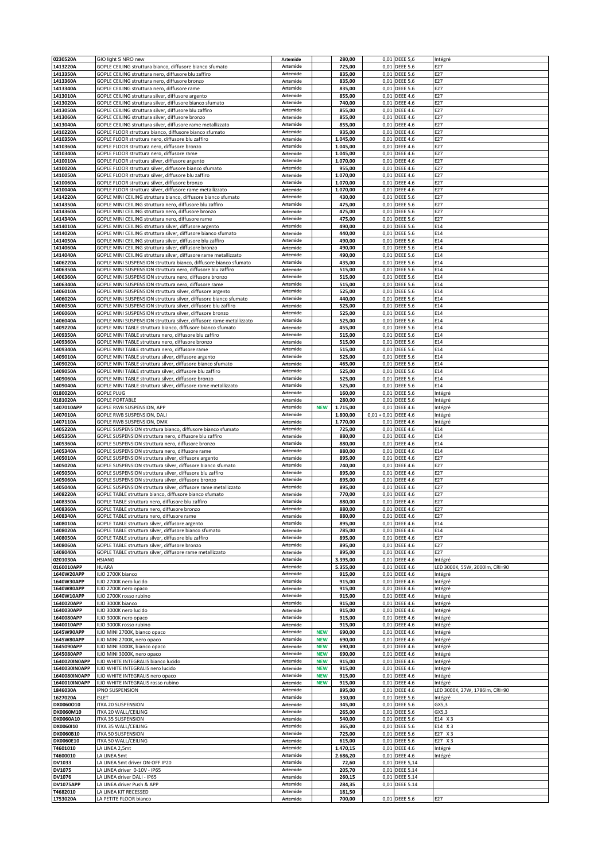| 0230520A                       | GIO light S NRO new                                                                                                                  | Artemide                    |                          | 280,00               |                        | 0,01 DEEE 5,6                      | Intégré                                   |
|--------------------------------|--------------------------------------------------------------------------------------------------------------------------------------|-----------------------------|--------------------------|----------------------|------------------------|------------------------------------|-------------------------------------------|
| 1413220A<br>1413350A           | GOPLE CEILING struttura bianco, diffusore bianco sfumato<br>GOPLE CEILING struttura nero, diffusore blu zaffiro                      | Artemide<br>Artemide        |                          | 725,00<br>835,00     | 0,01                   | <b>DEEE 5.6</b><br>0,01 DEEE 5.6   | E27<br>E27                                |
| 1413360A                       | GOPLE CEILING struttura nero, diffusore bronzo                                                                                       | Artemide                    |                          | 835,00               |                        | 0,01 DEEE 5.6                      | E27                                       |
| 1413340A                       | GOPLE CEILING struttura nero, diffusore rame                                                                                         | Artemide                    |                          | 835,00               |                        | 0,01 DEEE 5.6                      | E27                                       |
| 1413010A<br>1413020A           | GOPLE CEILING struttura silver, diffusore argento<br>GOPLE CEILING struttura silver, diffusore bianco sfumato                        | Artemide<br>Artemide        |                          | 855,00<br>740,00     | 0,01                   | <b>DEEE 4.6</b><br>0,01 DEEE 4.6   | E27<br>E27                                |
| 1413050A                       | GOPLE CEILING struttura silver, diffusore blu zaffiro                                                                                | Artemide                    |                          | 855,00               |                        | 0,01 DEEE 4.6                      | E27                                       |
| 1413060A                       | GOPLE CEILING struttura silver, diffusore bronzo                                                                                     | Artemide                    |                          | 855,00               | 0,01                   | <b>DEEE 4.6</b>                    | E27                                       |
| 1413040A<br>1410220A           | GOPLE CEILING struttura silver, diffusore rame metallizzato<br>GOPLE FLOOR struttura bianco, diffusore bianco sfumato                | Artemide<br>Artemide        |                          | 855,00<br>935,00     | 0,01                   | 0,01 DEEE 4.6<br><b>DEEE 4.6</b>   | E27<br>E27                                |
| 1410350A                       | GOPLE FLOOR struttura nero, diffusore blu zaffiro                                                                                    | Artemide                    |                          | 1.045,00             | 0,01                   | <b>DEEE 4.6</b>                    | E27                                       |
| <b>1410360A</b>                | GOPLE FLOOR struttura nero, diffusore bronzo                                                                                         | Artemide                    |                          | 1.045,00             | 0,01                   | <b>DEEE 4.6</b>                    | E27                                       |
| 1410340A<br>1410010A           | GOPLE FLOOR struttura nero, diffusore rame<br>GOPLE FLOOR struttura silver, diffusore argento                                        | Artemide<br>Artemide        |                          | 1.045,00<br>1.070,00 |                        | 0,01 DEEE 4.6<br>0,01 DEEE 4.6     | E27<br>E27                                |
| 1410020A                       | GOPLE FLOOR struttura silver, diffusore bianco sfumato                                                                               | Artemide                    |                          | 955,00               |                        | 0,01 DEEE 4.6                      | E27                                       |
| 1410050A                       | GOPLE FLOOR struttura silver, diffusore blu zaffiro                                                                                  | Artemide                    |                          | 1.070,00             |                        | 0,01 DEEE 4.6                      | E27                                       |
| 1410060A<br>1410040A           | GOPLE FLOOR struttura silver, diffusore bronzo<br>GOPLE FLOOR struttura silver, diffusore rame metallizzato                          | Artemide<br>Artemide        |                          | 1.070,00<br>1.070,00 | 0,01                   | 0,01 DEEE 4.6<br><b>DEEE 4.6</b>   | E27<br>E27                                |
| 1414220A                       | GOPLE MINI CEILING struttura bianco, diffusore bianco sfumato                                                                        | Artemide                    |                          | 430,00               | 0,01                   | <b>DEEE 5.6</b>                    | E27                                       |
| 1414350A                       | GOPLE MINI CEILING struttura nero, diffusore blu zaffiro                                                                             | Artemide                    |                          | 475,00               |                        | 0,01 DEEE 5.6                      | E27                                       |
| 1414360A                       | GOPLE MINI CEILING struttura nero, diffusore bronzo                                                                                  | Artemide                    |                          | 475,00               | 0,01                   | <b>DEEE 5.6</b>                    | E27                                       |
| 1414340A<br>1414010A           | GOPLE MINI CEILING struttura nero, diffusore rame<br>GOPLE MINI CEILING struttura silver, diffusore argento                          | Artemide<br>Artemide        |                          | 475,00<br>490,00     | 0,01<br>0,01           | <b>DEEE 5.6</b><br><b>DEEE 5.6</b> | E27<br>E14                                |
| 1414020A                       | GOPLE MINI CEILING struttura silver, diffusore bianco sfumato                                                                        | Artemide                    |                          | 440,00               |                        | 0,01 DEEE 5.6                      | E14                                       |
| 1414050A                       | GOPLE MINI CEILING struttura silver, diffusore blu zaffiro                                                                           | Artemide                    |                          | 490,00               |                        | 0,01 DEEE 5.6                      | E14                                       |
| 1414060A                       | GOPLE MINI CEILING struttura silver, diffusore bronzo                                                                                | Artemide                    |                          | 490,00               | 0,01                   | <b>DEEE 5.6</b>                    | E14                                       |
| 1414040A<br>1406220A           | GOPLE MINI CEILING struttura silver, diffusore rame metallizzato<br>GOPLE MINI SUSPENSION struttura bianco, diffusore bianco sfumato | Artemide<br>Artemide        |                          | 490,00<br>435,00     |                        | 0,01 DEEE 5.6<br>0,01 DEEE 5.6     | E14<br>E14                                |
| 1406350A                       | GOPLE MINI SUSPENSION struttura nero, diffusore blu zaffiro                                                                          | Artemide                    |                          | 515,00               | 0,01                   | <b>DEEE 5.6</b>                    | E14                                       |
| L406360A                       | GOPLE MINI SUSPENSION struttura nero, diffusore bronzo                                                                               | Artemide                    |                          | 515,00               | 0,01                   | <b>DEEE 5.6</b>                    | E14                                       |
| 1406340A                       | GOPLE MINI SUSPENSION struttura nero, diffusore rame                                                                                 | Artemide                    |                          | 515,00               |                        | 0,01 DEEE 5.6                      | E14                                       |
| 1406010A<br>1406020A           | GOPLE MINI SUSPENSION struttura silver, diffusore argento<br>GOPLE MINI SUSPENSION struttura silver, diffusore bianco sfumato        | Artemide<br>Artemide        |                          | 525,00<br>440,00     | 0,01<br>0,01           | <b>DEEE 5.6</b><br><b>DEEE 5.6</b> | E14<br>E14                                |
| 1406050A                       | GOPLE MINI SUSPENSION struttura silver, diffusore blu zaffiro                                                                        | Artemide                    |                          | 525,00               | 0,01                   | <b>DEEE 5.6</b>                    | E14                                       |
| 1406060A                       | GOPLE MINI SUSPENSION struttura silver, diffusore bronzo                                                                             | Artemide                    |                          | 525,00               | 0,01                   | <b>DEEE 5.6</b>                    | E14                                       |
| 1406040A                       | GOPLE MINI SUSPENSION struttura silver, diffusore rame metallizzato                                                                  | Artemide                    |                          | 525,00               |                        | 0,01 DEEE 5.6                      | E14<br>E14                                |
| 1409220A<br>1409350A           | GOPLE MINI TABLE struttura bianco, diffusore bianco sfumato<br>GOPLE MINI TABLE struttura nero, diffusore blu zaffiro                | Artemide<br>Artemide        |                          | 455,00<br>515,00     | 0,01                   | <b>DEEE 5.6</b><br>0,01 DEEE 5.6   | E14                                       |
| 1409360A                       | GOPLE MINI TABLE struttura nero, diffusore bronzo                                                                                    | Artemide                    |                          | 515,00               | 0,01                   | <b>DEEE 5.6</b>                    | E14                                       |
| 1409340A                       | GOPLE MINI TABLE struttura nero, diffusore rame                                                                                      | Artemide                    |                          | 515,00               |                        | 0,01 DEEE 5.6                      | E14                                       |
| L409010A<br>1409020A           | GOPLE MINI TABLE struttura silver, diffusore argento<br>GOPLE MINI TABLE struttura silver, diffusore bianco sfumato                  | Artemide<br>Artemide        |                          | 525,00<br>465,00     | 0,01<br>0,01           | <b>DEEE 5.6</b><br><b>DEEE 5.6</b> | E14<br>E14                                |
| 1409050A                       | GOPLE MINI TABLE struttura silver, diffusore blu zaffiro                                                                             | Artemide                    |                          | 525,00               | 0,01                   | <b>DEEE 5.6</b>                    | E14                                       |
| 1409060A                       | GOPLE MINI TABLE struttura silver, diffusore bronzo                                                                                  | Artemide                    |                          | 525,00               | 0,01                   | <b>DEEE 5.6</b>                    | E14                                       |
| 1409040A                       | GOPLE MINI TABLE struttura silver, diffusore rame metallizzato                                                                       | Artemide                    |                          | 525,00               |                        | 0,01 DEEE 5.6                      | E14                                       |
| 0180020A<br>0181020A           | <b>GOPLE PLUG</b><br><b>GOPLE PORTABLE</b>                                                                                           | Artemide<br>Artemide        |                          | 160,00<br>280,00     | 0,01<br>0,01           | <b>DEEE 5.6</b><br><b>DEEE 5.6</b> | Intégré<br>Intégré                        |
| 1407010APP                     | GOPLE RWB SUSPENSION, APP                                                                                                            | Artemide                    | <b>NEW</b>               | 1.715,00             | 0,01                   | <b>DEEE 4.6</b>                    | Intégré                                   |
| 1407010A                       | GOPLE RWB SUSPENSION, DALI                                                                                                           | Artemide                    |                          | 1.800,00             | $0,01 + 0,01$ DEEE 4.6 |                                    | Intégré                                   |
| 1407110A                       | GOPLE RWB SUSPENSION, DMX                                                                                                            | Artemide                    |                          | 1.770,00             |                        | 0,01 DEEE 4.6                      | Intégré                                   |
| 1405220A<br>1405350A           | GOPLE SUSPENSION struttura bianco, diffusore bianco sfumato<br>GOPLE SUSPENSION struttura nero, diffusore blu zaffiro                | Artemide<br>Artemide        |                          | 725,00<br>880,00     |                        | 0,01 DEEE 4.6<br>0,01 DEEE 4.6     | E14<br>E14                                |
| 1405360A                       | GOPLE SUSPENSION struttura nero, diffusore bronzo                                                                                    | Artemide                    |                          | 880,00               | 0,01                   | <b>DEEE 4.6</b>                    | E14                                       |
| 1405340A                       | GOPLE SUSPENSION struttura nero, diffusore rame                                                                                      | Artemide                    |                          | 880,00               |                        | 0,01 DEEE 4.6                      | E14                                       |
| 1405010A                       | GOPLE SUSPENSION struttura silver, diffusore argento                                                                                 | Artemide                    |                          | 895,00               | 0,01                   | <b>DEEE 4.6</b>                    | E27                                       |
| 1405020A<br>1405050A           | GOPLE SUSPENSION struttura silver, diffusore bianco sfumato<br>GOPLE SUSPENSION struttura silver, diffusore blu zaffiro              | Artemide<br>Artemide        |                          | 740,00<br>895,00     |                        | 0,01 DEEE 4.6<br>0,01 DEEE 4.6     | E27<br>E27                                |
| 1405060A                       | GOPLE SUSPENSION struttura silver, diffusore bronzo                                                                                  | Artemide                    |                          | 895,00               | 0,01                   | <b>DEEE 4.6</b>                    | E27                                       |
| L405040A                       | GOPLE SUSPENSION struttura silver, diffusore rame metallizzato                                                                       | Artemide                    |                          | 895,00               | 0,01                   | <b>DEEE 4.6</b>                    | E27                                       |
| 1408220A<br>1408350A           | GOPLE TABLE struttura bianco, diffusore bianco sfumato<br>GOPLE TABLE struttura nero, diffusore blu zaffiro                          | <b>Artemide</b><br>Artemide |                          | 770,00<br>880,00     | 0,01<br>0,01           | <b>DEEE 4.6</b><br><b>DEEE 4.6</b> | E27<br>E27                                |
| 1408360A                       | GOPLE TABLE struttura nero, diffusore bronzo                                                                                         | Artemide                    |                          | 880,00               |                        | 0,01 DEEE 4.6                      | E27                                       |
| 1408340A                       | GOPLE TABLE struttura nero, diffusore rame                                                                                           | Artemide                    |                          | 880,00               |                        | 0,01 DEEE 4.6                      | E27                                       |
| 1408010A                       | GOPLE TABLE struttura silver, diffusore argento                                                                                      | Artemide                    |                          | 895,00               |                        | 0,01 DEEE 4.6                      | E14                                       |
| 1408020A<br>1408050A           | GOPLE TABLE struttura silver, diffusore bianco sfumato<br>GOPLE TABLE struttura silver, diffusore blu zaffiro                        | Artemide<br>Artemide        |                          | 785,00<br>895,00     |                        | 0,01 DEEE 4.6<br>0,01 DEEE 4.6     | E14<br>E27                                |
| 1408060A                       | GOPLE TABLE struttura silver, diffusore bronzo                                                                                       | Artemide                    |                          | 895,00               |                        | 0,01 DEEE 4.6                      | E27                                       |
| 1408040A                       | GOPLE TABLE struttura silver, diffusore rame metallizzato                                                                            | Artemide                    |                          | 895,00               |                        | 0,01 DEEE 4.6                      | E27                                       |
| 0201030A                       | <b>HSIANG</b>                                                                                                                        | Artemide                    |                          | 3.395,00             |                        | 0,01 DEEE 4.6                      | Intégré                                   |
| 0160010APP<br>1640W20APP       | <b>HUARA</b><br>ILIO 2700K bianco                                                                                                    | Artemide<br>Artemide        |                          | 5.355,00<br>915,00   |                        | 0,01 DEEE 4.6<br>0,01 DEEE 4.6     | LED 3000K, 55W, 2000lm, CRI=90<br>Intégré |
| 1640W30APP                     | ILIO 2700K nero lucido                                                                                                               | Artemide                    |                          | 915,00               |                        | 0,01 DEEE 4.6                      | Intégré                                   |
| 1640W80APP                     | ILIO 2700K nero opaco                                                                                                                | Artemide                    |                          | 915,00               |                        | 0,01 DEEE 4.6                      | Intégré                                   |
| 1640W10APP<br>1640020APP       | ILIO 2700K rosso rubino                                                                                                              | Artemide                    |                          | 915,00               |                        | 0,01 DEEE 4.6                      | Intégré                                   |
| 1640030APP                     | ILIO 3000K bianco<br>ILIO 3000K nero lucido                                                                                          | Artemide<br>Artemide        |                          | 915,00<br>915,00     |                        | 0,01 DEEE 4.6<br>0,01 DEEE 4.6     | Intégré<br>Intégré                        |
| 1640080APP                     | ILIO 3000K nero opaco                                                                                                                | Artemide                    |                          | 915,00               |                        | 0,01 DEEE 4.6                      | Intégré                                   |
| 1640010APP                     | ILIO 3000K rosso rubino                                                                                                              | Artemide                    |                          | 915,00               |                        | 0,01 DEEE 4.6                      | Intégré                                   |
| 1645W90APP<br>1645W80APP       | ILIO MINI 2700K, bianco opaco<br>ILIO MINI 2700K, nero opaco                                                                         | Artemide<br>Artemide        | <b>NEW</b><br><b>NEW</b> | 690,00               |                        | 0,01 DEEE 4.6<br>0,01 DEEE 4.6     | Intégré                                   |
| 1645090APP                     | ILIO MINI 3000K, bianco opaco                                                                                                        | Artemide                    | <b>NEW</b>               | 690,00<br>690,00     |                        | 0,01 DEEE 4.6                      | Intégré<br>Intégré                        |
| 1645080APP                     | ILIO MINI 3000K, nero opaco                                                                                                          | Artemide                    | <b>NEW</b>               | 690,00               |                        | 0,01 DEEE 4.6                      | Intégré                                   |
| 1640020IN0APP                  | ILIO WHITE INTEGRALIS bianco lucido                                                                                                  | Artemide                    | <b>NEW</b>               | 915,00               |                        | 0,01 DEEE 4.6                      | Intégré                                   |
| 1640030IN0APP<br>1640080IN0APP | ILIO WHITE INTEGRALIS nero lucido<br>ILIO WHITE INTEGRALIS nero opaco                                                                | Artemide<br>Artemide        | <b>NEW</b><br><b>NEW</b> | 915,00<br>915,00     |                        | 0,01 DEEE 4.6<br>0,01 DEEE 4.6     | Intégré<br>Intégré                        |
| 1640010IN0APP                  | ILIO WHITE INTEGRALIS rosso rubino                                                                                                   | Artemide                    | <b>NEW</b>               | 915,00               |                        | 0,01 DEEE 4.6                      | Intégré                                   |
| 1846030A                       | IPNO SUSPENSION                                                                                                                      | Artemide                    |                          | 895,00               |                        | 0,01 DEEE 4.6                      | LED 3000K, 27W, 1786lm, CRI=90            |
| 1627020A                       | <b>ISLET</b>                                                                                                                         | Artemide                    |                          | 330,00               |                        | 0,01 DEEE 5.6                      | Intégré                                   |
| DX0060O10<br>DX0060M10         | ITKA 20 SUSPENSION<br>ITKA 20 WALL/CEILING                                                                                           | Artemide<br>Artemide        |                          | 345,00<br>265,00     |                        | 0,01 DEEE 5.6<br>0,01 DEEE 5.6     | GX5,3<br>GX5,3                            |
| DX0060A10                      | ITKA 35 SUSPENSION                                                                                                                   | Artemide                    |                          | 540,00               |                        | 0,01 DEEE 5.6                      | E14 X3                                    |
| DX0060110                      | ITKA 35 WALL/CEILING                                                                                                                 | Artemide                    |                          | 365,00               |                        | 0,01 DEEE 5.6                      | E14 X3                                    |
| DX0060B10                      | ITKA 50 SUSPENSION                                                                                                                   | Artemide                    |                          | 725,00               |                        | 0,01 DEEE 5.6                      | E27 X3                                    |
| DX0060E10<br>T4601010          | ITKA 50 WALL/CEILING<br>LA LINEA 2,5mt                                                                                               | Artemide<br>Artemide        |                          | 615,00<br>1.470,15   |                        | 0,01 DEEE 5.6<br>0,01 DEEE 4.6     | E27 X3<br>Intégré                         |
| T4600010                       | LA LINEA 5mt                                                                                                                         | Artemide                    |                          | 2.686,20             |                        | 0,01 DEEE 4.6                      | Intégré                                   |
| DV1033                         | LA LINEA 5mt driver ON-OFF IP20                                                                                                      | Artemide                    |                          | 72,60                |                        | 0,01 DEEE 5,14                     |                                           |
| <b>DV1075</b>                  | LA LINEA driver 0-10V - IP65                                                                                                         | Artemide<br>Artemide        |                          | 205,70               |                        | 0,01 DEEE 5.14                     |                                           |
| DV1076<br>DV1075APP            | LA LINEA driver DALI - IP65<br>LA LINEA driver Push & APP                                                                            | Artemide                    |                          | 260,15<br>284,35     |                        | 0,01 DEEE 5.14<br>0,01 DEEE 5.14   |                                           |
| T4682010                       | LA LINEA KIT RECESSED                                                                                                                | Artemide                    |                          | 181,50               |                        |                                    |                                           |
| 1753020A                       | LA PETITE FLOOR bianco                                                                                                               | Artemide                    |                          | 700,00               |                        | 0,01 DEEE 5.6                      | E27                                       |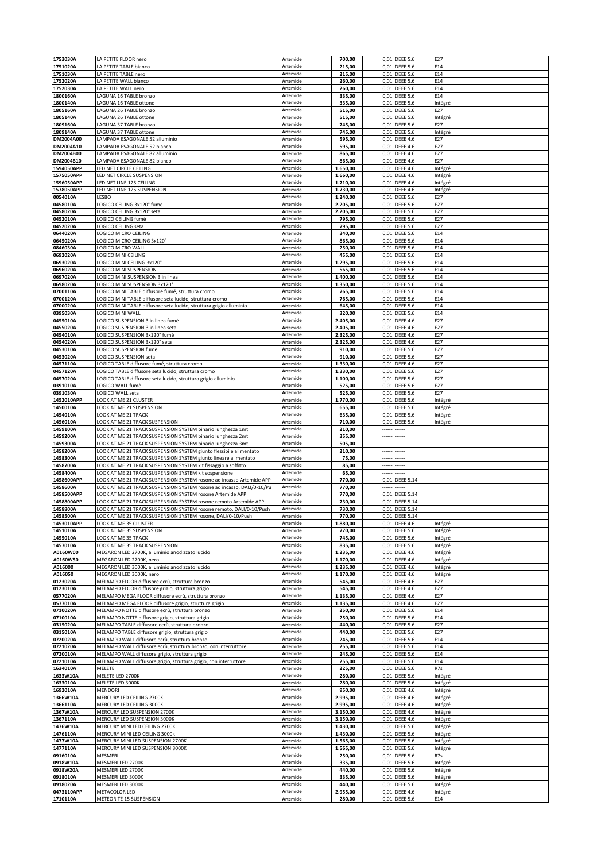| 1753030A                | LA PETITE FLOOR nero                                                                                                    | Artemide             | 700,00               |          | 0,01 DEEE 5.6                    | E27                |
|-------------------------|-------------------------------------------------------------------------------------------------------------------------|----------------------|----------------------|----------|----------------------------------|--------------------|
| 1751020A                | LA PETITE TABLE bianco                                                                                                  | Artemide             | 215,00               |          | 0,01 DEEE 5.6                    | E14                |
| 1751030A                | LA PETITE TABLE nero                                                                                                    | Artemide             | 215,00               |          | 0,01 DEEE 5.6                    | E14                |
| 1752020A<br>1752030A    | LA PETITE WALL bianco<br>LA PETITE WALL nero                                                                            | Artemide<br>Artemide | 260,00<br>260,00     | 0,01     | <b>DEEE 5.6</b><br>0,01 DEEE 5.6 | E14<br>E14         |
| 1800160A                | LAGUNA 16 TABLE bronzo                                                                                                  | Artemide             | 335,00               |          | 0,01 DEEE 5.6                    | E14                |
| 1800140A                | LAGUNA 16 TABLE ottone                                                                                                  | Artemide             | 335,00               |          | 0,01 DEEE 5.6                    | Intégré            |
| 1805160A                | LAGUNA 26 TABLE bronzo                                                                                                  | Artemide             | 515,00               |          | 0,01 DEEE 5.6                    | E27                |
| 1805140A                | LAGUNA 26 TABLE ottone                                                                                                  | Artemide             | 515,00               |          | 0,01 DEEE 5.6                    | Intégré            |
| 1809160A                | LAGUNA 37 TABLE bronzo                                                                                                  | Artemide             | 745,00               |          | 0,01 DEEE 5.6                    | E27                |
| 1809140A                | LAGUNA 37 TABLE ottone                                                                                                  | Artemide             | 745,00               |          | 0,01 DEEE 5.6                    | Intégré            |
| DM2004A00               | LAMPADA ESAGONALE 52 alluminio                                                                                          | Artemide             | 595,00               |          | 0,01 DEEE 4.6                    | E27                |
| DM2004A10               | LAMPADA ESAGONALE 52 bianco                                                                                             | Artemide             | 595,00               |          | 0,01 DEEE 4.6                    | E27                |
| DM2004B00               | LAMPADA ESAGONALE 82 alluminio                                                                                          | Artemide             | 865,00               |          | 0,01 DEEE 4.6<br><b>DEEE 4.6</b> | E27                |
| DM2004B10<br>1594050APP | LAMPADA ESAGONALE 82 bianco<br>LED NET CIRCLE CEILING                                                                   | Artemide<br>Artemide | 865,00<br>1.650,00   | 0,01     | 0,01 DEEE 4.6                    | E27<br>Intégré     |
| 1575050APP              | LED NET CIRCLE SUSPENSION                                                                                               | Artemide             | 1.660,00             |          | 0,01 DEEE 4.6                    | Intégré            |
| 1596050APP              | LED NET LINE 125 CEILING                                                                                                | Artemide             | 1.710,00             | 0,01     | <b>DEEE 4.6</b>                  | Intégré            |
| 1578050APP              | ED NET LINE 125 SUSPENSION                                                                                              | Artemide             | 1.730,00             | 0,01     | <b>DEEE 4.6</b>                  | Intégré            |
| 0054010A                | LESBO                                                                                                                   | Artemide             | 1.240,00             |          | 0,01 DEEE 5.6                    | E27                |
| 0458010A                | LOGICO CEILING 3x120° fumè                                                                                              | Artemide             | 2.205,00             |          | 0,01 DEEE 5.6                    | E27                |
| 0458020A                | LOGICO CEILING 3x120° seta                                                                                              | Artemide             | 2.205,00             |          | 0,01 DEEE 5.6                    | E27                |
| 0452010A                | LOGICO CEILING fumè                                                                                                     | Artemide             | 795,00               |          | 0,01 DEEE 5.6                    | E27                |
| 0452020A                | LOGICO CEILING seta                                                                                                     | Artemide             | 795,00               |          | 0,01 DEEE 5.6                    | E27                |
| 0644020A                | LOGICO MICRO CEILING                                                                                                    | Artemide             | 340,00               |          | 0,01 DEEE 5.6                    | E14                |
| 0645020A                | LOGICO MICRO CEILING 3x120°                                                                                             | Artemide             | 865,00               |          | 0,01 DEEE 5.6                    | E14                |
| 0846030A                | LOGICO MICRO WALL                                                                                                       | Artemide             | 250,00               |          | 0,01 DEEE 5.6                    | E14                |
| 0692020A                | LOGICO MINI CEILING                                                                                                     | Artemide             | 455,00               |          | 0,01 DEEE 5.6                    | E14                |
| 0693020A                | LOGICO MINI CEILING 3x120°<br>OGICO MINI SUSPENSION                                                                     | Artemide             | 1.295,00             | 0,01     | <b>DEEE 5.6</b>                  | E14                |
| 0696020A<br>0697020A    | LOGICO MINI SUSPENSION 3 in linea                                                                                       | Artemide<br>Artemide | 565,00<br>1.400,00   | 0,01     | <b>DEEE 5.6</b><br>0,01 DEEE 5.6 | E14<br>E14         |
| 0698020A                | LOGICO MINI SUSPENSION 3x120°                                                                                           | Artemide             | 1.350,00             |          | 0,01 DEEE 5.6                    | E14                |
| 0700110A                | LOGICO MINI TABLE diffusore fumé, struttura cromo                                                                       | Artemide             | 765,00               |          | 0,01 DEEE 5.6                    | E14                |
| 0700120A                | LOGICO MINI TABLE diffusore seta lucido, struttura cromo                                                                | Artemide             | 765,00               |          | 0,01 DEEE 5.6                    | E14                |
| 0700020A                | LOGICO MINI TABLE diffusore seta lucido, struttura grigio alluminio                                                     | Artemide             | 645,00               |          | 0,01 DEEE 5.6                    | E14                |
| 0395030A                | LOGICO MINI WALL                                                                                                        | Artemide             | 320,00               |          | 0,01 DEEE 5.6                    | E14                |
| 0455010A                | LOGICO SUSPENSION 3 in linea fumè                                                                                       | Artemide             | 2.405,00             |          | 0,01 DEEE 4.6                    | E27                |
| 0455020A                | LOGICO SUSPENSION 3 in linea seta                                                                                       | Artemide             | 2.405,00             |          | 0,01 DEEE 4.6                    | E27                |
| 0454010A                | LOGICO SUSPENSION 3x120° fumè                                                                                           | Artemide             | 2.325,00             |          | 0,01 DEEE 4.6                    | E27                |
| 0454020A                | LOGICO SUSPENSION 3x120° seta                                                                                           | Artemide             | 2.325,00             | 0,01     | <b>DEEE 4.6</b>                  | E27                |
| 0453010A                | OGICO SUSPENSION fumè                                                                                                   | Artemide             | 910,00               | 0,01     | <b>DEEE 5.6</b>                  | E27                |
| 0453020A                | LOGICO SUSPENSION seta                                                                                                  | Artemide             | 910,00               |          | 0,01 DEEE 5.6                    | E27                |
| 0457110A                | LOGICO TABLE diffusore fumé, struttura cromo                                                                            | Artemide             | 1.330,00             |          | 0,01 DEEE 4.6                    | E27                |
| 0457120A                | LOGICO TABLE diffusore seta lucido, struttura cromo                                                                     | Artemide             | 1.330,00             |          | 0,01 DEEE 5.6                    | E27                |
| 0457020A                | LOGICO TABLE diffusore seta lucido, struttura grigio alluminio                                                          | Artemide             | 1.100,00             |          | 0,01 DEEE 5.6                    | E27                |
| 0391010A                | LOGICO WALL fumè                                                                                                        | Artemide             | 525,00               |          | 0,01 DEEE 5.6                    | E27                |
| 0391030A                | LOGICO WALL seta                                                                                                        | Artemide             | 525,00               |          | 0,01 DEEE 5.6                    | E27                |
| 1452010APP              | LOOK AT ME 21 CLUSTER                                                                                                   | Artemide             | 1.770,00             |          | 0,01 DEEE 5.6                    | Intégré            |
| 1450010A                | LOOK AT ME 21 SUSPENSION                                                                                                | Artemide             | 655,00               |          | 0,01 DEEE 5.6                    | Intégré            |
| 1454010A                | LOOK AT ME 21 TRACK                                                                                                     | Artemide             | 635,00               |          | 0,01 DEEE 5.6                    | Intégré            |
|                         |                                                                                                                         |                      |                      |          |                                  |                    |
| 1456010A                | LOOK AT ME 21 TRACK SUSPENSION                                                                                          | Artemide             | 710,00               | 0,01     | <b>DEEE 5.6</b>                  | Intégré            |
| 1459100A                | LOOK AT ME 21 TRACK SUSPENSION SYSTEM binario lunghezza 1mt.                                                            | Artemide             | 210,00               | ---      |                                  |                    |
| 1459200A                | LOOK AT ME 21 TRACK SUSPENSION SYSTEM binario lunghezza 2mt.                                                            | Artemide             | 355,00               |          |                                  |                    |
| 1459300A                | LOOK AT ME 21 TRACK SUSPENSION SYSTEM binario lunghezza 3mt.                                                            | Artemide             | 505,00               |          |                                  |                    |
| 1458200A                | LOOK AT ME 21 TRACK SUSPENSION SYSTEM giunto flessibile alimentato                                                      | Artemide<br>Artemide | 210,00               |          |                                  |                    |
| 1458300A                | LOOK AT ME 21 TRACK SUSPENSION SYSTEM giunto lineare alimentato                                                         | Artemide             | 75,00                | $\cdots$ | -----                            |                    |
| 1458700A<br>1458400A    | LOOK AT ME 21 TRACK SUSPENSION SYSTEM kit fissaggio a soffitto<br>LOOK AT ME 21 TRACK SUSPENSION SYSTEM kit sospensione | Artemide             | 85,00<br>65,00       |          |                                  |                    |
| 1458600APP              | LOOK AT ME 21 TRACK SUSPENSION SYSTEM rosone ad incasso Artemide APF                                                    | Artemide             | 770,00               |          | 0,01 DEEE 5.14                   |                    |
| 1458600A                | LOOK AT ME 21 TRACK SUSPENSION SYSTEM rosone ad incasso, DALI/0-10/P                                                    | Artemide             | 770,00               |          |                                  |                    |
| 1458500APP              | LOOK AT ME 21 TRACK SUSPENSION SYSTEM rosone Artemide APP                                                               | Artemide             | 770,00               |          | 0,01 DEEE 5.14                   |                    |
| 1458800APP              | LOOK AT ME 21 TRACK SUSPENSION SYSTEM rosone remoto Artemide APP                                                        | Artemide             | 730,00               | 0,01     | <b>DEEE 5.14</b>                 |                    |
| 1458800A                | LOOK AT ME 21 TRACK SUSPENSION SYSTEM rosone remoto, DALI/0-10/Push                                                     | Artemide             | 730,00               |          | 0,01 DEEE 5.14                   |                    |
| 1458500A                | LOOK AT ME 21 TRACK SUSPENSION SYSTEM rosone, DALI/0-10/Push                                                            | Artemide             | 770,00               |          | 0,01 DEEE 5.14                   |                    |
| 1453010APP              | LOOK AT ME 35 CLUSTER                                                                                                   | Artemide             | 1.880,00             |          | 0,01 DEEE 4.6                    | Intégré            |
| 1451010A                | OOK AT ME 35 SUSPENSION                                                                                                 | Artemide             | 770,00               |          | 0,01 DEEE 5.6                    | Intégré            |
| 1455010A                | LOOK AT ME 35 TRACK                                                                                                     | Artemide             | 745,00               |          | 0,01 DEEE 5.6                    | Intégré            |
| 1457010A                | LOOK AT ME 35 TRACK SUSPENSION                                                                                          | Artemide             | 835,00               |          | 0,01 DEEE 5.6                    | Intégré            |
| A0160W00                | MEGARON LED 2700K, alluminio anodizzato lucido                                                                          | Artemide             | 1.235,00             |          | 0,01 DEEE 4.6                    | Intégré            |
| A0160W50                | MEGARON LED 2700K, nero                                                                                                 | Artemide<br>Artemide | 1.170,00             |          | 0,01 DEEE 4.6                    | Intégré            |
| A016000<br>A016050      | MEGARON LED 3000K, alluminio anodizzato lucido<br>MEGARON LED 3000K, nero                                               | Artemide             | 1.235,00<br>1.170,00 |          | 0,01 DEEE 4.6<br>0,01 DEEE 4.6   | Intégré<br>Intégré |
| 0123020A                | MELAMPO FLOOR diffusore ecrù, struttura bronzo                                                                          | Artemide             | 545,00               |          | 0,01 DEEE 4.6                    | E27                |
| 0123010A                | MELAMPO FLOOR diffusore grigio, struttura grigio                                                                        | Artemide             | 545,00               |          | 0,01 DEEE 4.6                    | E27                |
| 0577020A                | MELAMPO MEGA FLOOR diffusore ecrù, struttura bronzo                                                                     | Artemide             | 1.135,00             |          | 0,01 DEEE 4.6                    | E27                |
| 0577010A                | MELAMPO MEGA FLOOR diffusore grigio, struttura grigio                                                                   | Artemide             | 1.135,00             |          | 0,01 DEEE 4.6                    | E27                |
| 0710020A                | MELAMPO NOTTE diffusore ecrù, struttura bronzo                                                                          | Artemide             | 250,00               |          | 0,01 DEEE 5.6                    | E14                |
| 0710010A                | MELAMPO NOTTE diffusore grigio, struttura grigio                                                                        | Artemide             | 250,00               |          | 0,01 DEEE 5.6                    | E14                |
| 0315020A                | MELAMPO TABLE diffusore ecrù, struttura bronzo                                                                          | Artemide             | 440,00               |          | 0,01 DEEE 5.6                    | E27                |
| 0315010A                | MELAMPO TABLE diffusore grigio, struttura grigio                                                                        | Artemide             | 440,00               |          | 0,01 DEEE 5.6                    | E27                |
| 0720020A                | MELAMPO WALL diffusore ecrù, struttura bronzo                                                                           | Artemide             | 245,00               |          | 0,01 DEEE 5.6                    | E14                |
| 0721020A                | MELAMPO WALL diffusore ecrù, struttura bronzo, con interruttore                                                         | Artemide             | 255,00               |          | 0,01 DEEE 5.6                    | E14                |
| 0720010A                | MELAMPO WALL diffusore grigio, struttura grigio                                                                         | Artemide             | 245,00               |          | 0,01 DEEE 5.6                    | E14                |
| 0721010A                | MELAMPO WALL diffusore grigio, struttura grigio, con interruttore                                                       | Artemide<br>Artemide | 255,00               |          | 0,01 DEEE 5.6                    | E14                |
| 1634010A                | MELETE                                                                                                                  | Artemide             | 225,00               |          | 0,01 DEEE 5.6                    | R7s                |
| 1633W10A<br>1633010A    | MELETE LED 2700K<br>MELETE LED 3000K                                                                                    | Artemide             | 280,00<br>280,00     |          | 0,01 DEEE 5.6<br>0,01 DEEE 5.6   | Intégré<br>Intégré |
| 1692010A                | MENDORI                                                                                                                 | Artemide             | 950,00               |          | 0,01 DEEE 4.6                    | Intégré            |
| 1366W10A                | MERCURY LED CEILING 2700K                                                                                               | Artemide             | 2.995,00             |          | 0,01 DEEE 4.6                    | Intégré            |
| 1366110A                | MERCURY LED CEILING 3000K                                                                                               | Artemide             | 2.995,00             |          | 0,01 DEEE 4.6                    | Intégré            |
| 1367W10A                | MERCURY LED SUSPENSION 2700K                                                                                            | Artemide             | 3.150,00             |          | 0,01 DEEE 4.6                    | Intégré            |
| 1367110A                | MERCURY LED SUSPENSION 3000K                                                                                            | Artemide             | 3.150,00             |          | 0,01 DEEE 4.6                    | Intégré            |
| 1476W10A                | MERCURY MINI LED CEILING 2700K                                                                                          | Artemide             | 1.430,00             |          | 0,01 DEEE 5.6                    | Intégré            |
| 1476110A                | MERCURY MINI LED CEILING 3000k                                                                                          | Artemide             | 1.430,00             |          | 0,01 DEEE 5.6                    | Intégré            |
| 1477W10A                | MERCURY MINI LED SUSPENSION 2700K                                                                                       | Artemide             | 1.565,00             |          | 0,01 DEEE 5.6                    | Intégré            |
| 1477110A                | MERCURY MINI LED SUSPENSION 3000K                                                                                       | Artemide             | 1.565,00             |          | 0,01 DEEE 5.6                    | Intégré            |
| 0916010A                | MESMERI                                                                                                                 | Artemide             | 250,00               |          | 0,01 DEEE 5.6                    | R7s                |
| 0918W10A                | MESMERI LED 2700K                                                                                                       | Artemide             | 335,00               |          | 0,01 DEEE 5.6                    | Intégré            |
| 0918W20A                | MESMERI LED 2700K                                                                                                       | Artemide             | 440,00               |          | 0,01 DEEE 5.6                    | Intégré            |
| 0918010A                | MESMERI LED 3000K                                                                                                       | Artemide             | 335,00               |          | 0,01 DEEE 5.6                    | Intégré            |
| 0918020A<br>0473110APP  | MESMERI LED 3000K<br>METACOLOR LED                                                                                      | Artemide<br>Artemide | 440,00<br>2.955,00   |          | 0,01 DEEE 5.6<br>0,01 DEEE 4.6   | Intégré<br>Intégré |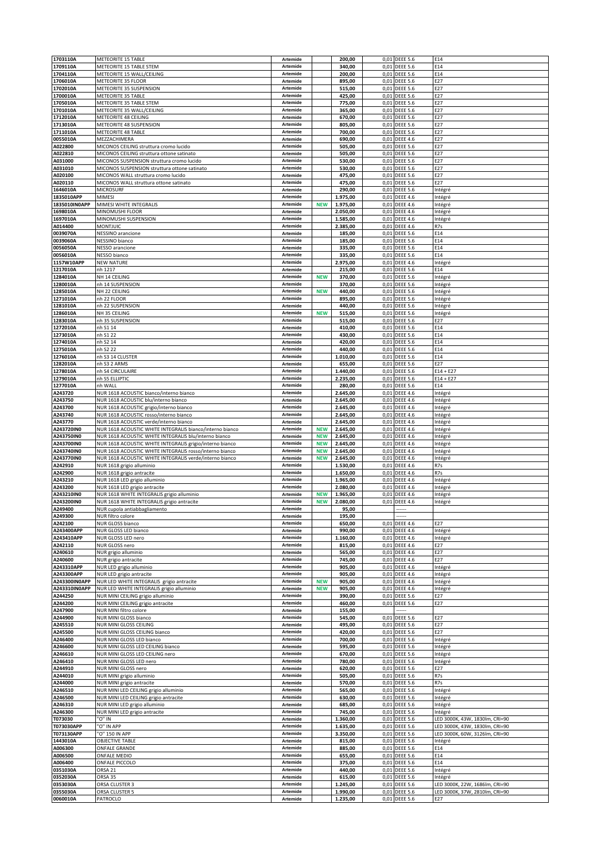| 1703110A                    | METEORITE 15 TABLE                                                                                                | Artemide             |                          | 200,00               |              | 0,01 DEEE 5.6                      | E14                                                              |
|-----------------------------|-------------------------------------------------------------------------------------------------------------------|----------------------|--------------------------|----------------------|--------------|------------------------------------|------------------------------------------------------------------|
| 1709110A                    | METEORITE 15 TABLE STEM<br>METEORITE 15 WALL/CEILING                                                              | Artemide<br>Artemide |                          | 340,00               | 0,01         | <b>DEEE 5.6</b>                    | E14                                                              |
| 1704110A<br>1706010A        | METEORITE 35 FLOOR                                                                                                | Artemide             |                          | 200,00<br>895,00     | 0,01<br>0,01 | <b>DEEE 5.6</b><br><b>DEEE 5.6</b> | E14<br>E27                                                       |
| 1702010A                    | METEORITE 35 SUSPENSION                                                                                           | Artemide             |                          | 515,00               | 0,01         | <b>DEEE 5.6</b>                    | E27                                                              |
| 1700010A                    | METEORITE 35 TABLE                                                                                                | Artemide             |                          | 425,00               |              | 0,01 DEEE 5.6                      | E27                                                              |
| 1705010A                    | METEORITE 35 TABLE STEM                                                                                           | Artemide             |                          | 775,00               | 0,01         | <b>DEEE 5.6</b>                    | E27                                                              |
| 1701010A                    | METEORITE 35 WALL/CEILING                                                                                         | Artemide             |                          | 365,00               | 0,01         | <b>DEEE 5.6</b>                    | E27                                                              |
| 1712010A<br>1713010A        | METEORITE 48 CEILING<br>METEORITE 48 SUSPENSION                                                                   | Artemide<br>Artemide |                          | 670,00<br>805,00     | 0,01         | 0,01 DEEE 5.6<br><b>DEEE 5.6</b>   | E27<br>E27                                                       |
| 1711010A                    | METEORITE 48 TABLE                                                                                                | Artemide             |                          | 700,00               | 0,01         | <b>DEEE 5.6</b>                    | E27                                                              |
| 0055010A                    | MEZZACHIMERA                                                                                                      | Artemide             |                          | 690,00               | 0,01         | <b>DEEE 4.6</b>                    | E27                                                              |
| A022800                     | MICONOS CEILING struttura cromo lucido                                                                            | Artemide             |                          | 505,00               | 0,01         | <b>DEEE 5.6</b>                    | E27                                                              |
| A022810                     | MICONOS CEILING struttura ottone satinato                                                                         | Artemide             |                          | 505,00               | 0,01         | <b>DEEE 5.6</b>                    | E27                                                              |
| A031000<br>A031010          | MICONOS SUSPENSION struttura cromo lucido<br>MICONOS SUSPENSION struttura ottone satinato                         | Artemide<br>Artemide |                          | 530,00<br>530,00     | 0,01<br>0,01 | <b>DEEE 5.6</b><br><b>DEEE 5.6</b> | E27<br>E27                                                       |
| A020100                     | MICONOS WALL struttura cromo lucido                                                                               | Artemide             |                          | 475,00               | 0,01         | <b>DEEE 5.6</b>                    | E27                                                              |
| A020110                     | MICONOS WALL struttura ottone satinato                                                                            | Artemide             |                          | 475,00               | 0,01         | <b>DEEE 5.6</b>                    | E27                                                              |
| 1646010A                    | <b>MICROSURF</b>                                                                                                  | Artemide             |                          | 290,00               | 0,01         | <b>DEEE 5.6</b>                    | Intégré                                                          |
| 1835010APP<br>1835010IN0APP | MIMESI<br>MIMESI WHITE INTEGRALIS                                                                                 | Artemide<br>Artemide | <b>NEW</b>               | 1.975,00<br>1.975,00 |              | 0,01 DEEE 4.6<br>0,01 DEEE 4.6     | Intégré<br>Intégré                                               |
| 1698010A                    | MINOMUSHI FLOOR                                                                                                   | Artemide             |                          | 2.050,00             | 0,01         | <b>DEEE 4.6</b>                    | Intégré                                                          |
| 1697010A                    | MINOMUSHI SUSPENSION                                                                                              | Artemide             |                          | 1.585,00             | 0,01         | <b>DEEE 4.6</b>                    | Intégré                                                          |
| A014400                     | MONTJUIC                                                                                                          | Artemide             |                          | 2.385,00             | 0,01         | <b>DEEE 4.6</b>                    | R7s                                                              |
| 0039070A<br>0039060A        | <b>NESSINO</b> arancione<br>NESSINO bianco                                                                        | Artemide<br>Artemide |                          | 185,00<br>185,00     | 0,01         | 0,01 DEEE 5.6<br><b>DEEE 5.6</b>   | E14<br>E14                                                       |
| 0056050A                    | NESSO arancione                                                                                                   | Artemide             |                          | 335,00               | 0,01         | <b>DEEE 5.6</b>                    | E14                                                              |
| 0056010A                    | NESSO bianco                                                                                                      | Artemide             |                          | 335,00               | 0,01         | <b>DEEE 5.6</b>                    | E14                                                              |
| 1157W10APP                  | <b>NEW NATURE</b>                                                                                                 | Artemide             |                          | 2.975,00             | 0,01         | <b>DEEE 4.6</b>                    | Intégré                                                          |
| 1217010A                    | nh 1217                                                                                                           | Artemide             |                          | 215,00               | 0,01         | <b>DEEE 5.6</b>                    | E14                                                              |
| 1284010A<br>1280010A        | NH 14 CEILING<br>nh 14 SUSPENSION                                                                                 | Artemide<br>Artemide | <b>NEW</b>               | 370,00<br>370,00     |              | 0,01 DEEE 5.6<br>0,01 DEEE 5.6     | Intégré<br>Intégré                                               |
| 1285010A                    | NH 22 CEILING                                                                                                     | Artemide             | <b>NEW</b>               | 440,00               | 0,01         | <b>DEEE 5.6</b>                    | Intégré                                                          |
| 1271010A                    | nh 22 FLOOR                                                                                                       | Artemide             |                          | 895,00               |              | 0,01 DEEE 5.6                      | Intégré                                                          |
| 1281010A                    | nh 22 SUSPENSION                                                                                                  | Artemide             |                          | 440,00               | 0,01         | <b>DEEE 5.6</b>                    | Intégré                                                          |
| 1286010A<br>1283010A        | NH 35 CEILING<br>nh 35 SUSPENSION                                                                                 | Artemide<br>Artemide | <b>NEW</b>               | 515,00<br>515,00     | 0,01<br>0,01 | <b>DEEE 5.6</b><br><b>DEEE 5.6</b> | Intégré<br>E27                                                   |
| 1272010A                    | nh S1 14                                                                                                          | Artemide             |                          | 410,00               | 0,01         | <b>DEEE 5.6</b>                    | E14                                                              |
| 1273010A                    | nh S1 22                                                                                                          | Artemide             |                          | 430,00               | 0,01         | <b>DEEE 5.6</b>                    | E14                                                              |
| 1274010A                    | nh S2 14                                                                                                          | Artemide             |                          | 420,00               | 0,01         | <b>DEEE 5.6</b>                    | E14                                                              |
| 1275010A                    | nh S2 22                                                                                                          | Artemide             |                          | 440,00               | 0,01         | <b>DEEE 5.6</b>                    | E14                                                              |
| 1276010A<br>1282010A        | nh S3 14 CLUSTER<br>nh S3 2 ARMS                                                                                  | Artemide<br>Artemide |                          | 1.010,00<br>655,00   |              | 0,01 DEEE 5.6<br>0,01 DEEE 5.6     | E14<br>E27                                                       |
| 1278010A                    | nh S4 CIRCULAIRE                                                                                                  | Artemide             |                          | 1.440,00             | 0,01         | <b>DEEE 5.6</b>                    | $E14 + E27$                                                      |
| 1279010A                    | nh S5 ELLIPTIC                                                                                                    | Artemide             |                          | 2.235,00             |              | 0,01 DEEE 5.6                      | $E14 + E27$                                                      |
| 1277010A                    | nh WALL                                                                                                           | Artemide             |                          | 280,00               | 0,01         | <b>DEEE 5.6</b>                    | E14                                                              |
| A243720                     | NUR 1618 ACOUSTIC bianco/interno bianco                                                                           | Artemide             |                          | 2.645,00             | 0,01         | <b>DEEE 4.6</b>                    | Intégré                                                          |
| A243750<br>A243700          | NUR 1618 ACOUSTIC blu/interno bianco<br>NUR 1618 ACOUSTIC grigio/interno bianco                                   | Artemide<br>Artemide |                          | 2.645,00<br>2.645,00 | 0,01<br>0,01 | <b>DEEE 4.6</b><br><b>DEEE 4.6</b> | Intégré<br>Intégré                                               |
| A243740                     | NUR 1618 ACOUSTIC rosso/interno bianco                                                                            | Artemide             |                          | 2.645,00             | 0,01         | <b>DEEE 4.6</b>                    | Intégré                                                          |
| A243770                     | NUR 1618 ACOUSTIC verde/interno bianco                                                                            | Artemide             |                          | 2.645,00             | 0,01         | <b>DEEE 4.6</b>                    | Intégré                                                          |
| A243720IN0                  | NUR 1618 ACOUSTIC WHITE INTEGRALIS bianco/interno bianco                                                          | Artemide             | <b>NEW</b>               | 2.645,00             | 0,01         | <b>DEEE 4.6</b>                    | Intégré                                                          |
| A243750IN0<br>A243700IN0    | NUR 1618 ACOUSTIC WHITE INTEGRALIS blu/interno bianco<br>NUR 1618 ACOUSTIC WHITE INTEGRALIS grigio/interno bianco | Artemide<br>Artemide | <b>NEW</b><br><b>NEW</b> | 2.645,00<br>2.645,00 | 0,01         | 0,01 DEEE 4.6<br><b>DEEE 4.6</b>   | Intégré<br>Intégré                                               |
| A243740IN0                  | NUR 1618 ACOUSTIC WHITE INTEGRALIS rosso/interno bianco                                                           | Artemide             |                          |                      |              | <b>DEEE 4.6</b>                    | Intégré                                                          |
|                             |                                                                                                                   |                      |                          |                      |              |                                    |                                                                  |
| A243770IN0                  | NUR 1618 ACOUSTIC WHITE INTEGRALIS verde/interno bianco                                                           | Artemide             | <b>NEW</b><br><b>NEW</b> | 2.645,00<br>2.645,00 | 0,01         | 0,01 DEEE 4.6                      | Intégré                                                          |
| A242910                     | NUR 1618 grigio alluminio                                                                                         | Artemide             |                          | 1.530,00             | 0,01         | <b>DEEE 4.6</b>                    | R7s                                                              |
| A242900                     | NUR 1618 grigio antracite                                                                                         | Artemide             |                          | 1.650,00             | 0,01         | <b>DEEE 4.6</b>                    | R7s                                                              |
| A243210                     | NUR 1618 LED grigio alluminio                                                                                     | Artemide             |                          | 1.965,00             | 0,01         | <b>DEEE 4.6</b>                    | Intégré                                                          |
| A243200<br>A243210IN0       | NUR 1618 LED grigio antracite<br>NUR 1618 WHITE INTEGRALIS grigio alluminio                                       | Artemide<br>Artemide | <b>NEW</b>               | 2.080,00<br>1.965,00 | 0,01<br>0,01 | <b>DEEE 4.6</b><br><b>DEEE 4.6</b> | Intégré<br>Intégré                                               |
| A243200IN0                  | NUR 1618 WHITE INTEGRALIS grigio antracite                                                                        | Artemide             | <b>NEW</b>               | 2.080,00             | 0,01         | <b>DEEE 4.6</b>                    | Intégré                                                          |
| A249400                     | NUR cupola antiabbagliamento                                                                                      | Artemide             |                          | 95,00                |              |                                    |                                                                  |
| A249300                     | NUR filtro colore                                                                                                 | Artemide             |                          | 195,00               |              |                                    |                                                                  |
| A242100<br>A243400APP       | <b>NUR GLOSS bianco</b><br>NUR GLOSS LED bianco                                                                   | Artemide<br>Artemide |                          | 650,00<br>990,00     | 0,01         | 0,01 DEEE 4.6<br><b>DEEE 4.6</b>   | E27<br>Intégré                                                   |
| A243410APP                  | NUR GLOSS LED nero                                                                                                | Artemide             |                          | 1.160,00             |              | 0,01 DEEE 4.6                      | Intégré                                                          |
| A242110                     | NUR GLOSS nero                                                                                                    | Artemide             |                          | 815,00               |              | 0,01 DEEE 4.6                      | E27                                                              |
| A240610                     | NUR grigio alluminio                                                                                              | Artemide             |                          | 565,00               |              | 0,01 DEEE 4.6                      | E27                                                              |
| A240600<br>A243310APP       | NUR grigio antracite                                                                                              | Artemide<br>Artemide |                          | 745,00<br>905,00     | 0,01         | 0,01 DEEE 4.6                      | E27                                                              |
| A243300APP                  | NUR LED grigio alluminio<br>NUR LED grigio antracite                                                              | Artemide             |                          | 905,00               | 0,01         | <b>DEEE 4.6</b><br><b>DEEE 4.6</b> | Intégré<br>Intégré                                               |
| A243300IN0APP               | NUR LED WHITE INTEGRALIS grigio antracite                                                                         | Artemide             | <b>NEW</b>               | 905,00               | 0,01         | <b>DEEE 4.6</b>                    | Intégré                                                          |
| A243310IN0APP               | NUR LED WHITE INTEGRALIS grigio alluminio                                                                         | Artemide             | <b>NEW</b>               | 905,00               |              | 0,01 DEEE 4.6                      | Intégré                                                          |
| A244250<br>A244200          | NUR MINI CEILING grigio alluminio                                                                                 | Artemide<br>Artemide |                          | 390,00<br>460,00     |              | 0,01 DEEE 5.6                      | E27<br>E27                                                       |
| A247900                     | NUR MINI CEILING grigio antracite<br>NUR MINI filtro colore                                                       | Artemide             |                          | 155,00               |              | 0,01 DEEE 5.6                      |                                                                  |
| A244900                     | NUR MINI GLOSS bianco                                                                                             | Artemide             |                          | 545,00               |              | 0,01 DEEE 5.6                      | E27                                                              |
| A245510                     | NUR MINI GLOSS CEILING                                                                                            | Artemide             |                          | 495,00               |              | 0,01 DEEE 5.6                      | E27                                                              |
| A245500                     | NUR MINI GLOSS CEILING bianco                                                                                     | Artemide             |                          | 420,00               |              | 0,01 DEEE 5.6                      | E27                                                              |
| A246400<br>A246600          | NUR MINI GLOSS LED bianco                                                                                         | Artemide<br>Artemide |                          | 700,00<br>595,00     |              | 0,01 DEEE 5.6<br>0,01 DEEE 5.6     | Intégré<br>Intégré                                               |
| A246610                     | NUR MINI GLOSS LED CEILING bianco<br>NUR MINI GLOSS LED CEILING nero                                              | Artemide             |                          | 670,00               |              | 0,01 DEEE 5.6                      | Intégré                                                          |
| A246410                     | NUR MINI GLOSS LED nero                                                                                           | Artemide             |                          | 780,00               |              | 0,01 DEEE 5.6                      | Intégré                                                          |
| A244910                     | NUR MINI GLOSS nero                                                                                               | Artemide             |                          | 620,00               |              | 0,01 DEEE 5.6                      | E27                                                              |
| A244010<br>A244000          | NUR MINI grigio alluminio                                                                                         | Artemide<br>Artemide |                          | 505,00<br>570,00     |              | 0,01 DEEE 5.6<br>0,01 DEEE 5.6     | R7s<br>R7s                                                       |
| A246510                     | NUR MINI grigio antracite<br>NUR MINI LED CEILING grigio alluminio                                                | Artemide             |                          | 565,00               | 0,01         | <b>DEEE 5.6</b>                    | Intégré                                                          |
| A246500                     | NUR MINI LED CEILING grigio antracite                                                                             | Artemide             |                          | 630,00               |              | 0,01 DEEE 5.6                      | Intégré                                                          |
| A246310                     | NUR MINI LED grigio alluminio                                                                                     | Artemide             |                          | 685,00               |              | 0,01 DEEE 5.6                      | Intégré                                                          |
| A246300                     | NUR MINI LED grigio antracite                                                                                     | Artemide             |                          | 745,00               | 0,01         | <b>DEEE 5.6</b>                    | Intégré                                                          |
| T073030<br>T073030APP       | "O" IN<br>"O" IN APP                                                                                              | Artemide<br>Artemide |                          | 1.360,00<br>1.635,00 |              | 0,01 DEEE 5.6<br>0,01 DEEE 5.6     | LED 3000K, 43W, 1830lm, CRI=90<br>LED 3000K, 43W, 1830lm, CRI=90 |
| T073130APP                  | "O" 150 IN APP                                                                                                    | Artemide             |                          | 3.350,00             |              | 0,01 DEEE 5.6                      | LED 3000K, 60W, 3126lm, CRI=90                                   |
| 1443010A                    | <b>OBJECTIVE TABLE</b>                                                                                            | Artemide             |                          | 815,00               | 0,01         | <b>DEEE 5.6</b>                    | Intégré                                                          |
| A006300                     | <b>ONFALE GRANDE</b>                                                                                              | Artemide             |                          | 885,00               |              | 0,01 DEEE 5.6                      | E14                                                              |
| A006500<br>A006400          | <b>ONFALE MEDIO</b><br>ONFALE PICCOLO                                                                             | Artemide<br>Artemide |                          | 655,00<br>375,00     |              | 0,01 DEEE 5.6<br>0,01 DEEE 5.6     | E14<br>E14                                                       |
| 0351030A                    | ORSA 21                                                                                                           | Artemide             |                          | 440,00               |              | 0,01 DEEE 5.6                      | Intégré                                                          |
| 0352030A                    | ORSA <sub>35</sub>                                                                                                | Artemide             |                          | 615,00               |              | 0,01 DEEE 5.6                      | Intégré                                                          |
| 0353030A<br>0355030A        | ORSA CLUSTER 3<br>ORSA CLUSTER 5                                                                                  | Artemide<br>Artemide |                          | 1.245,00<br>1.990,00 |              | 0,01 DEEE 5.6<br>0,01 DEEE 5.6     | LED 3000K, 22W, 1686lm, CRI=90<br>LED 3000K, 37W, 2810lm, CRI=90 |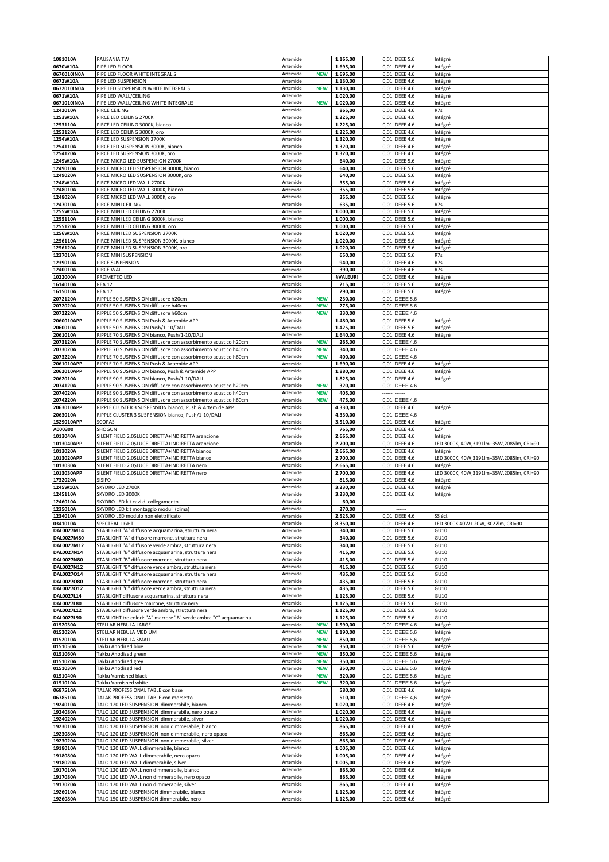| 1081010A                 | PAUSANIA TW                                                                                                                      | Artemide             |                          | 1.165,00             |          | 0,01 DEEE 5.6                    | Intégré                                               |
|--------------------------|----------------------------------------------------------------------------------------------------------------------------------|----------------------|--------------------------|----------------------|----------|----------------------------------|-------------------------------------------------------|
| 0670W10A<br>0670010IN0A  | PIPE LED FLOOR<br>PIPE LED FLOOR WHITE INTEGRALIS                                                                                | Artemide<br>Artemide | <b>NEW</b>               | 1.695,00<br>1.695,00 |          | 0,01 DEEE 4.6<br>0,01 DEEE 4.6   | Intégré<br>Intégré                                    |
| 0672W10A                 | PIPE LED SUSPENSION                                                                                                              | Artemide             |                          | 1.130,00             | 0,01     | <b>DEEE 4.6</b>                  | Intégré                                               |
| 0672010IN0A              | PIPE LED SUSPENSION WHITE INTEGRALIS                                                                                             | Artemide             | <b>NEW</b>               | 1.130,00             | 0,01     | <b>DEEE 4.6</b>                  | Intégré                                               |
| 0671W10A                 | PIPE LED WALL/CEILING                                                                                                            | Artemide             |                          | 1.020,00             |          | 0,01 DEEE 4.6                    | Intégré                                               |
| 0671010IN0A<br>1242010A  | PIPE LED WALL/CEILING WHITE INTEGRALIS<br>PIRCE CEILING                                                                          | Artemide<br>Artemide | <b>NEW</b>               | 1.020,00<br>865,00   | 0,01     | 0,01 DEEE 4.6<br><b>DEEE 4.6</b> | Intégré<br>R7s                                        |
| 1253W10A                 | PIRCE LED CEILING 2700K                                                                                                          | Artemide             |                          | 1.225,00             |          | 0,01 DEEE 4.6                    | Intégré                                               |
| 1253110A                 | PIRCE LED CEILING 3000K, bianco                                                                                                  | Artemide             |                          | 1.225,00             |          | 0,01 DEEE 4.6                    | Intégré                                               |
| 1253120A                 | PIRCE LED CEILING 3000K, oro                                                                                                     | Artemide             |                          | 1.225,00             |          | 0,01 DEEE 4.6                    | Intégré                                               |
| 1254W10A<br>1254110A     | PIRCE LED SUSPENSION 2700K<br>PIRCE LED SUSPENSION 3000K, bianco                                                                 | Artemide<br>Artemide |                          | 1.320,00<br>1.320,00 | 0,01     | <b>DEEE 4.6</b><br>0,01 DEEE 4.6 | Intégré<br>Intégré                                    |
| 1254120A                 | PIRCE LED SUSPENSION 3000K, oro                                                                                                  | Artemide             |                          | 1.320,00             |          | 0,01 DEEE 4.6                    | Intégré                                               |
| 1249W10A                 | PIRCE MICRO LED SUSPENSION 2700K                                                                                                 | Artemide             |                          | 640,00               | 0,01     | <b>DEEE 5.6</b>                  | Intégré                                               |
| 1249010A                 | PIRCE MICRO LED SUSPENSION 3000K, bianco                                                                                         | Artemide             |                          | 640,00               |          | 0,01 DEEE 5.6                    | Intégré                                               |
| 1249020A<br>1248W10A     | PIRCE MICRO LED SUSPENSION 3000K, oro<br>PIRCE MICRO LED WALL 2700K                                                              | Artemide<br>Artemide |                          | 640,00<br>355,00     | 0,01     | 0,01 DEEE 5.6<br><b>DEEE 5.6</b> | Intégré<br>Intégré                                    |
| L248010A                 | PIRCE MICRO LED WALL 3000K, bianco                                                                                               | Artemide             |                          | 355,00               | 0,01     | <b>DEEE 5.6</b>                  | Intégré                                               |
| 1248020A                 | PIRCE MICRO LED WALL 3000K, oro                                                                                                  | Artemide             |                          | 355,00               |          | 0,01 DEEE 5.6                    | Intégré                                               |
| 1247010A                 | PIRCE MINI CEILING                                                                                                               | Artemide             |                          | 635,00               |          | 0,01 DEEE 5.6                    | R7s                                                   |
| 1255W10A<br>1255110A     | PIRCE MINI LED CEILING 2700K<br>PIRCE MINI LED CEILING 3000K, bianco                                                             | Artemide<br>Artemide |                          | 1.000,00<br>1.000,00 | 0,01     | 0,01 DEEE 5.6<br><b>DEEE 5.6</b> | Intégré<br>Intégré                                    |
| 1255120A                 | PIRCE MINI LED CEILING 3000K, oro                                                                                                | Artemide             |                          | 1.000,00             |          | 0,01 DEEE 5.6                    | Intégré                                               |
| 1256W10A                 | PIRCE MINI LED SUSPENSION 2700K                                                                                                  | Artemide             |                          | 1.020,00             |          | 0,01 DEEE 5.6                    | Intégré                                               |
| 1256110A                 | PIRCE MINI LED SUSPENSION 3000K, bianco                                                                                          | Artemide             |                          | 1.020,00             | 0,01     | <b>DEEE 5.6</b>                  | Intégré                                               |
| 1256120A<br>1237010A     | PIRCE MINI LED SUSPENSION 3000K, oro<br>PIRCE MINI SUSPENSION                                                                    | Artemide<br>Artemide |                          | 1.020,00<br>650,00   | 0,01     | 0,01 DEEE 5.6<br><b>DEEE 5.6</b> | Intégré<br>R7s                                        |
| 1239010A                 | PIRCE SUSPENSION                                                                                                                 | Artemide             |                          | 940,00               | 0,01     | <b>DEEE 4.6</b>                  | R7s                                                   |
| L240010A                 | PIRCE WALL                                                                                                                       | Artemide             |                          | 390,00               | 0,01     | <b>DEEE 4.6</b>                  | R7s                                                   |
| L022000A                 | PROMETEO LED                                                                                                                     | Artemide             |                          | #VALEUR!             |          | 0,01 DEEE 4.6                    | Intégré                                               |
| 1614010A<br>1615010A     | <b>REA 12</b><br><b>REA 17</b>                                                                                                   | Artemide<br>Artemide |                          | 215,00<br>290,00     |          | 0,01 DEEE 5.6<br>0,01 DEEE 5.6   | Intégré<br>Intégré                                    |
| 2072120A                 | RIPPLE 50 SUSPENSION diffusore h20cm                                                                                             | Artemide             | <b>NEW</b>               | 230,00               |          | 0,01 DEEE 5.6                    |                                                       |
| 2072020A                 | RIPPLE 50 SUSPENSION diffusore h40cm                                                                                             | Artemide             | <b>NEW</b>               | 275,00               |          | 0,01 DEEE 5.6                    |                                                       |
| 2072220A                 | RIPPLE 50 SUSPENSION diffusore h60cm                                                                                             | Artemide             | <b>NEW</b>               | 330,00               |          | 0,01 DEEE 4.6                    |                                                       |
| 2060010APP<br>2060010A   | RIPPLE 50 SUSPENSION Push & Artemide APP<br>RIPPLE 50 SUSPENSION Push/1-10/DALI                                                  | Artemide<br>Artemide |                          | 1.480,00<br>1.425,00 | 0,01     | <b>DEEE 5.6</b><br>0,01 DEEE 5.6 | Intégré<br>Intégré                                    |
| 2061010A                 | RIPPLE 70 SUSPENSION bianco, Push/1-10/DALI                                                                                      | Artemide             |                          | 1.640,00             |          | 0,01 DEEE 4.6                    | Intégré                                               |
| 2073120A                 | RIPPLE 70 SUSPENSION diffusore con assorbimento acustico h20cm                                                                   | Artemide             | <b>NEW</b>               | 265,00               | 0,01     | DEEE 4.6                         |                                                       |
| 2073020A                 | RIPPLE 70 SUSPENSION diffusore con assorbimento acustico h40cm                                                                   | Artemide             | <b>NEW</b>               | 340,00               | 0,01     | <b>DEEE 4.6</b>                  |                                                       |
| 2073220A<br>2061010APP   | RIPPLE 70 SUSPENSION diffusore con assorbimento acustico h60cm<br>RIPPLE 70 SUSPENSION Push & Artemide APP                       | Artemide<br>Artemide | <b>NEW</b>               | 400,00<br>1.690,00   |          | 0,01 DEEE 4.6<br>0,01 DEEE 4.6   | Intégré                                               |
| 2062010APP               | RIPPLE 90 SUSPENSION bianco, Push & Artemide APP                                                                                 | Artemide             |                          | 1.880,00             |          | 0,01 DEEE 4.6                    | Intégré                                               |
| 2062010A                 | RIPPLE 90 SUSPENSION bianco, Push/1-10/DALI                                                                                      | Artemide             |                          | 1.825,00             |          | 0,01 DEEE 4.6                    | Intégré                                               |
| 2074120A                 | RIPPLE 90 SUSPENSION diffusore con assorbimento acustico h20cm                                                                   | Artemide             | <b>NEW</b>               | 320,00               |          | 0,01 DEEE 4.6                    |                                                       |
| 2074020A<br>2074220A     | RIPPLE 90 SUSPENSION diffusore con assorbimento acustico h40cm<br>RIPPLE 90 SUSPENSION diffusore con assorbimento acustico h60cm | Artemide<br>Artemide | <b>NEW</b><br><b>NEW</b> | 405,00<br>475,00     | <br>0,01 | <b>DEEE 4.6</b>                  |                                                       |
| 2063010APP               | RIPPLE CLUSTER 3 SUSPENSION bianco, Push & Artemide APP                                                                          | Artemide             |                          | 4.330,00             |          | 0,01 DEEE 4.6                    | Intégré                                               |
| 2063010A                 | RIPPLE CLUSTER 3 SUSPENSION bianco, Push/1-10/DALI                                                                               | Artemide             |                          | 4.330,00             |          | 0,01 DEEE 4.6                    |                                                       |
| 1529010APP               | <b>SCOPAS</b>                                                                                                                    | Artemide             |                          | 3.510,00             | 0,01     | <b>DEEE 4.6</b>                  | Intégré                                               |
| 1000300<br>1013040A      | SHOGUN<br>SILENT FIELD 2.0\$LUCE DIRETTA+INDIRETTA arancione                                                                     | Artemide<br>Artemide |                          | 765,00<br>2.665,00   | 0,01     | <b>DEEE 4.6</b><br>0,01 DEEE 4.6 | E27<br>Intégré                                        |
|                          |                                                                                                                                  |                      |                          |                      |          |                                  |                                                       |
| 1013040APP               | SILENT FIELD 2.0\$LUCE DIRETTA+INDIRETTA arancione                                                                               | Artemide             |                          | 2.700,00             |          | 0,01 DEEE 4.6                    | LED 3000K, 40W, 3191lm+35W, 2085lm, CRI=90            |
| 1013020A                 | SILENT FIELD 2.0\$LUCE DIRETTA+INDIRETTA bianco                                                                                  | Artemide             |                          | 2.665,00             | 0,01     | <b>DEEE 4.6</b>                  | Intégré                                               |
| 1013020APP               | SILENT FIELD 2.0\$LUCE DIRETTA+INDIRETTA bianco                                                                                  | Artemide             |                          | 2.700,00             |          | 0,01 DEEE 4.6                    | LED 3000K, 40W, 3191lm+35W, 2085lm, CRI=90            |
| 1013030A                 | SILENT FIELD 2.0\$LUCE DIRETTA+INDIRETTA nero                                                                                    | Artemide             |                          | 2.665,00             |          | 0,01 DEEE 4.6                    | Intégré                                               |
| 1013030APP<br>1732020A   | SILENT FIELD 2.0\$LUCE DIRETTA+INDIRETTA nero<br><b>SISIFO</b>                                                                   | Artemide<br>Artemide |                          | 2.700,00<br>815,00   | 0,01     | 0,01 DEEE 4.6<br><b>DEEE 4.6</b> | LED 3000K, 40W, 3191lm+35W, 2085lm, CRI=90<br>Intégré |
| 1245W10A                 | SKYDRO LED 2700K                                                                                                                 | Artemide             |                          | 3.230,00             | 0,01     | <b>DEEE 4.6</b>                  | Intégré                                               |
| 1245110A                 | SKYDRO LED 3000K                                                                                                                 | Artemide             |                          | 3.230,00             |          | 0,01 DEEE 4.6                    | Intégré                                               |
| 1246010A                 | SKYDRO LED kit cavi di collegamento                                                                                              | Artemide<br>Artemide |                          | 60,00                |          |                                  |                                                       |
| 1235010A<br>1234010A     | SKYDRO LED kit montaggio moduli (dima)<br>SKYDRO LED modulo non elettrificato                                                    | Artemide             |                          | 270,00<br>2.525,00   |          | 0,01 DEEE 4.6                    | SS eci.                                               |
| 0341010A                 | SPECTRAL LIGHT                                                                                                                   | Artemide             |                          | 8.350,00             |          | 0,01 DEEE 4.6                    | LED 3000K 40W+ 20W, 3027lm, CRI=90                    |
| DAL0027M14               | STABLIGHT "A" diffusore acquamarina, struttura nera                                                                              | Artemide             |                          | 340,00               |          | 0,01 DEEE 5.6                    | GU10                                                  |
| DAL0027M80               | STABLIGHT "A" diffusore marrone, struttura nera                                                                                  | Artemide<br>Artemide |                          | 340,00               |          | 0,01 DEEE 5.6                    | GU10                                                  |
| DAL0027M12<br>DAL0027N14 | STABLIGHT "A" diffusore verde ambra, struttura nera<br>STABLIGHT "B" diffusore acquamarina, struttura nera                       | Artemide             |                          | 340,00<br>415,00     |          | 0,01 DEEE 5.6<br>0,01 DEEE 5.6   | GU10<br>GU10                                          |
| DAL0027N80               | STABLIGHT "B" diffusore marrone, struttura nera                                                                                  | Artemide             |                          | 415,00               |          | 0,01 DEEE 5.6                    | GU10                                                  |
| DAL0027N12               | STABLIGHT "B" diffusore verde ambra, struttura nera                                                                              | Artemide             |                          | 415,00               |          | 0,01 DEEE 5.6                    | GU10                                                  |
| DAL0027O14<br>DAL0027O80 | STABLIGHT "C" diffusore acquamarina, struttura nera<br>STABLIGHT "C" diffusore marrone, struttura nera                           | Artemide<br>Artemide |                          | 435,00<br>435,00     |          | 0,01 DEEE 5.6<br>0,01 DEEE 5.6   | GU10<br>GU10                                          |
| DAL0027O12               | STABLIGHT "C" diffusore verde ambra, struttura nera                                                                              | Artemide             |                          | 435,00               |          | 0,01 DEEE 5.6                    | GU10                                                  |
| DAL0027L14               | STABLIGHT diffusore acquamarina, struttura nera                                                                                  | Artemide             |                          | 1.125,00             |          | 0,01 DEEE 5.6                    | GU10                                                  |
| DAL0027L80               | STABLIGHT diffusore marrone, struttura nera                                                                                      | Artemide             |                          | 1.125,00             |          | 0,01 DEEE 5.6                    | GU10                                                  |
| DAL0027L12<br>DAL0027L90 | STABLIGHT diffusore verde ambra, struttura nera<br>STABLIGHT tre colori: "A" marrore "B" verde ambra "C" acquamarina             | Artemide<br>Artemide |                          | 1.125,00<br>1.125,00 |          | 0,01 DEEE 5.6<br>0,01 DEEE 5.6   | GU10<br>GU10                                          |
| 0152030A                 | STELLAR NEBULA LARGE                                                                                                             | Artemide             | <b>NEW</b>               | 1.590,00             |          | 0,01 DEEE 4.6                    | Intégré                                               |
| 0152020A                 | STELLAR NEBULA MEDIUM                                                                                                            | Artemide             | <b>NEW</b>               | 1.190,00             |          | 0,01 DEEE 5,6                    | Intégré                                               |
| 0152010A                 | STELLAR NEBULA SMALL<br>Takku Anodized blue                                                                                      | Artemide<br>Artemide | <b>NEW</b><br><b>NEW</b> | 850,00<br>350,00     |          | 0,01 DEEE 5,6<br>0,01 DEEE 5.6   | Intégré                                               |
| 0151050A<br>0151060A     | Takku Anodized green                                                                                                             | Artemide             | <b>NEW</b>               | 350,00               |          | 0,01 DEEE 5.6                    | Intégré<br>Intégré                                    |
| 0151020A                 | Takku Anodized grey                                                                                                              | Artemide             | <b>NEW</b>               | 350,00               |          | 0,01 DEEE 5.6                    | Intégré                                               |
| 0151030A                 | Takku Anodized red                                                                                                               | Artemide             | <b>NEW</b>               | 350,00               |          | 0,01 DEEE 5.6                    | Intégré                                               |
| 0151040A<br>0151010A     | Takku Varnished black<br>Takku Varnished white                                                                                   | Artemide<br>Artemide | <b>NEW</b><br><b>NEW</b> | 320,00<br>320,00     |          | 0,01 DEEE 5.6<br>0,01 DEEE 5.6   | Intégré<br>Intégré                                    |
| 0687510A                 | TALAK PROFESSIONAL TABLE con base                                                                                                | Artemide             |                          | 580,00               |          | 0,01 DEEE 4.6                    | Intégré                                               |
| 0678510A                 | TALAK PROFESSIONAL TABLE con morsetto                                                                                            | Artemide             |                          | 510,00               |          | 0,01 DEEE 4,6                    | Intégré                                               |
| 1924010A                 | TALO 120 LED SUSPENSION dimmerabile, bianco                                                                                      | Artemide             |                          | 1.020,00             |          | 0,01 DEEE 4.6                    | Intégré                                               |
| 1924080A<br>1924020A     | TALO 120 LED SUSPENSION dimmerabile, nero opaco<br>TALO 120 LED SUSPENSION dimmerabile, silver                                   | Artemide<br>Artemide |                          | 1.020,00<br>1.020,00 |          | 0,01 DEEE 4.6<br>0,01 DEEE 4.6   | Intégré<br>Intégré                                    |
| 1923010A                 | TALO 120 LED SUSPENSION non dimmerabile, bianco                                                                                  | Artemide             |                          | 865,00               |          | 0,01 DEEE 4.6                    | Intégré                                               |
| 1923080A                 | TALO 120 LED SUSPENSION non dimmerabile, nero opaco                                                                              | Artemide             |                          | 865,00               |          | 0,01 DEEE 4.6                    | Intégré                                               |
| 1923020A                 | TALO 120 LED SUSPENSION non dimmerabile, silver                                                                                  | Artemide             |                          | 865,00               |          | 0,01 DEEE 4.6                    | Intégré                                               |
| 1918010A<br>1918080A     | TALO 120 LED WALL dimmerabile, bianco<br>TALO 120 LED WALL dimmerabile, nero opaco                                               | Artemide<br>Artemide |                          | 1.005,00<br>1.005,00 |          | 0,01 DEEE 4.6<br>0,01 DEEE 4.6   | Intégré<br>Intégré                                    |
| 1918020A                 | TALO 120 LED WALL dimmerabile, silver                                                                                            | Artemide             |                          | 1.005,00             |          | 0,01 DEEE 4.6                    | Intégré                                               |
| 1917010A                 | TALO 120 LED WALL non dimmerabile, bianco                                                                                        | Artemide             |                          | 865,00               |          | 0,01 DEEE 4.6                    | Intégré                                               |
| 1917080A                 | TALO 120 LED WALL non dimmerabile, nero opaco                                                                                    | Artemide             |                          | 865,00               |          | 0,01 DEEE 4.6                    | Intégré                                               |
| 1917020A<br>1926010A     | TALO 120 LED WALL non dimmerabile, silver<br>TALO 150 LED SUSPENSION dimmerabile, bianco                                         | Artemide<br>Artemide |                          | 865,00<br>1.125,00   |          | 0,01 DEEE 4.6<br>0,01 DEEE 4.6   | Intégré<br>Intégré                                    |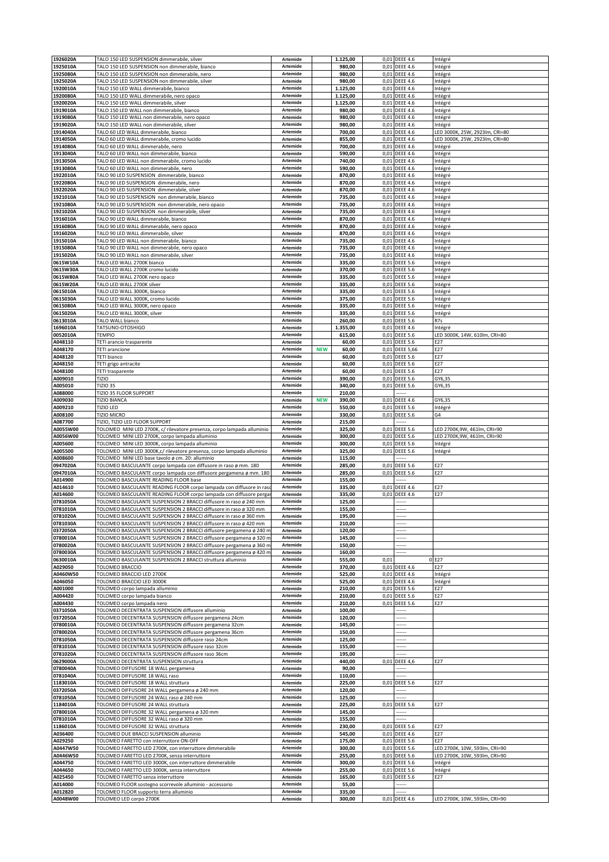| 1926020A             | TALO 150 LED SUSPENSION dimmerabile, silver                                                                                               | Artemide             |            | 1.125,00           |              | 0,01 DEEE 4.6                      | Intégré                                   |
|----------------------|-------------------------------------------------------------------------------------------------------------------------------------------|----------------------|------------|--------------------|--------------|------------------------------------|-------------------------------------------|
| 1925010A<br>1925080A | TALO 150 LED SUSPENSION non dimmerabile, bianco<br>TALO 150 LED SUSPENSION non dimmerabile, nero                                          | Artemide<br>Artemide |            | 980,00<br>980,00   | 0,01         | <b>DEEE 4.6</b><br>0,01 DEEE 4.6   | Intégré<br>Intégré                        |
| 1925020A             | TALO 150 LED SUSPENSION non dimmerabile, silver                                                                                           | Artemide             |            | 980,00             | 0,01         | <b>DEEE 4.6</b>                    | Intégré                                   |
| 1920010A             | TALO 150 LED WALL dimmerabile, bianco                                                                                                     | Artemide             |            | 1.125,00           | 0,01         | <b>DEEE 4.6</b>                    | Intégré                                   |
| 1920080A             | TALO 150 LED WALL dimmerabile, nero opaco                                                                                                 | Artemide             |            | 1.125,00           | 0,01         | <b>DEEE 4.6</b>                    | Intégré                                   |
| 1920020A<br>1919010A | TALO 150 LED WALL dimmerabile, silver<br>TALO 150 LED WALL non dimmerabile, bianco                                                        | Artemide<br>Artemide |            | 1.125,00<br>980,00 | 0,01         | <b>DEEE 4.6</b><br>0,01 DEEE 4.6   | Intégré<br>Intégré                        |
| 1919080A             | TALO 150 LED WALL non dimmerabile, nero opaco                                                                                             | Artemide             |            | 980,00             | 0,01         | <b>DEEE 4.6</b>                    | Intégré                                   |
| 1919020A             | TALO 150 LED WALL non dimmerabile, silver                                                                                                 | Artemide             |            | 980,00             | 0,01         | <b>DEEE 4.6</b>                    | Intégré                                   |
| 1914040A             | TALO 60 LED WALL dimmerabile, bianco                                                                                                      | Artemide             |            | 700,00             | 0,01         | <b>DEEE 4.6</b>                    | LED 3000K, 25W, 2923lm, CRI=80            |
| 1914050A<br>1914080A | TALO 60 LED WALL dimmerabile, cromo lucido<br>TALO 60 LED WALL dimmerabile, nero                                                          | Artemide<br>Artemide |            | 855,00<br>700,00   | 0,01<br>0,01 | <b>DEEE 4.6</b><br><b>DEEE 4.6</b> | LED 3000K, 25W, 2923lm, CRI=80<br>Intégré |
| 1913040A             | TALO 60 LED WALL non dimmerabile, bianco                                                                                                  | Artemide             |            | 590,00             |              | 0,01 DEEE 4.6                      | Intégré                                   |
| 1913050A             | TALO 60 LED WALL non dimmerabile, cromo lucido                                                                                            | Artemide             |            | 740,00             | 0,01         | <b>DEEE 4.6</b>                    | Intégré                                   |
| 1913080A             | TALO 60 LED WALL non dimmerabile, nero                                                                                                    | Artemide             |            | 590,00             | 0,01         | <b>DEEE 4.6</b>                    | Intégré                                   |
| 1922010A<br>1922080A | TALO 90 LED SUSPENSION dimmerabile, bianco<br>TALO 90 LED SUSPENSION dimmerabile, nero                                                    | Artemide<br>Artemide |            | 870,00<br>870,00   | 0,01         | 0,01 DEEE 4.6<br><b>DEEE 4.6</b>   | Intégré<br>Intégré                        |
| 1922020A             | TALO 90 LED SUSPENSION dimmerabile, silver                                                                                                | Artemide             |            | 870,00             | 0,01         | <b>DEEE 4.6</b>                    | Intégré                                   |
| 1921010A             | TALO 90 LED SUSPENSION non dimmerabile, bianco                                                                                            | Artemide             |            | 735,00             | 0,01         | <b>DEEE 4.6</b>                    | Intégré                                   |
| 1921080A             | TALO 90 LED SUSPENSION non dimmerabile, nero opaco                                                                                        | Artemide<br>Artemide |            | 735,00             | 0,01         | <b>DEEE 4.6</b>                    | Intégré                                   |
| 1921020A<br>1916010A | TALO 90 LED SUSPENSION non dimmerabile, silver<br>TALO 90 LED WALL dimmerabile, bianco                                                    | Artemide             |            | 735,00<br>870,00   | 0,01<br>0,01 | <b>DEEE 4.6</b><br><b>DEEE 4.6</b> | Intégré<br>Intégré                        |
| 1916080A             | TALO 90 LED WALL dimmerabile, nero opaco                                                                                                  | Artemide             |            | 870,00             | 0,01         | <b>DEEE 4.6</b>                    | Intégré                                   |
| 1916020A             | TALO 90 LED WALL dimmerabile, silver                                                                                                      | Artemide             |            | 870,00             | 0,01         | <b>DEEE 4.6</b>                    | Intégré                                   |
| 1915010A<br>1915080A | TALO 90 LED WALL non dimmerabile, bianco<br>TALO 90 LED WALL non dimmerabile, nero opaco                                                  | Artemide<br>Artemide |            | 735,00<br>735,00   | 0,01<br>0,01 | <b>DEEE 4.6</b><br><b>DEEE 4.6</b> | Intégré<br>Intégré                        |
| 1915020A             | TALO 90 LED WALL non dimmerabile, silver                                                                                                  | Artemide             |            | 735,00             | 0,01         | <b>DEEE 4.6</b>                    | Intégré                                   |
| 0615W10A             | TALO LED WALL 2700K bianco                                                                                                                | Artemide             |            | 335,00             | 0,01         | <b>DEEE 5.6</b>                    | Intégré                                   |
| 0615W30A             | TALO LED WALL 2700K cromo lucido                                                                                                          | Artemide             |            | 370,00             | 0,01         | <b>DEEE 5.6</b>                    | Intégré                                   |
| 0615W80A<br>0615W20A | TALO LED WALL 2700K nero opaco<br>TALO LED WALL 2700K silver                                                                              | Artemide<br>Artemide |            | 335,00<br>335,00   | 0,01<br>0,01 | <b>DEEE 5.6</b><br><b>DEEE 5.6</b> | Intégré<br>Intégré                        |
| 0615010A             | TALO LED WALL 3000K, bianco                                                                                                               | Artemide             |            | 335,00             | 0,01         | <b>DEEE 5.6</b>                    | Intégré                                   |
| 0615030A             | TALO LED WALL 3000K, cromo lucido                                                                                                         | Artemide             |            | 375,00             | 0,01         | <b>DEEE 5.6</b>                    | Intégré                                   |
| 0615080A             | TALO LED WALL 3000K, nero opaco                                                                                                           | Artemide             |            | 335,00             | 0,01         | <b>DEEE 5.6</b>                    | Intégré                                   |
| 0615020A<br>0613010A | TALO LED WALL 3000K, silver<br>TALO WALL bianco                                                                                           | Artemide<br>Artemide |            | 335,00<br>260,00   | 0,01<br>0,01 | <b>DEEE 5.6</b><br><b>DEEE 5.6</b> | Intégré<br>R7s                            |
| 1696010A             | TATSUNO-OTOSHIGO                                                                                                                          | Artemide             |            | 1.355,00           | 0,01         | <b>DEEE 4.6</b>                    | Intégré                                   |
| 0052010A             | <b>TEMPIO</b>                                                                                                                             | Artemide             |            | 615,00             |              | 0,01 DEEE 5.6                      | LED 3000K, 14W, 610lm, CRI=80             |
| A048110              | TETI arancio trasparente                                                                                                                  | Artemide             |            | 60,00              | 0,01         | <b>DEEE 5.6</b>                    | E27                                       |
| A048170              | <b>TETI</b> arancione                                                                                                                     | Artemide<br>Artemide | <b>NEW</b> | 60,00              | 0,01         | <b>DEEE 5.66</b>                   | E27<br>E27                                |
| A048120<br>A048150   | TETI bianco<br>TETI grigo antracite                                                                                                       | Artemide             |            | 60,00<br>60,00     | 0,01<br>0,01 | <b>DEEE 5.6</b><br><b>DEEE 5.6</b> | E27                                       |
| A048100              | <b>TETI trasparente</b>                                                                                                                   | Artemide             |            | 60,00              | 0,01         | <b>DEEE 5.6</b>                    | E27                                       |
| A009010              | TIZIO                                                                                                                                     | Artemide             |            | 390,00             | 0,01         | <b>DEEE 5.6</b>                    | GY6,35                                    |
| A005010<br>A088000   | <b>TIZIO 35</b><br>TIZIO 35 FLOOR SUPPORT                                                                                                 | Artemide<br>Artemide |            | 340,00<br>210,00   |              | 0,01 DEEE 5.6                      | GY6,35                                    |
| A009030              | <b>TIZIO BIANCA</b>                                                                                                                       | Artemide             | <b>NEW</b> | 390,00             |              | 0,01 DEEE 4.6                      | GY6,35                                    |
| A009210              | TIZIO LED                                                                                                                                 | Artemide             |            | 550,00             | 0,01         | <b>DEEE 5.6</b>                    | Intégré                                   |
| A008100              | TIZIO MICRO                                                                                                                               | Artemide             |            | 330,00             |              | 0,01 DEEE 5.6                      | G4                                        |
| A087700<br>A0055W00  | TIZIO, TIZIO LED FLOOR SUPPORT<br>TOLOMEO MINI LED 2700K, c/ rilevatore presenza, corpo lampada alluminio                                 | Artemide<br>Artemide |            | 215,00<br>325,00   | 0,01         | <b>DEEE 5.6</b>                    | LED 2700K,9W, 461lm, CRI=90               |
| A0056W00             | TOLOMEO MINI LED 2700K, corpo lampada alluminio                                                                                           | Artemide             |            | 300,00             | 0,01         | <b>DEEE 5.6</b>                    | LED 2700K,9W, 461lm, CRI=90               |
| A005600              | TOLOMEO MINI LED 3000K, corpo lampada alluminio                                                                                           | Artemide             |            | 300,00             | 0,01         | <b>DEEE 5.6</b>                    | Intégré                                   |
| A005500              | TOLOMEO MINI LED 3000K,c/ rilevatore presenza, corpo lampada alluminio                                                                    | Artemide             |            | 325,00             |              | 0,01 DEEE 5.6                      | Intégré                                   |
| A008600<br>0947020A  | TOLOMEO MINI LED base tavolo ø cm. 20: alluminio<br>TOLOMEO BASCULANTE corpo lampada con diffusore in raso ø mm. 180                      | Artemide<br>Artemide |            | 115,00<br>285,00   | 0,01         | <br><b>DEEE 5.6</b>                | E27                                       |
| 0947010A             | TOLOMEO BASCULANTE corpo lampada con diffusore pergamena ø mm. 180                                                                        | Artemide             |            | 285,00             |              | 0,01 DEEE 5.6                      | E27                                       |
| A014900              | TOLOMEO BASCULANTE READING FLOOR base                                                                                                     | Artemide             |            | 155,00             |              |                                    |                                           |
| A014610<br>A014600   | TOLOMEO BASCULANTE READING FLOOR corpo lampada con diffusore in ras<br>TOLOMEO BASCULANTE READING FLOOR corpo lampada con diffusore perga | Artemide<br>Artemide |            | 335,00<br>335,00   | 0,01         | <b>DEEE 4.6</b><br>0,01 DEEE 4.6   | E27<br>E27                                |
| 0781050A             | TOLOMEO BASCULANTE SUSPENSION 2 BRACCI diffusore in raso ø 240 mm                                                                         | Artemide             |            | 125,00             |              |                                    |                                           |
| 0781010A             | TOLOMEO BASCULANTE SUSPENSION 2 BRACCI diffusore in raso ø 320 mm                                                                         | Artemide             |            | 155,00             |              |                                    |                                           |
| 0781020A             | TOLOMEO BASCULANTE SUSPENSION 2 BRACCI diffusore in raso ø 360 mm                                                                         | Artemide             |            | 195,00             |              |                                    |                                           |
| 0781030A<br>0372050A | TOLOMEO BASCULANTE SUSPENSION 2 BRACCI diffusore in raso ø 420 mm<br>TOLOMEO BASCULANTE SUSPENSION 2 BRACCI diffusore pergamena ø 240 m   | Artemide<br>Artemide |            | 210,00<br>120,00   |              |                                    |                                           |
| 0780010A             | TOLOMEO BASCULANTE SUSPENSION 2 BRACCI diffusore pergamena ø 320 m                                                                        | Artemide             |            | 145,00             |              | .                                  |                                           |
| 0780020A             | TOLOMEO BASCULANTE SUSPENSION 2 BRACCI diffusore pergamena ø 360 m                                                                        | Artemide             |            | 150,00             |              |                                    |                                           |
| 0780030A             | TOLOMEO BASCULANTE SUSPENSION 2 BRACCI diffusore pergamena ø 420 m                                                                        | Artemide             |            | 160,00             |              | -----                              |                                           |
| 0630010A<br>A029050  | TOLOMEO BASCULANTE SUSPENSION 2 BRACCI struttura alluminio<br>TOLOMEO BRACCIO                                                             | Artemide<br>Artemide |            | 555,00<br>370,00   | 0,01         | 0,01 DEEE 4.6                      | 0 E27<br>E27                              |
| A0460W50             | TOLOMEO BRACCIO LED 2700K                                                                                                                 | Artemide             |            | 525,00             |              | 0,01 DEEE 4.6                      | Intégré                                   |
| A046050              | TOLOMEO BRACCIO LED 3000K                                                                                                                 | Artemide             |            | 525,00             |              | 0,01 DEEE 4.6                      | Intégré                                   |
| A001000              | TOLOMEO corpo lampada alluminio                                                                                                           | Artemide             |            | 210,00             | 0,01         | <b>DEEE 5.6</b>                    | E27                                       |
| A004420<br>A004430   | TOLOMEO corpo lampada bianco<br>TOLOMEO corpo lampada nero                                                                                | Artemide<br>Artemide |            | 210,00<br>210,00   | 0,01         | 0,01 DEEE 5.6<br><b>DEEE 5.6</b>   | E27<br>E27                                |
| 0371050A             | TOLOMEO DECENTRATA SUSPENSION diffusore alluminio                                                                                         | Artemide             |            | 100,00             |              |                                    |                                           |
| 0372050A             | TOLOMEO DECENTRATA SUSPENSION diffusore pergamena 24cm                                                                                    | Artemide             |            | 120,00             |              | .                                  |                                           |
| 0780010A<br>0780020A | TOLOMEO DECENTRATA SUSPENSION diffusore pergamena 32cm<br>TOLOMEO DECENTRATA SUSPENSION diffusore pergamena 36cm                          | Artemide<br>Artemide |            | 145,00<br>150,00   |              | -----                              |                                           |
| 0781050A             | TOLOMEO DECENTRATA SUSPENSION diffusore raso 24cm                                                                                         | Artemide             |            | 125,00             |              | ------                             |                                           |
| 0781010A             | TOLOMEO DECENTRATA SUSPENSION diffusore raso 32cm                                                                                         | Artemide             |            | 155,00             |              |                                    |                                           |
| 0781020A             | TOLOMEO DECENTRATA SUSPENSION diffusore raso 36cm                                                                                         | Artemide             |            | 195,00             |              |                                    |                                           |
| 0629000A<br>0780040A | TOLOMEO DECENTRATA SUSPENSION struttura<br>TOLOMEO DIFFUSORE 18 WALL pergamena                                                            | Artemide<br>Artemide |            | 440,00<br>90,00    |              | 0,01 DEEE 4,6                      | E27                                       |
| 0781040A             | TOLOMEO DIFFUSORE 18 WALL raso                                                                                                            | Artemide             |            | 110,00             |              |                                    |                                           |
| 1183010A             | TOLOMEO DIFFUSORE 18 WALL struttura                                                                                                       | Artemide             |            | 225,00             |              | 0,01 DEEE 5.6                      | E27                                       |
| 0372050A             | TOLOMEO DIFFUSORE 24 WALL pergamena ø 240 mm                                                                                              | Artemide             |            | 120,00             |              |                                    |                                           |
| 0781050A<br>1184010A | TOLOMEO DIFFUSORE 24 WALL raso ø 240 mm<br>TOLOMEO DIFFUSORE 24 WALL struttura                                                            | Artemide<br>Artemide |            | 125,00<br>225,00   |              | <br>0,01 DEEE 5.6                  | E27                                       |
| 0780010A             | TOLOMEO DIFFUSORE 32 WALL pergamena ø 320 mm                                                                                              | Artemide             |            | 145,00             |              |                                    |                                           |
| 0781010A             | TOLOMEO DIFFUSORE 32 WALL raso ø 320 mm                                                                                                   | Artemide             |            | 155,00             |              | -----                              |                                           |
| 1186010A             | TOLOMEO DIFFUSORE 32 WALL struttura                                                                                                       | Artemide             |            | 230,00             |              | 0,01 DEEE 5.6                      | E27                                       |
| A036400<br>A029250   | TOLOMEO DUE BRACCI SUSPENSION alluminio<br>TOLOMEO FARETTO con interruttore ON-OFF                                                        | Artemide<br>Artemide |            | 545,00<br>175,00   | 0,01         | 0,01 DEEE 4.6<br><b>DEEE 5.6</b>   | E27<br>E27                                |
| A0447W50             | TOLOMEO FARETTO LED 2700K, con interruttore dimmerabile                                                                                   | Artemide             |            | 300,00             | 0,01         | <b>DEEE 5.6</b>                    | LED 2700K, 10W, 593lm, CRI=90             |
| A0446W50             | TOLOMEO FARETTO LED 2700K, senza interruttore                                                                                             | Artemide             |            | 255,00             |              | 0,01 DEEE 5.6                      | LED 2700K, 10W, 593lm, CRI=90             |
| A044750              | TOLOMEO FARETTO LED 3000K, con interruttore dimmerabile                                                                                   | Artemide             |            | 300,00             |              | 0,01 DEEE 5.6                      | Intégré                                   |
| A044650<br>A025450   | TOLOMEO FARETTO LED 3000K, senza interruttore<br>TOLOMEO FARETTO senza interruttore                                                       | Artemide<br>Artemide |            | 255,00<br>165,00   |              | 0,01 DEEE 5.6<br>0,01 DEEE 5.6     | Intégré<br>E27                            |
| A014000              | TOLOMEO FLOOR sostegno scorrevole alluminio - accessorio                                                                                  | Artemide             |            | 55,00              |              |                                    |                                           |
| A012820              | TOLOMEO FLOOR supporto terra alluminio                                                                                                    | Artemide             |            | 335,00             |              |                                    |                                           |
| A0048W00             | TOLOMEO LED corpo 2700K                                                                                                                   | Artemide             |            | 300,00             |              | 0,01 DEEE 4.6                      | LED 2700K, 10W, 593lm, CRI=90             |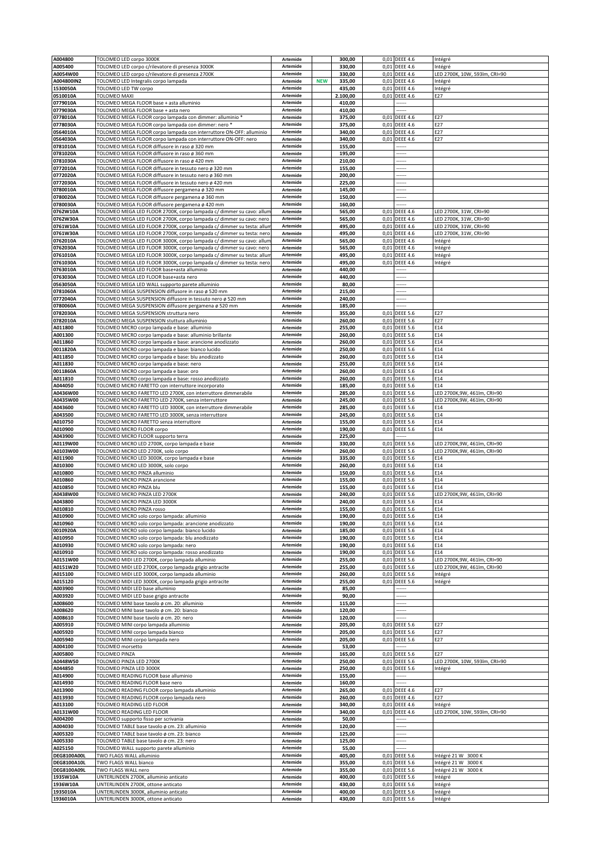| A004800              | TOLOMEO LED corpo 3000K                                                     | Artemide             |            | 300,00           |      | 0,01 DEEE 4.6                  | Intégré                       |
|----------------------|-----------------------------------------------------------------------------|----------------------|------------|------------------|------|--------------------------------|-------------------------------|
| A005400              | TOLOMEO LED corpo c/rilevatore di presenza 3000K                            | Artemide             |            | 330,00           |      | 0,01 DEEE 4.6                  | Intégré                       |
| A0054W00             | TOLOMEO LED corpo c/rilevatore di presenza 2700K                            | Artemide             |            | 330,00           |      | 0,01 DEEE 4.6                  | LED 2700K, 10W, 593lm, CRI=90 |
| A004800IN2           | TOLOMEO LED Integralis corpo lampada                                        | Artemide             | <b>NEW</b> | 335,00           | 0,01 | <b>DEEE 4.6</b>                | Intégré                       |
| 1530050A             | TOLOMEO LED TW corpo                                                        | <b>Artemide</b>      |            | 435,00           |      | 0,01 DEEE 4.6                  | Intégré                       |
| 0510010A             | TOLOMEO MAXI                                                                | Artemide             |            | 2.100,00         |      | 0,01 DEEE 4.6                  | E27                           |
| 0779010A             | TOLOMEO MEGA FLOOR base + asta alluminio                                    | Artemide             |            | 410,00           |      | ------                         |                               |
| 0779030A             | TOLOMEO MEGA FLOOR base + asta nero                                         | Artemide             |            | 410,00           |      |                                |                               |
| 0778010A             | TOLOMEO MEGA FLOOR corpo lampada con dimmer: alluminio *                    | Artemide             |            | 375,00           |      | 0,01 DEEE 4.6                  | E27                           |
|                      |                                                                             |                      |            |                  |      |                                |                               |
| 0778030A             | TOLOMEO MEGA FLOOR corpo lampada con dimmer: nero *                         | Artemide             |            | 375,00           |      | 0,01 DEEE 4.6                  | E27                           |
| 0564010A             | TOLOMEO MEGA FLOOR corpo lampada con interruttore ON-OFF: alluminio         | Artemide             |            | 340,00           | 0,01 | <b>DEEE 4.6</b>                | E27                           |
| 0564030A             | TOLOMEO MEGA FLOOR corpo lampada con interruttore ON-OFF: nero              | Artemide             |            | 340,00           |      | 0,01 DEEE 4.6                  | E27                           |
| 0781010A             | TOLOMEO MEGA FLOOR diffusore in raso ø 320 mm                               | Artemide             |            | 155,00           |      |                                |                               |
| 0781020A             | TOLOMEO MEGA FLOOR diffusore in raso ø 360 mm                               | Artemide             |            | 195,00           |      |                                |                               |
| 0781030A             | TOLOMEO MEGA FLOOR diffusore in raso ø 420 mm                               | Artemide             |            | 210,00           |      |                                |                               |
| 0772010A             | TOLOMEO MEGA FLOOR diffusore in tessuto nero ø 320 mm                       | Artemide             |            | 155,00           |      | .                              |                               |
| 0772020A             | TOLOMEO MEGA FLOOR diffusore in tessuto nero ø 360 mm                       | Artemide             |            | 200,00           |      |                                |                               |
| 0772030A             | TOLOMEO MEGA FLOOR diffusore in tessuto nero ø 420 mm                       | Artemide             |            | 225,00           |      | ------                         |                               |
| 0780010A             | TOLOMEO MEGA FLOOR diffusore pergamena ø 320 mm                             | Artemide             |            | 145,00           |      |                                |                               |
| 0780020A             |                                                                             | Artemide             |            | 150,00           |      |                                |                               |
|                      | TOLOMEO MEGA FLOOR diffusore pergamena ø 360 mm                             |                      |            |                  |      |                                |                               |
| 0780030A             | TOLOMEO MEGA FLOOR diffusore pergamena ø 420 mm                             | Artemide             |            | 160,00           |      |                                |                               |
| 0762W10A             | TOLOMEO MEGA LED FLOOR 2700K, corpo lampada c/ dimmer su cavo: allun        | Artemide             |            | 565,00           | 0,01 | <b>DEEE 4.6</b>                | LED 2700K, 31W, CRI=90        |
| 0762W30A             | TOLOMEO MEGA LED FLOOR 2700K, corpo lampada c/ dimmer su cavo: nero         | Artemide             |            | 565,00           |      | 0,01 DEEE 4.6                  | LED 2700K, 31W, CRI=90        |
| 0761W10A             | TOLOMEO MEGA LED FLOOR 2700K, corpo lampada c/ dimmer su testa: allur       | Artemide             |            | 495,00           |      | 0,01 DEEE 4.6                  | LED 2700K, 31W, CRI=90        |
| 0761W30A             | TOLOMEO MEGA LED FLOOR 2700K, corpo lampada c/ dimmer su testa: nero        | Artemide             |            | 495,00           |      | 0,01 DEEE 4.6                  | LED 2700K, 31W, CRI=90        |
| 0762010A             | TOLOMEO MEGA LED FLOOR 3000K, corpo lampada c/ dimmer su cavo: allum        | Artemide             |            | 565,00           |      | 0,01 DEEE 4.6                  | Intégré                       |
| 0762030A             | TOLOMEO MEGA LED FLOOR 3000K, corpo lampada c/ dimmer su cavo: nero         | Artemide             |            | 565,00           |      | 0,01 DEEE 4.6                  | Intégré                       |
| 0761010A             | TOLOMEO MEGA LED FLOOR 3000K, corpo lampada c/ dimmer su testa: allun       | Artemide             |            | 495,00           |      | 0,01 DEEE 4.6                  | Intégré                       |
| 0761030A             | TOLOMEO MEGA LED FLOOR 3000K, corpo lampada c/ dimmer su testa: nero        | Artemide             |            | 495,00           |      | 0,01 DEEE 4.6                  | Intégré                       |
|                      |                                                                             |                      |            |                  |      |                                |                               |
| 0763010A             | TOLOMEO MEGA LED FLOOR base+asta alluminio                                  | Artemide             |            | 440,00           |      |                                |                               |
| 0763030A             | TOLOMEO MEGA LED FLOOR base+asta nero                                       | Artemide             |            | 440,00           |      |                                |                               |
| 0563050A             | TOLOMEO MEGA LED WALL supporto parete alluminio                             | Artemide             |            | 80,00            |      |                                |                               |
| 0781060A             | TOLOMEO MEGA SUSPENSION diffusore in raso ø 520 mm                          | Artemide             |            | 215,00           |      |                                |                               |
| 0772040A             | TOLOMEO MEGA SUSPENSION diffusore in tessuto nero ø 520 mm                  | Artemide             |            | 240,00           |      |                                |                               |
| 0780060A             | TOLOMEO MEGA SUSPENSION diffusore pergamena ø 520 mm                        | Artemide             |            | 185,00           |      |                                |                               |
| 0782030A             | TOLOMEO MEGA SUSPENSION struttura nero                                      | Artemide             |            | 355,00           | 0,01 | <b>DEEE 5.6</b>                | E27                           |
| 0782010A             | TOLOMEO MEGA SUSPENSION stuttura alluminio                                  | Artemide             |            | 260,00           |      | 0,01 DEEE 5.6                  | E27                           |
| A011800              | TOLOMEO MICRO corpo lampada e base: alluminio                               | Artemide             |            | 255,00           |      | 0,01 DEEE 5.6                  | E14                           |
| A001300              |                                                                             | Artemide             |            | 260,00           |      | 0,01 DEEE 5.6                  | E14                           |
|                      | TOLOMEO MICRO corpo lampada e base: alluminio brillante                     |                      |            |                  |      |                                |                               |
| A011860              | TOLOMEO MICRO corpo lampada e base: arancione anodizzato                    | Artemide             |            | 260,00           | 0,01 | <b>DEEE 5.6</b>                | E14                           |
| 0011820A             | TOLOMEO MICRO corpo lampada e base: bianco lucido                           | Artemide             |            | 250,00           |      | 0,01 DEEE 5.6                  | E14                           |
| A011850              | TOLOMEO MICRO corpo lampada e base: blu anodizzato                          | Artemide             |            | 260,00           |      | 0,01 DEEE 5.6                  | E14                           |
| A011830              | TOLOMEO MICRO corpo lampada e base: nero                                    | Artemide             |            | 255,00           |      | 0,01 DEEE 5.6                  | E14                           |
| 0011860A             | TOLOMEO MICRO corpo lampada e base: oro                                     | Artemide             |            | 260,00           |      | 0,01 DEEE 5.6                  | E14                           |
| A011810              | TOLOMEO MICRO corpo lampada e base: rosso anodizzato                        | Artemide             |            | 260,00           | 0,01 | <b>DEEE 5.6</b>                | E14                           |
| A044050              | TOLOMEO MICRO FARETTO con interruttore incorporato                          | Artemide             |            | 185,00           | 0,01 | <b>DEEE 5.6</b>                | E14                           |
| A0436W00             | TOLOMEO MICRO FARETTO LED 2700K, con interruttore dimmerabile               | Artemide             |            | 285,00           | 0,01 | <b>DEEE 5.6</b>                | LED 2700K,9W, 461lm, CRI=90   |
| A0435W00             | TOLOMEO MICRO FARETTO LED 2700K, senza interruttore                         | Artemide             |            | 245,00           |      | 0,01 DEEE 5.6                  | LED 2700K,9W, 461lm, CRI=90   |
|                      |                                                                             |                      |            |                  |      |                                |                               |
| A043600              | TOLOMEO MICRO FARETTO LED 3000K, con interruttore dimmerabile               | Artemide             |            | 285,00           |      | 0,01 DEEE 5.6                  | E14                           |
| A043500              | TOLOMEO MICRO FARETTO LED 3000K, senza interruttore                         | Artemide             |            | 245,00           |      | 0,01 DEEE 5.6                  | E14                           |
| A010750              | TOLOMEO MICRO FARETTO senza interruttore                                    | Artemide             |            | 155,00           | 0,01 | <b>DEEE 5.6</b>                | E14                           |
| A010900              | TOLOMEO MICRO FLOOR corpo                                                   | Artemide             |            | 190,00           |      | 0,01 DEEE 5.6                  | E14                           |
| A043900              | TOLOMEO MICRO FLOOR supporto terra                                          | Artemide             |            | 225,00           |      |                                |                               |
| A0119W00             | TOLOMEO MICRO LED 2700K, corpo lampada e base                               | Artemide             |            | 330,00           |      | 0,01 DEEE 5.6                  | LED 2700K,9W, 461lm, CRI=90   |
| A0103W00             | TOLOMEO MICRO LED 2700K, solo corpo                                         | Artemide             |            | 260,00           |      | 0,01 DEEE 5.6                  | LED 2700K,9W, 461lm, CRI=90   |
| A011900              | TOLOMEO MICRO LED 3000K, corpo lampada e base                               | Artemide             |            | 335,00           |      | 0,01 DEEE 5.6                  | E14                           |
| A010300              | TOLOMEO MICRO LED 3000K, solo corpo                                         | Artemide             |            | 260,00           | 0,01 | <b>DEEE 5.6</b>                | E14                           |
| A010800              | TOLOMEO MICRO PINZA alluminio                                               | Artemide             |            | 150,00           | 0,01 | <b>DEEE 5.6</b>                | E14                           |
| A010860              | TOLOMEO MICRO PINZA arancione                                               | Artemide             |            | 155,00           |      | 0,01 DEEE 5.6                  | E14                           |
| A010850              | TOLOMEO MICRO PINZA blu                                                     | Artemide             |            | 155,00           | 0,01 | <b>DEEE 5.6</b>                | E14                           |
|                      |                                                                             | Artemide             |            |                  |      |                                |                               |
| A0438W00             | TOLOMEO MICRO PINZA LED 2700K                                               |                      |            | 240,00           | 0,01 | <b>DEEE 5.6</b>                | LED 2700K,9W, 461lm, CRI=90   |
| A043800              | TOLOMEO MICRO PINZA LED 3000K                                               | Artemide             |            | 240,00           |      | 0,01 DEEE 5.6                  | E14                           |
| A010810              | TOLOMEO MICRO PINZA rosso                                                   | Artemide             |            | 155,00           |      | 0,01 DEEE 5.6                  | E14                           |
| A010900              | TOLOMEO MICRO SOIO COrpo lampada: aliuminio                                 | Artemiae             |            | 190,00           |      | 0,01 DEEE 5.6                  | E14                           |
| A010960              | TOLOMEO MICRO solo corpo lampada: arancione anodizzato                      | Artemide             |            | 190,00           |      | 0,01 DEEE 5.6                  | E14                           |
| 0010920A             | TOLOMEO MICRO solo corpo lampada: bianco lucido                             | Artemide             |            | 185,00           |      | 0,01 DEEE 5.6                  | E14                           |
| A010950              | TOLOMEO MICRO solo corpo lampada: blu anodizzato                            | Artemide             |            | 190,00           |      | 0,01 DEEE 5.6                  | E14                           |
| A010930              | TOLOMEO MICRO solo corpo lampada: nero                                      | Artemide             |            | 190,00           |      | 0,01 DEEE 5.6                  | E14                           |
| A010910              | TOLOMEO MICRO solo corpo lampada: rosso anodizzato                          | Artemide             |            | 190,00           | 0,01 | <b>DEEE 5.6</b>                | E14                           |
| A0151W00             | TOLOMEO MIDI LED 2700K, corpo lampada alluminio                             | Artemide             |            | 255,00           |      | 0,01 DEEE 5.6                  | LED 2700K,9W, 461lm, CRI=90   |
|                      |                                                                             |                      |            |                  |      |                                |                               |
| A0151W20             | TOLOMEO MIDI LED 2700K, corpo lampada grigio antracite                      | Artemide             |            | 255,00           |      | 0,01 DEEE 5.6                  | LED 2700K,9W, 461lm, CRI=90   |
| A015100              | TOLOMEO MIDI LED 3000K, corpo lampada alluminio                             | Artemide             |            | 260,00           | 0,01 | <b>DEEE 5.6</b>                | Intégré                       |
| A015120              | TOLOMEO MIDI LED 3000K, corpo lampada grigio antracite                      | Artemide             |            | 255,00           |      | 0,01 DEEE 5.6                  | Intégré                       |
| A003900              | TOLOMEO MIDI LED base alluminio                                             | Artemide             |            | 85,00            |      |                                |                               |
| A003920              | TOLOMEO MIDI LED base grigio antracite                                      | Artemide             |            | 90,00            |      |                                |                               |
| A008600              | TOLOMEO MINI base tavolo ø cm. 20: alluminio                                | Artemide             |            | 115,00           |      | ------                         |                               |
| A008620              | TOLOMEO MINI base tavolo ø cm. 20: bianco                                   | Artemide             |            | 120,00           |      |                                |                               |
| A008610              | TOLOMEO MINI base tavolo ø cm. 20: nero                                     | Artemide             |            | 120,00           |      |                                |                               |
| A005910              | TOLOMEO MINI corpo lampada alluminio                                        | Artemide             |            | 205,00           |      | 0,01 DEEE 5.6                  | E27                           |
| A005920              | TOLOMEO MINI corpo lampada bianco                                           | Artemide             |            | 205,00           |      | 0,01 DEEE 5.6                  | E27                           |
| A005940              |                                                                             | Artemide             |            |                  |      |                                | E27                           |
|                      | TOLOMEO MINI corpo lampada nero                                             |                      |            | 205,00           |      | 0,01 DEEE 5.6                  |                               |
| A004100              | TOLOMEO morsetto                                                            | Artemide             |            | 53,00            |      |                                |                               |
| A005800              | TOLOMEO PINZA                                                               | Artemide             |            | 165,00           |      | 0,01 DEEE 5.6                  | E27                           |
| A0448W50             | TOLOMEO PINZA LED 2700K                                                     | Artemide             |            | 250,00           |      | 0,01 DEEE 5.6                  | LED 2700K, 10W, 593lm, CRI=90 |
| A044850              | TOLOMEO PINZA LED 3000K                                                     | Artemide             |            | 250,00           |      | 0,01 DEEE 5.6                  | Intégré                       |
| A014900              | TOLOMEO READING FLOOR base alluminio                                        | Artemide             |            | 155,00           |      |                                |                               |
| A014930              | TOLOMEO READING FLOOR base nero                                             | Artemide             |            | 160,00           |      | ------                         |                               |
| A013900              | TOLOMEO READING FLOOR corpo lampada alluminio                               | Artemide             |            | 265,00           |      | 0,01 DEEE 4.6                  | E27                           |
| A013930              | TOLOMEO READING FLOOR corpo lampada nero                                    | Artemide             |            | 260,00           |      | 0,01 DEEE 4.6                  | E27                           |
| A013100              | TOLOMEO READING LED FLOOR                                                   | Artemide             |            | 340,00           |      | 0,01 DEEE 4.6                  | Intégré                       |
| A0131W00             | TOLOMEO READING LED FLOOR                                                   | Artemide             |            | 340,00           |      | 0,01 DEEE 4.6                  | LED 2700K, 10W, 593lm, CRI=90 |
|                      |                                                                             |                      |            |                  |      |                                |                               |
| A004200              | TOLOMEO supporto fisso per scrivania                                        | Artemide             |            | 50,00            |      | .                              |                               |
| A004030              | TOLOMEO TABLE base tavolo ø cm. 23: alluminio                               | Artemide             |            | 120,00           |      | -----                          |                               |
| A005320              | TOLOMEO TABLE base tavolo ø cm. 23: bianco                                  | Artemide             |            | 125,00           |      |                                |                               |
| A005330              | TOLOMEO TABLE base tavolo ø cm. 23: nero                                    | Artemide             |            | 125,00           |      | -----                          |                               |
| A025150              | TOLOMEO WALL supporto parete alluminio                                      | Artemide             |            | 55,00            |      |                                |                               |
| <b>DEG8100A00L</b>   | TWO FLAGS WALL alluminio                                                    | Artemide             |            | 405,00           |      | 0,01 DEEE 5.6                  | Intégré 21 W 3000 K           |
| <b>DEG8100A10L</b>   | TWO FLAGS WALL bianco                                                       | Artemide             |            | 355,00           |      | 0,01 DEEE 5.6                  | Intégré 21 W 3000 K           |
| DEG8100A09L          | TWO FLAGS WALL nero                                                         | Artemide             |            | 355,00           |      | 0,01 DEEE 5.6                  | Intégré 21 W 3000 K           |
|                      |                                                                             |                      |            |                  |      |                                |                               |
|                      |                                                                             |                      |            |                  |      |                                |                               |
| 1935W10A             | UNTERLINDEN 2700K, alluminio anticato                                       | Artemide             |            | 400,00           |      | 0,01 DEEE 5.6                  | Intégré                       |
| 1936W10A             | UNTERLINDEN 2700K, ottone anticato                                          | Artemide             |            | 430,00           |      | 0,01 DEEE 5.6                  | Intégré                       |
| 1935010A<br>1936010A | UNTERLINDEN 3000K, alluminio anticato<br>UNTERLINDEN 3000K, ottone anticato | Artemide<br>Artemide |            | 400,00<br>430,00 |      | 0,01 DEEE 5.6<br>0,01 DEEE 5.6 | Intégré<br>Intégré            |